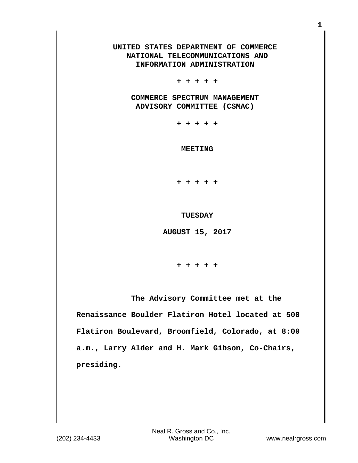## **UNITED STATES DEPARTMENT OF COMMERCE NATIONAL TELECOMMUNICATIONS AND INFORMATION ADMINISTRATION**

 **+ + + + +**

 **COMMERCE SPECTRUM MANAGEMENT ADVISORY COMMITTEE (CSMAC)**

 **+ + + + +**

 **MEETING**

 **+ + + + +**

 **TUESDAY**

 **AUGUST 15, 2017**

 **+ + + + +**

 **The Advisory Committee met at the Renaissance Boulder Flatiron Hotel located at 500 Flatiron Boulevard, Broomfield, Colorado, at 8:00 a.m., Larry Alder and H. Mark Gibson, Co-Chairs, presiding.**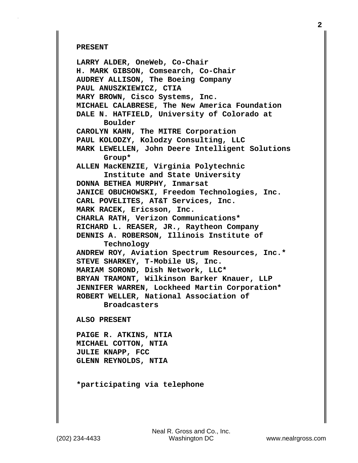## **PRESENT**

**LARRY ALDER, OneWeb, Co-Chair H. MARK GIBSON, Comsearch, Co-Chair AUDREY ALLISON, The Boeing Company PAUL ANUSZKIEWICZ, CTIA MARY BROWN, Cisco Systems, Inc. MICHAEL CALABRESE, The New America Foundation DALE N. HATFIELD, University of Colorado at Boulder CAROLYN KAHN, The MITRE Corporation PAUL KOLODZY, Kolodzy Consulting, LLC MARK LEWELLEN, John Deere Intelligent Solutions Group\* ALLEN MacKENZIE, Virginia Polytechnic Institute and State University DONNA BETHEA MURPHY, Inmarsat JANICE OBUCHOWSKI, Freedom Technologies, Inc. CARL POVELITES, AT&T Services, Inc. MARK RACEK, Ericsson, Inc. CHARLA RATH, Verizon Communications\* RICHARD L. REASER, JR., Raytheon Company DENNIS A. ROBERSON, Illinois Institute of Technology ANDREW ROY, Aviation Spectrum Resources, Inc.\* STEVE SHARKEY, T-Mobile US, Inc. MARIAM SOROND, Dish Network, LLC\* BRYAN TRAMONT, Wilkinson Barker Knauer, LLP JENNIFER WARREN, Lockheed Martin Corporation\* ROBERT WELLER, National Association of Broadcasters**

**ALSO PRESENT**

**PAIGE R. ATKINS, NTIA MICHAEL COTTON, NTIA JULIE KNAPP, FCC GLENN REYNOLDS, NTIA**

**\*participating via telephone**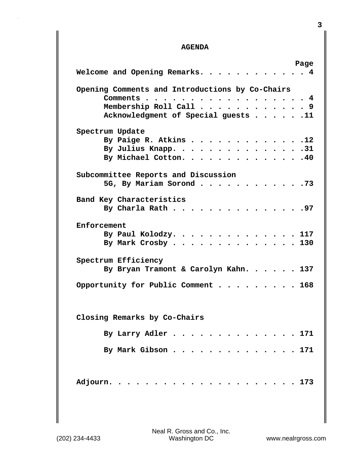## **AGENDA**

|                                                 | Page |
|-------------------------------------------------|------|
| Welcome and Opening Remarks. 4                  |      |
| Opening Comments and Introductions by Co-Chairs |      |
| Comments 4                                      |      |
| Membership Roll Call 9                          |      |
| Acknowledgment of Special guests 11             |      |
| Spectrum Update                                 |      |
| By Paige R. Atkins 12                           |      |
| By Julius Knapp. 31                             |      |
| By Michael Cotton. 40                           |      |
| Subcommittee Reports and Discussion             |      |
| 5G, By Mariam Sorond 73                         |      |
|                                                 |      |
| Band Key Characteristics                        |      |
| By Charla Rath 97                               |      |
| Enforcement                                     |      |
|                                                 |      |
| By Paul Kolodzy. 117<br>By Mark Crosby 130      |      |
|                                                 |      |
| Spectrum Efficiency                             |      |
| By Bryan Tramont & Carolyn Kahn. 137            |      |
|                                                 |      |
| Opportunity for Public Comment 168              |      |
|                                                 |      |
| Closing Remarks by Co-Chairs                    |      |
|                                                 |      |
| By Larry Adler 171                              |      |
| By Mark Gibson 171                              |      |
|                                                 |      |
|                                                 |      |
|                                                 |      |
| Adjourn.<br>$\cdots$ $\cdots$ $173$             |      |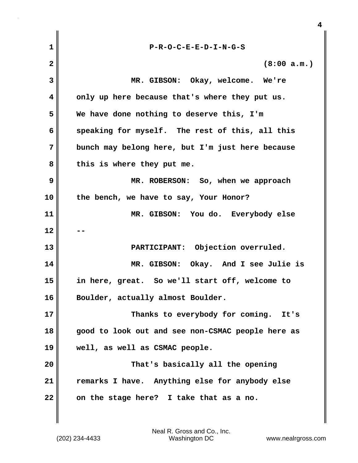| $\mathbf{1}$   | $P-R-O-C-E-E-D-I-N-G-S$                           |
|----------------|---------------------------------------------------|
| $\overline{2}$ | (8:00 a.m.)                                       |
| 3              | MR. GIBSON: Okay, welcome. We're                  |
| 4              | only up here because that's where they put us.    |
| 5              | We have done nothing to deserve this, I'm         |
| 6              | speaking for myself. The rest of this, all this   |
| 7              | bunch may belong here, but I'm just here because  |
| 8              | this is where they put me.                        |
| 9              | MR. ROBERSON: So, when we approach                |
| 10             | the bench, we have to say, Your Honor?            |
| 11             | MR. GIBSON: You do. Everybody else                |
| 12             |                                                   |
| 13             | PARTICIPANT: Objection overruled.                 |
| 14             | MR. GIBSON: Okay. And I see Julie is              |
| 15             | in here, great. So we'll start off, welcome to    |
| 16             | Boulder, actually almost Boulder                  |
| 17             | Thanks to everybody for coming. It's              |
| 18             | good to look out and see non-CSMAC people here as |
| 19             | well, as well as CSMAC people.                    |
| 20             | That's basically all the opening                  |
| 21             | remarks I have. Anything else for anybody else    |
| 22             | on the stage here? I take that as a no.           |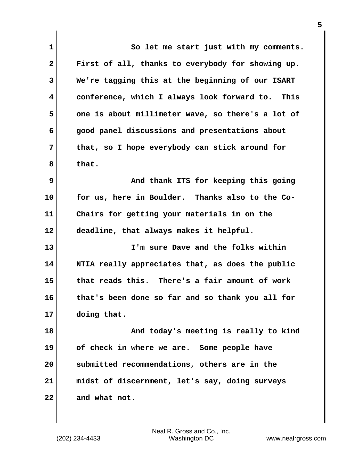| $\mathbf 1$  | So let me start just with my comments.            |
|--------------|---------------------------------------------------|
| $\mathbf{2}$ | First of all, thanks to everybody for showing up. |
| 3            | We're tagging this at the beginning of our ISART  |
| 4            | conference, which I always look forward to. This  |
| 5            | one is about millimeter wave, so there's a lot of |
| 6            | good panel discussions and presentations about    |
| 7            | that, so I hope everybody can stick around for    |
| 8            | that.                                             |
| 9            | And thank ITS for keeping this going              |
| 10           | for us, here in Boulder. Thanks also to the Co-   |
| 11           | Chairs for getting your materials in on the       |
| 12           | deadline, that always makes it helpful.           |
| 13           | I'm sure Dave and the folks within                |
| 14           | NTIA really appreciates that, as does the public  |
| 15           | that reads this. There's a fair amount of work    |
| 16           | that's been done so far and so thank you all for  |
| 17           | doing that.                                       |
| 18           | And today's meeting is really to kind             |
| 19           | of check in where we are. Some people have        |
| 20           | submitted recommendations, others are in the      |
| 21           | midst of discernment, let's say, doing surveys    |
| 22           | and what not.                                     |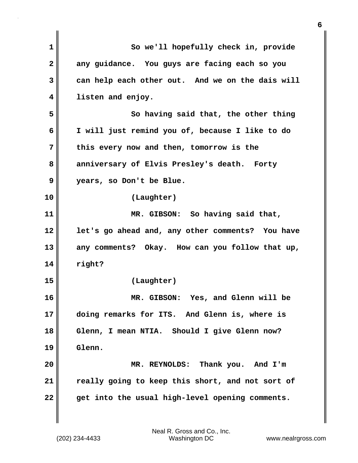| $\mathbf{1}$ | So we'll hopefully check in, provide             |
|--------------|--------------------------------------------------|
| $\mathbf{2}$ | any guidance. You guys are facing each so you    |
| 3            | can help each other out. And we on the dais will |
| 4            | listen and enjoy.                                |
| 5            | So having said that, the other thing             |
| 6            | I will just remind you of, because I like to do  |
| 7            | this every now and then, tomorrow is the         |
| 8            | anniversary of Elvis Presley's death. Forty      |
| 9            | years, so Don't be Blue.                         |
| 10           | (Laughter)                                       |
| 11           | MR. GIBSON: So having said that,                 |
| 12           | let's go ahead and, any other comments? You have |
| 13           | any comments? Okay. How can you follow that up,  |
| 14           | right?                                           |
| 15           | (Laughter)                                       |
| 16           | MR. GIBSON: Yes, and Glenn will be               |
| 17           | doing remarks for ITS. And Glenn is, where is    |
| 18           | Glenn, I mean NTIA. Should I give Glenn now?     |
| 19           | Glenn.                                           |
| 20           | MR. REYNOLDS: Thank you. And I'm                 |
| 21           | really going to keep this short, and not sort of |
| 22           | get into the usual high-level opening comments.  |
|              |                                                  |

(202) 234-4433 Washington DC www.nealrgross.com Neal R. Gross and Co., Inc.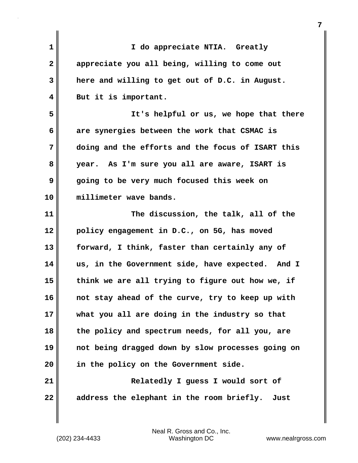| $\mathbf{1}$ | I do appreciate NTIA. Greatly                     |
|--------------|---------------------------------------------------|
| $\mathbf{2}$ | appreciate you all being, willing to come out     |
| 3            | here and willing to get out of D.C. in August.    |
| 4            | But it is important.                              |
| 5            | It's helpful or us, we hope that there            |
| 6            | are synergies between the work that CSMAC is      |
| 7            | doing and the efforts and the focus of ISART this |
| 8            | year. As I'm sure you all are aware, ISART is     |
| 9            | going to be very much focused this week on        |
| 10           | millimeter wave bands.                            |
| 11           | The discussion, the talk, all of the              |
| 12           | policy engagement in D.C., on 5G, has moved       |
| 13           | forward, I think, faster than certainly any of    |
| 14           | us, in the Government side, have expected. And I  |
| 15           | think we are all trying to figure out how we, if  |
| 16           | not stay ahead of the curve, try to keep up with  |
| 17           | what you all are doing in the industry so that    |
| 18           | the policy and spectrum needs, for all you, are   |
| 19           | not being dragged down by slow processes going on |
| 20           | in the policy on the Government side.             |
| 21           | Relatedly I guess I would sort of                 |
| 22           | address the elephant in the room briefly.<br>Just |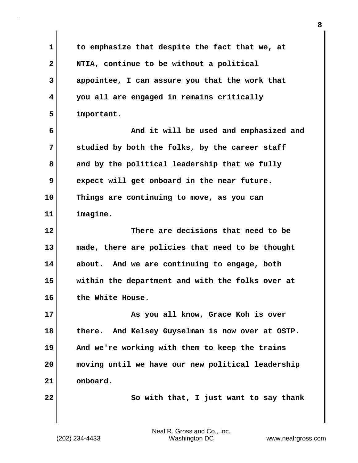**1 to emphasize that despite the fact that we, at 2 NTIA, continue to be without a political 3 appointee, I can assure you that the work that 4 you all are engaged in remains critically 5 important. 6 And it will be used and emphasized and 7 studied by both the folks, by the career staff** 8 and by the political leadership that we fully **9 expect will get onboard in the near future. 10 Things are continuing to move, as you can 11 imagine. 12 There are decisions that need to be 13 made, there are policies that need to be thought 14 about. And we are continuing to engage, both 15 within the department and with the folks over at 16 the White House. 17 As you all know, Grace Koh is over 18 there. And Kelsey Guyselman is now over at OSTP. 19 And we're working with them to keep the trains 20 moving until we have our new political leadership 21 onboard. 22 So with that, I just want to say thank**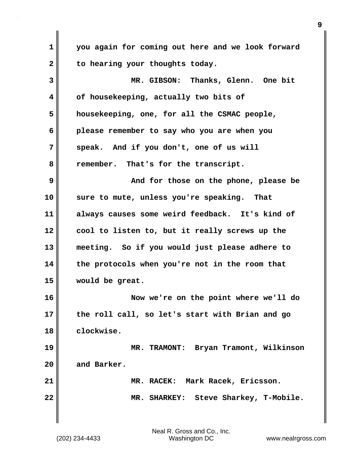**1 you again for coming out here and we look forward** 2 to hearing your thoughts today. **3 MR. GIBSON: Thanks, Glenn. One bit 4 of housekeeping, actually two bits of 5 housekeeping, one, for all the CSMAC people, 6 please remember to say who you are when you 7 speak. And if you don't, one of us will 8 remember. That's for the transcript. 9 And for those on the phone, please be 10 sure to mute, unless you're speaking. That 11 always causes some weird feedback. It's kind of 12 cool to listen to, but it really screws up the 13 meeting. So if you would just please adhere to 14 the protocols when you're not in the room that 15 would be great. 16 Now we're on the point where we'll do 17 the roll call, so let's start with Brian and go 18 clockwise. 19 MR. TRAMONT: Bryan Tramont, Wilkinson 20 and Barker. 21 MR. RACEK: Mark Racek, Ericsson. 22 MR. SHARKEY: Steve Sharkey, T-Mobile.**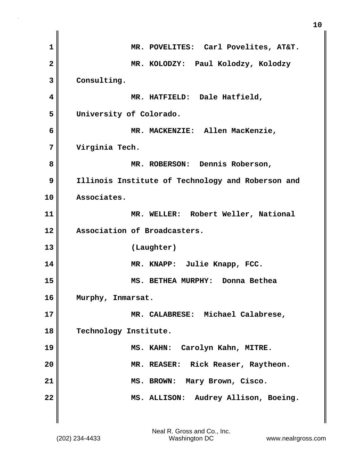| 1                       | MR. POVELITES: Carl Povelites, AT&T.              |
|-------------------------|---------------------------------------------------|
| $\overline{\mathbf{2}}$ | MR. KOLODZY: Paul Kolodzy, Kolodzy                |
| 3                       | Consulting.                                       |
| 4                       | MR. HATFIELD: Dale Hatfield,                      |
| 5                       | University of Colorado.                           |
| 6                       | MR. MACKENZIE: Allen MacKenzie,                   |
| 7                       | Virginia Tech.                                    |
| 8                       | MR. ROBERSON: Dennis Roberson,                    |
| 9                       | Illinois Institute of Technology and Roberson and |
| 10                      | Associates.                                       |
| 11                      | MR. WELLER: Robert Weller, National               |
| 12                      | Association of Broadcasters.                      |
| 13                      | (Laughter)                                        |
| 14                      | MR. KNAPP: Julie Knapp, FCC.                      |
| 15                      | MS. BETHEA MURPHY: Donna Bethea                   |
| 16                      | Murphy, Inmarsat.                                 |
| 17                      | MR. CALABRESE: Michael Calabrese,                 |
| 18                      | Technology Institute.                             |
| 19                      | MS. KAHN: Carolyn Kahn, MITRE.                    |
| 20                      | MR. REASER: Rick Reaser, Raytheon.                |
| 21                      | MS. BROWN: Mary Brown, Cisco.                     |
| 22                      | MS. ALLISON: Audrey Allison, Boeing.              |
|                         |                                                   |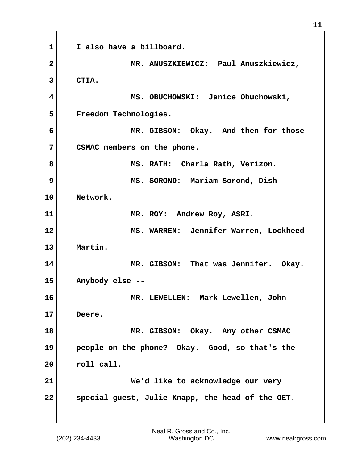**1 I also have a billboard. 2 MR. ANUSZKIEWICZ: Paul Anuszkiewicz, 3 CTIA. 4 MS. OBUCHOWSKI: Janice Obuchowski, 5 Freedom Technologies. 6 MR. GIBSON: Okay. And then for those 7 CSMAC members on the phone. 8 MS. RATH: Charla Rath, Verizon. 9 MS. SOROND: Mariam Sorond, Dish 10 Network. 11 MR. ROY: Andrew Roy, ASRI. 12 MS. WARREN: Jennifer Warren, Lockheed 13 Martin. 14 MR. GIBSON: That was Jennifer. Okay. 15 Anybody else -- 16 MR. LEWELLEN: Mark Lewellen, John 17 Deere. 18** MR. GIBSON: Okay. Any other CSMAC **19 people on the phone? Okay. Good, so that's the 20 roll call. 21 We'd like to acknowledge our very 22 special guest, Julie Knapp, the head of the OET.** 

(202) 234-4433 Washington DC www.nealrgross.com Neal R. Gross and Co., Inc.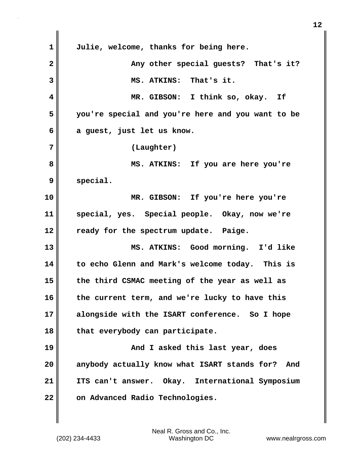**1 Julie, welcome, thanks for being here.** 2 **Any other special guests?** That's it? **3 MS. ATKINS: That's it. 4 MR. GIBSON: I think so, okay. If 5 you're special and you're here and you want to be 6 a guest, just let us know. 7 (Laughter) 8 MS. ATKINS: If you are here you're 9 special. 10 MR. GIBSON: If you're here you're 11 special, yes. Special people. Okay, now we're 12 ready for the spectrum update. Paige. 13 MS. ATKINS: Good morning. I'd like 14 to echo Glenn and Mark's welcome today. This is 15 the third CSMAC meeting of the year as well as 16 the current term, and we're lucky to have this 17 alongside with the ISART conference. So I hope 18 that everybody can participate. 19 And I asked this last year, does 20 anybody actually know what ISART stands for? And 21 ITS can't answer. Okay. International Symposium** 22 **on Advanced Radio Technologies.**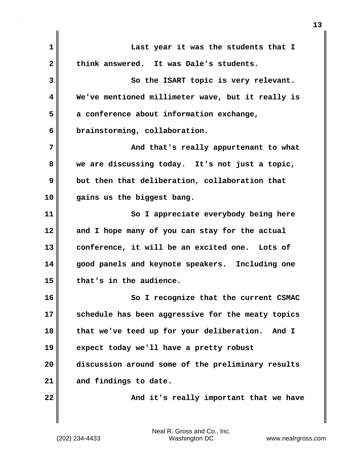| $\mathbf{1}$ | Last year it was the students that I               |
|--------------|----------------------------------------------------|
| $\mathbf{2}$ | think answered. It was Dale's students.            |
| 3            | So the ISART topic is very relevant.               |
| 4            | We've mentioned millimeter wave, but it really is  |
| 5            | a conference about information exchange,           |
| 6            | brainstorming, collaboration.                      |
| 7            | And that's really appurtenant to what              |
| 8            | we are discussing today. It's not just a topic,    |
| 9            | but then that deliberation, collaboration that     |
| 10           | gains us the biggest bang.                         |
| 11           | So I appreciate everybody being here               |
| 12           | and I hope many of you can stay for the actual     |
| 13           | conference, it will be an excited one. Lots of     |
| 14           | good panels and keynote speakers. Including one    |
| 15           | that's in the audience.                            |
| 16           | So I recognize that the current CSMAC              |
| 17           | schedule has been aggressive for the meaty topics  |
| 18           | that we've teed up for your deliberation.<br>And I |
| 19           | expect today we'll have a pretty robust            |
| 20           | discussion around some of the preliminary results  |
| 21           | and findings to date.                              |
| 22           | And it's really important that we have             |
|              |                                                    |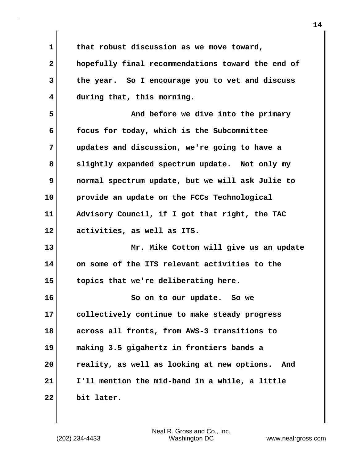**1 that robust discussion as we move toward, 2 hopefully final recommendations toward the end of 3 the year. So I encourage you to vet and discuss 4 during that, this morning. 5 And before we dive into the primary 6 focus for today, which is the Subcommittee 7 updates and discussion, we're going to have a 8 slightly expanded spectrum update. Not only my 9 normal spectrum update, but we will ask Julie to 10 provide an update on the FCCs Technological 11 Advisory Council, if I got that right, the TAC 12 activities, as well as ITS. 13 Mr. Mike Cotton will give us an update 14 on some of the ITS relevant activities to the 15 topics that we're deliberating here. 16 So on to our update. So we 17 collectively continue to make steady progress 18 across all fronts, from AWS-3 transitions to 19 making 3.5 gigahertz in frontiers bands a 20 reality, as well as looking at new options. And 21 I'll mention the mid-band in a while, a little 22 bit later.**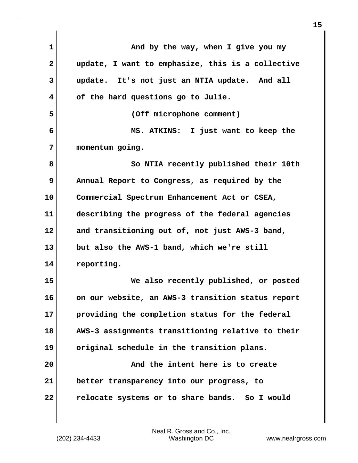| $\mathbf 1$  | And by the way, when I give you my                |
|--------------|---------------------------------------------------|
| $\mathbf{2}$ | update, I want to emphasize, this is a collective |
| 3            | update. It's not just an NTIA update. And all     |
| 4            | of the hard questions go to Julie.                |
| 5            | (Off microphone comment)                          |
| 6            | MS. ATKINS: I just want to keep the               |
| 7            | momentum going.                                   |
| 8            | So NTIA recently published their 10th             |
| 9            | Annual Report to Congress, as required by the     |
| 10           | Commercial Spectrum Enhancement Act or CSEA,      |
| 11           | describing the progress of the federal agencies   |
| 12           | and transitioning out of, not just AWS-3 band,    |
| 13           | but also the AWS-1 band, which we're still        |
| 14           | reporting.                                        |
| 15           | We also recently published, or posted             |
| 16           | on our website, an AWS-3 transition status report |
| 17           | providing the completion status for the federal   |
| 18           | AWS-3 assignments transitioning relative to their |
| 19           | original schedule in the transition plans.        |
| 20           | And the intent here is to create                  |
| 21           | better transparency into our progress, to         |
| 22           | relocate systems or to share bands. So I would    |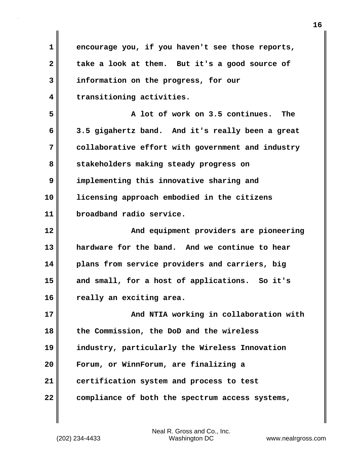**1 encourage you, if you haven't see those reports, 2 take a look at them. But it's a good source of 3 information on the progress, for our 4 transitioning activities. 5 A lot of work on 3.5 continues. The 6 3.5 gigahertz band. And it's really been a great 7 collaborative effort with government and industry 8 stakeholders making steady progress on 9 implementing this innovative sharing and 10 licensing approach embodied in the citizens 11 broadband radio service. 12 And equipment providers are pioneering 13 hardware for the band. And we continue to hear 14 plans from service providers and carriers, big 15 and small, for a host of applications. So it's 16 really an exciting area. 17 And NTIA working in collaboration with 18 the Commission, the DoD and the wireless 19 industry, particularly the Wireless Innovation 20 Forum, or WinnForum, are finalizing a 21 certification system and process to test 22 compliance of both the spectrum access systems,**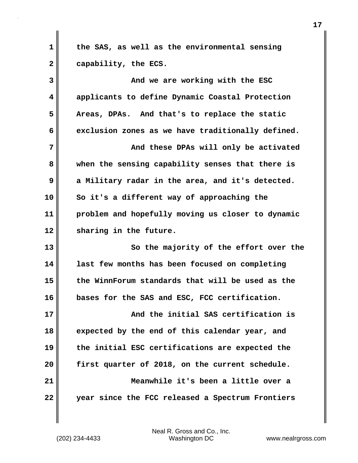**1 the SAS, as well as the environmental sensing 2 capability, the ECS.**

**3 And we are working with the ESC 4 applicants to define Dynamic Coastal Protection 5 Areas, DPAs. And that's to replace the static 6 exclusion zones as we have traditionally defined.**

**7 And these DPAs will only be activated 8 when the sensing capability senses that there is 9 a Military radar in the area, and it's detected. 10 So it's a different way of approaching the 11 problem and hopefully moving us closer to dynamic 12 sharing in the future.**

**13 So the majority of the effort over the 14 last few months has been focused on completing 15 the WinnForum standards that will be used as the 16 bases for the SAS and ESC, FCC certification.**

**17 And the initial SAS certification is 18 expected by the end of this calendar year, and 19 the initial ESC certifications are expected the 20 first quarter of 2018, on the current schedule. 21 Meanwhile it's been a little over a 22 year since the FCC released a Spectrum Frontiers**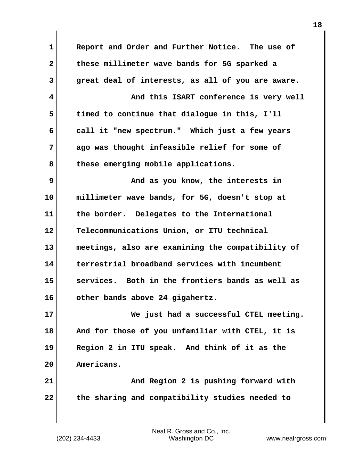**1 Report and Order and Further Notice. The use of 2 these millimeter wave bands for 5G sparked a 3 great deal of interests, as all of you are aware. 4 And this ISART conference is very well 5 timed to continue that dialogue in this, I'll 6 call it "new spectrum." Which just a few years 7 ago was thought infeasible relief for some of 8 these emerging mobile applications. 9 And as you know, the interests in 10 millimeter wave bands, for 5G, doesn't stop at 11 the border. Delegates to the International 12 Telecommunications Union, or ITU technical 13 meetings, also are examining the compatibility of 14 terrestrial broadband services with incumbent 15 services. Both in the frontiers bands as well as 16 other bands above 24 gigahertz. 17 We just had a successful CTEL meeting. 18 And for those of you unfamiliar with CTEL, it is 19 Region 2 in ITU speak. And think of it as the 20 Americans. 21 And Region 2 is pushing forward with 22 the sharing and compatibility studies needed to**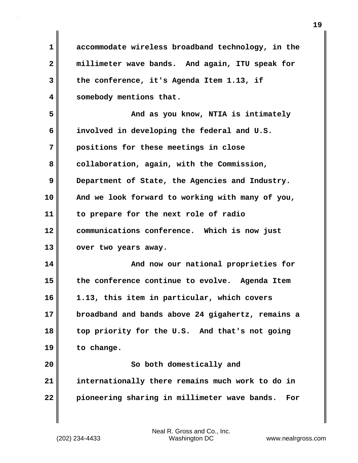**1 accommodate wireless broadband technology, in the 2 millimeter wave bands. And again, ITU speak for 3 the conference, it's Agenda Item 1.13, if 4 somebody mentions that. 5 And as you know, NTIA is intimately 6 involved in developing the federal and U.S. 7 positions for these meetings in close** 8 collaboration, again, with the Commission, **9** Department of State, the Agencies and Industry. **10 And we look forward to working with many of you, 11 to prepare for the next role of radio 12 communications conference. Which is now just** 13 **over two years away. 14 And now our national proprieties for 15 the conference continue to evolve. Agenda Item 16 1.13, this item in particular, which covers 17 broadband and bands above 24 gigahertz, remains a 18 top priority for the U.S. And that's not going 19 to change. 20** So both domestically and **21 internationally there remains much work to do in 22 pioneering sharing in millimeter wave bands. For**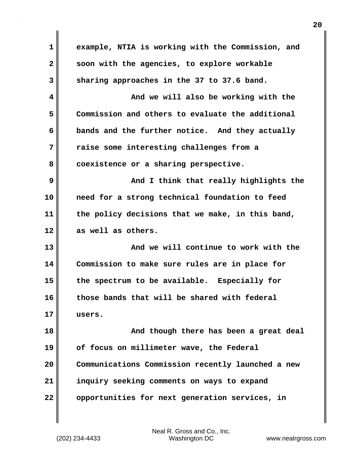| $\mathbf 1$  | example, NTIA is working with the Commission, and |
|--------------|---------------------------------------------------|
| $\mathbf{2}$ | soon with the agencies, to explore workable       |
| 3            | sharing approaches in the 37 to 37.6 band.        |
| 4            | And we will also be working with the              |
| 5            | Commission and others to evaluate the additional  |
| 6            | bands and the further notice. And they actually   |
| 7            | raise some interesting challenges from a          |
| 8            | coexistence or a sharing perspective.             |
| 9            | And I think that really highlights the            |
| 10           | need for a strong technical foundation to feed    |
| 11           | the policy decisions that we make, in this band,  |
|              |                                                   |
| 12           | as well as others.                                |
| 13           | And we will continue to work with the             |
| 14           | Commission to make sure rules are in place for    |
| 15           | the spectrum to be available. Especially for      |
| 16           | those bands that will be shared with federal      |
| 17           | users.                                            |
| 18           | And though there has been a great deal            |
| 19           | of focus on millimeter wave, the Federal          |
| 20           | Communications Commission recently launched a new |
| 21           | inquiry seeking comments on ways to expand        |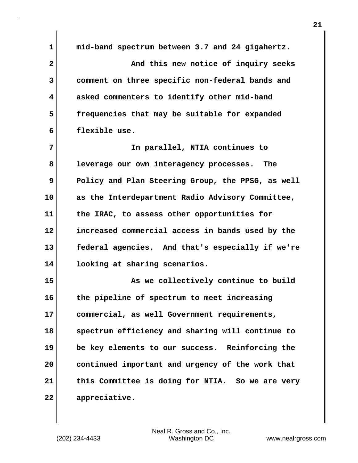**1 mid-band spectrum between 3.7 and 24 gigahertz. 2 And this new notice of inquiry seeks 3 comment on three specific non-federal bands and 4 asked commenters to identify other mid-band 5 frequencies that may be suitable for expanded 6 flexible use. 7 In parallel, NTIA continues to 8 leverage our own interagency processes. The 9** Policy and Plan Steering Group, the PPSG, as well **10 as the Interdepartment Radio Advisory Committee, 11 the IRAC, to assess other opportunities for 12 increased commercial access in bands used by the 13 federal agencies. And that's especially if we're 14 looking at sharing scenarios. 15 As we collectively continue to build 16 the pipeline of spectrum to meet increasing 17 commercial, as well Government requirements, 18 spectrum efficiency and sharing will continue to 19 be key elements to our success. Reinforcing the 20 continued important and urgency of the work that 21 this Committee is doing for NTIA. So we are very 22 appreciative.**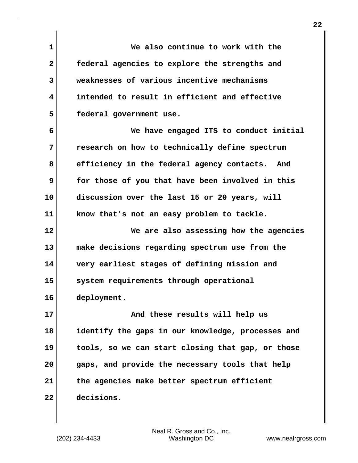**1 We also continue to work with the 2 federal agencies to explore the strengths and 3 weaknesses of various incentive mechanisms 4 intended to result in efficient and effective 5 federal government use. 6 We have engaged ITS to conduct initial 7 research on how to technically define spectrum 8 efficiency in the federal agency contacts. And 9 for those of you that have been involved in this 10 discussion over the last 15 or 20 years, will 11 know that's not an easy problem to tackle. 12 We are also assessing how the agencies 13 make decisions regarding spectrum use from the 14 very earliest stages of defining mission and 15 system requirements through operational 16 deployment. 17 And these results will help us 18 identify the gaps in our knowledge, processes and 19 tools, so we can start closing that gap, or those 20 gaps, and provide the necessary tools that help 21 the agencies make better spectrum efficient 22 decisions.**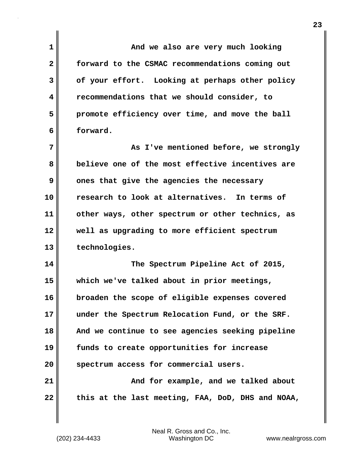| 1            | And we also are very much looking                 |
|--------------|---------------------------------------------------|
| $\mathbf{2}$ | forward to the CSMAC recommendations coming out   |
| 3            | of your effort. Looking at perhaps other policy   |
| 4            | recommendations that we should consider, to       |
| 5            | promote efficiency over time, and move the ball   |
| 6            | forward.                                          |
| 7            | As I've mentioned before, we strongly             |
| 8            | believe one of the most effective incentives are  |
| 9            | ones that give the agencies the necessary         |
| 10           | research to look at alternatives. In terms of     |
| 11           | other ways, other spectrum or other technics, as  |
| 12           | well as upgrading to more efficient spectrum      |
| 13           | technologies.                                     |
| 14           | The Spectrum Pipeline Act of 2015,                |
| 15           | which we've talked about in prior meetings,       |
| 16           | broaden the scope of eligible expenses covered    |
| 17           | under the Spectrum Relocation Fund, or the SRF.   |
| 18           | And we continue to see agencies seeking pipeline  |
| 19           | funds to create opportunities for increase        |
| 20           | spectrum access for commercial users.             |
| 21           | And for example, and we talked about              |
| 22           | this at the last meeting, FAA, DoD, DHS and NOAA, |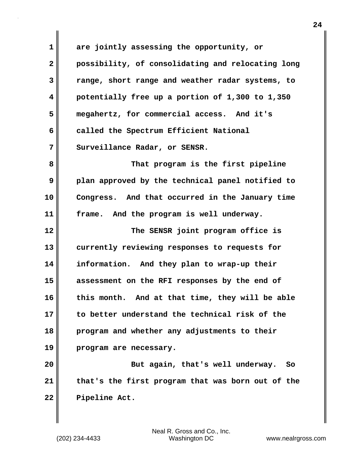**1 are jointly assessing the opportunity, or 2 possibility, of consolidating and relocating long 3 range, short range and weather radar systems, to 4 potentially free up a portion of 1,300 to 1,350 5 megahertz, for commercial access. And it's 6** called the Spectrum Efficient National 7 Surveillance Radar, or SENSR. **8 That program is the first pipeline**

**9 plan approved by the technical panel notified to 10 Congress. And that occurred in the January time 11 frame. And the program is well underway.**

**12 The SENSR joint program office is 13 currently reviewing responses to requests for 14 information. And they plan to wrap-up their 15 assessment on the RFI responses by the end of 16 this month. And at that time, they will be able 17 to better understand the technical risk of the 18 program and whether any adjustments to their 19 program are necessary.**

**20 But again, that's well underway. So 21 that's the first program that was born out of the 22 Pipeline Act.**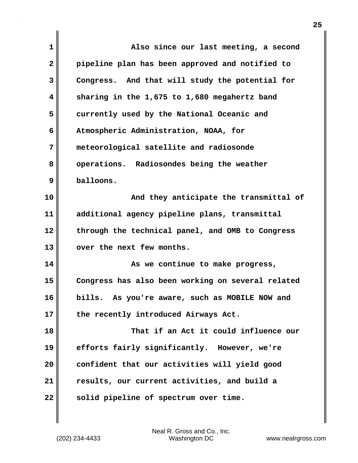| $\mathbf{1}$ | Also since our last meeting, a second             |
|--------------|---------------------------------------------------|
| $\mathbf{2}$ | pipeline plan has been approved and notified to   |
| 3            | Congress. And that will study the potential for   |
| 4            | sharing in the 1,675 to 1,680 megahertz band      |
| 5            | currently used by the National Oceanic and        |
| 6            | Atmospheric Administration, NOAA, for             |
| 7            | meteorological satellite and radiosonde           |
| 8            | operations. Radiosondes being the weather         |
| 9            | balloons.                                         |
| 10           | And they anticipate the transmittal of            |
| 11           | additional agency pipeline plans, transmittal     |
| 12           | through the technical panel, and OMB to Congress  |
| 13           | over the next few months.                         |
| 14           | As we continue to make progress,                  |
| 15           | Congress has also been working on several related |
| 16           | bills. As you're aware, such as MOBILE NOW and    |
| 17           | the recently introduced Airways Act.              |
| 18           | That if an Act it could influence our             |
| 19           | efforts fairly significantly. However, we're      |
| 20           | confident that our activities will yield good     |
| 21           | results, our current activities, and build a      |
| 22           | solid pipeline of spectrum over time.             |
|              |                                                   |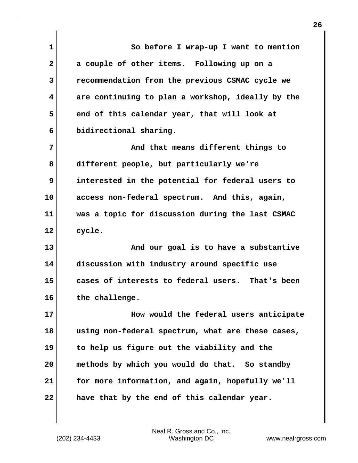**1 So before I wrap-up I want to mention 2 a couple of other items. Following up on a 3 recommendation from the previous CSMAC cycle we 4 are continuing to plan a workshop, ideally by the** 5 end of this calendar year, that will look at **6 bidirectional sharing. 7 And that means different things to 8 different people, but particularly we're 9 interested in the potential for federal users to 10 access non-federal spectrum. And this, again, 11 was a topic for discussion during the last CSMAC 12 cycle. 13 And our goal is to have a substantive 14 discussion with industry around specific use 15 cases of interests to federal users. That's been 16 the challenge. 17 How would the federal users anticipate 18 using non-federal spectrum, what are these cases, 19 to help us figure out the viability and the 20 methods by which you would do that. So standby 21 for more information, and again, hopefully we'll 22 have that by the end of this calendar year.**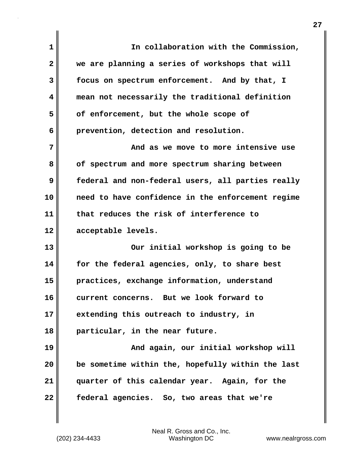| 1              | In collaboration with the Commission,             |
|----------------|---------------------------------------------------|
| $\overline{2}$ | we are planning a series of workshops that will   |
| 3              | focus on spectrum enforcement. And by that, I     |
| 4              | mean not necessarily the traditional definition   |
| 5              | of enforcement, but the whole scope of            |
| 6              | prevention, detection and resolution.             |
| 7              | And as we move to more intensive use              |
| 8              | of spectrum and more spectrum sharing between     |
| 9              | federal and non-federal users, all parties really |
| 10             | need to have confidence in the enforcement regime |
| 11             | that reduces the risk of interference to          |
| 12             | acceptable levels.                                |
| 13             | Our initial workshop is going to be               |
| 14             | for the federal agencies, only, to share best     |
| 15             | practices, exchange information, understand       |
| 16             | current concerns. But we look forward to          |
| 17             | extending this outreach to industry, in           |
| 18             | particular, in the near future.                   |
| 19             | And again, our initial workshop will              |
| 20             | be sometime within the, hopefully within the last |
| 21             | quarter of this calendar year. Again, for the     |
| 22             | federal agencies. So, two areas that we're        |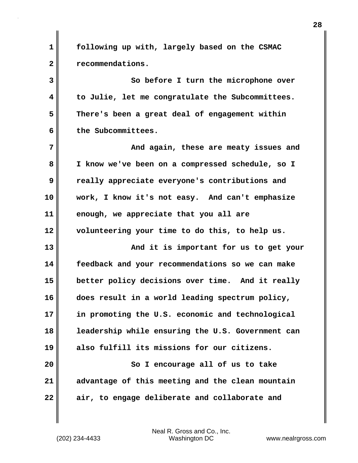**1 following up with, largely based on the CSMAC 2 recommendations. 3** So before I turn the microphone over **4 to Julie, let me congratulate the Subcommittees. 5 There's been a great deal of engagement within 6 the Subcommittees. 7 And again, these are meaty issues and 8 I know we've been on a compressed schedule, so I 9 really appreciate everyone's contributions and 10 work, I know it's not easy. And can't emphasize 11 enough, we appreciate that you all are 12 volunteering your time to do this, to help us. 13** And it is important for us to get your **14 feedback and your recommendations so we can make 15 better policy decisions over time. And it really 16 does result in a world leading spectrum policy, 17 in promoting the U.S. economic and technological 18 leadership while ensuring the U.S. Government can 19 also fulfill its missions for our citizens. 20** So I encourage all of us to take **21 advantage of this meeting and the clean mountain 22 air, to engage deliberate and collaborate and**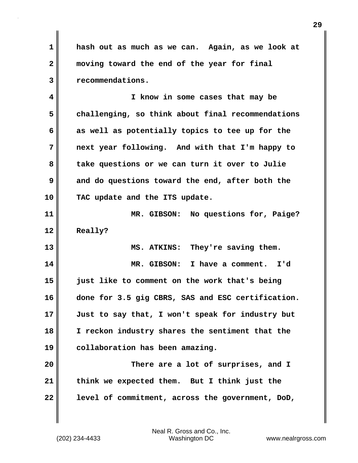**1 hash out as much as we can. Again, as we look at 2 moving toward the end of the year for final 3 recommendations.**

**4 I know in some cases that may be 5 challenging, so think about final recommendations 6 as well as potentially topics to tee up for the 7 next year following. And with that I'm happy to** 8 || take questions or we can turn it over to Julie **9 and do questions toward the end, after both the 10 TAC update and the ITS update.**

**11 MR. GIBSON: No questions for, Paige? 12 Really?**

**13 MS. ATKINS: They're saving them. 14 MR. GIBSON: I have a comment. I'd 15 just like to comment on the work that's being 16 done for 3.5 gig CBRS, SAS and ESC certification. 17 Just to say that, I won't speak for industry but 18 I reckon industry shares the sentiment that the 19 collaboration has been amazing.**

**20 There are a lot of surprises, and I 21 think we expected them. But I think just the 22 level of commitment, across the government, DoD,**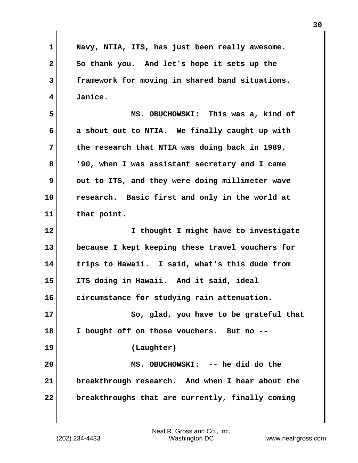**1 Navy, NTIA, ITS, has just been really awesome. 2 So thank you. And let's hope it sets up the 3 framework for moving in shared band situations. 4 Janice. 5 MS. OBUCHOWSKI: This was a, kind of 6 a shout out to NTIA. We finally caught up with 7 the research that NTIA was doing back in 1989, 8 '90, when I was assistant secretary and I came 9** out to ITS, and they were doing millimeter wave **10 research. Basic first and only in the world at 11 that point. 12 I thought I might have to investigate 13 because I kept keeping these travel vouchers for 14 trips to Hawaii. I said, what's this dude from 15 ITS doing in Hawaii. And it said, ideal 16 circumstance for studying rain attenuation. 17 So, glad, you have to be grateful that 18 I bought off on those vouchers. But no -- 19 (Laughter) 20 MS. OBUCHOWSKI: -- he did do the 21 breakthrough research. And when I hear about the 22 breakthroughs that are currently, finally coming**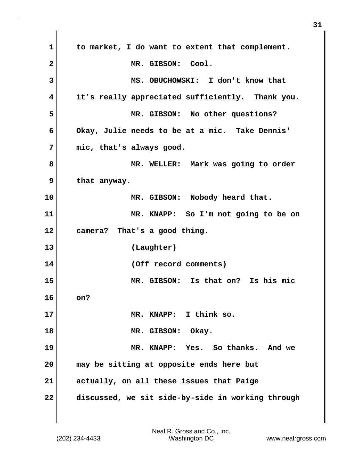**1 to market, I do want to extent that complement. 2 MR. GIBSON: Cool. 3 MS. OBUCHOWSKI: I don't know that 4 it's really appreciated sufficiently. Thank you. 5 MR. GIBSON: No other questions? 6 Okay, Julie needs to be at a mic. Take Dennis' 7 mic, that's always good. 8 MR. WELLER: Mark was going to order 9 that anyway. 10 MR. GIBSON: Nobody heard that. 11 MR. KNAPP: So I'm not going to be on 12 camera? That's a good thing. 13 (Laughter) 14 (Off record comments) 15 MR. GIBSON: Is that on? Is his mic 16 on? 17 MR. KNAPP: I think so. 18 MR. GIBSON: Okay. 19 MR. KNAPP: Yes. So thanks. And we 20 may be sitting at opposite ends here but 21 actually, on all these issues that Paige 22 discussed, we sit side-by-side in working through**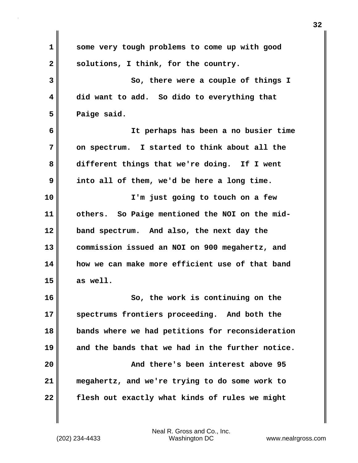| 1            | some very tough problems to come up with good    |
|--------------|--------------------------------------------------|
| $\mathbf{2}$ | solutions, I think, for the country.             |
| 3            | So, there were a couple of things I              |
| 4            | did want to add. So dido to everything that      |
| 5            | Paige said.                                      |
| 6            | It perhaps has been a no busier time             |
| 7            | on spectrum. I started to think about all the    |
| 8            | different things that we're doing. If I went     |
| 9            | into all of them, we'd be here a long time.      |
| 10           | I'm just going to touch on a few                 |
| 11           | others. So Paige mentioned the NOI on the mid-   |
| 12           | band spectrum. And also, the next day the        |
| 13           | commission issued an NOI on 900 megahertz, and   |
| 14           | how we can make more efficient use of that band  |
| 15           | as well.                                         |
| 16           | So, the work is continuing on the                |
| 17           | spectrums frontiers proceeding. And both the     |
| 18           | bands where we had petitions for reconsideration |
| 19           | and the bands that we had in the further notice. |
| 20           | And there's been interest above 95               |
| 21           | megahertz, and we're trying to do some work to   |
| 22           | flesh out exactly what kinds of rules we might   |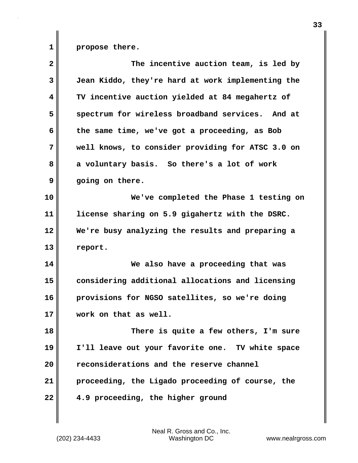**1 propose there.**

| $\overline{\mathbf{2}}$ | The incentive auction team, is led by             |
|-------------------------|---------------------------------------------------|
| 3                       | Jean Kiddo, they're hard at work implementing the |
| 4                       | TV incentive auction yielded at 84 megahertz of   |
| 5                       | spectrum for wireless broadband services. And at  |
| 6                       | the same time, we've got a proceeding, as Bob     |
| 7                       | well knows, to consider providing for ATSC 3.0 on |
| 8                       | a voluntary basis. So there's a lot of work       |
| 9                       | going on there.                                   |
| 10                      | We've completed the Phase 1 testing on            |
| 11                      | license sharing on 5.9 gigahertz with the DSRC.   |
| 12                      | We're busy analyzing the results and preparing a  |
| 13                      | report.                                           |
| 14                      | We also have a proceeding that was                |
| 15                      | considering additional allocations and licensing  |
| 16                      | provisions for NGSO satellites, so we're doing    |
| 17                      | work on that as well.                             |
| 18                      | There is quite a few others, I'm sure             |
| 19                      | I'll leave out your favorite one. TV white space  |
| 20                      | reconsiderations and the reserve channel          |
| 21                      | proceeding, the Ligado proceeding of course, the  |
| 22                      | 4.9 proceeding, the higher ground                 |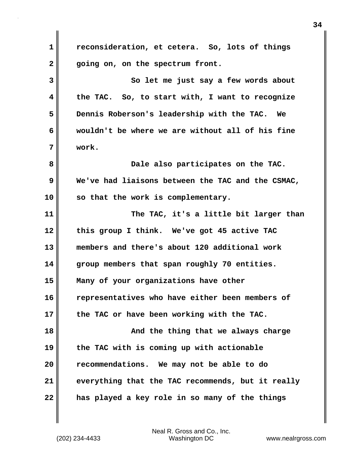**1 reconsideration, et cetera. So, lots of things 2 going on, on the spectrum front. 3** So let me just say a few words about **4 the TAC. So, to start with, I want to recognize 5 Dennis Roberson's leadership with the TAC. We 6 wouldn't be where we are without all of his fine 7 work. 8 Dale also participates on the TAC. 9 We've had liaisons between the TAC and the CSMAC, 10 so that the work is complementary. 11 The TAC, it's a little bit larger than 12 this group I think. We've got 45 active TAC 13 members and there's about 120 additional work 14 group members that span roughly 70 entities. 15 Many of your organizations have other 16 representatives who have either been members of 17 the TAC or have been working with the TAC. 18 And the thing that we always charge 19 the TAC with is coming up with actionable 20 recommendations. We may not be able to do 21 everything that the TAC recommends, but it really 22 has played a key role in so many of the things**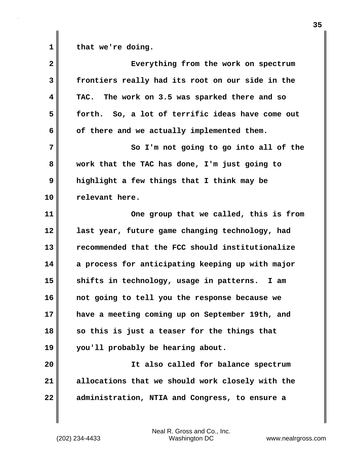**1 that we're doing.**

**2 Everything from the work on spectrum 3 frontiers really had its root on our side in the 4 TAC. The work on 3.5 was sparked there and so 5 forth. So, a lot of terrific ideas have come out** 6 of there and we actually implemented them. **7** So I'm not going to go into all of the **8 work that the TAC has done, I'm just going to 9 highlight a few things that I think may be 10 relevant here. 11 One group that we called, this is from 12 last year, future game changing technology, had 13 recommended that the FCC should institutionalize 14 a process for anticipating keeping up with major 15 shifts in technology, usage in patterns. I am 16 not going to tell you the response because we 17 have a meeting coming up on September 19th, and 18 so this is just a teaser for the things that 19 you'll probably be hearing about. 20 It also called for balance spectrum 21 allocations that we should work closely with the 22 administration, NTIA and Congress, to ensure a**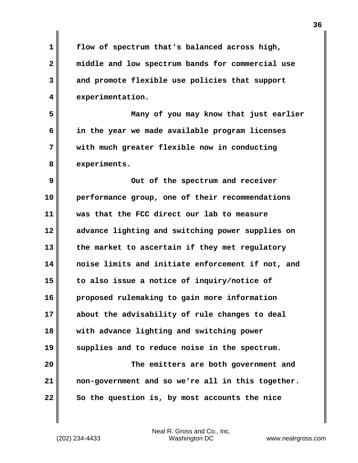**1 flow of spectrum that's balanced across high, 2 middle and low spectrum bands for commercial use 3 and promote flexible use policies that support 4 experimentation. 5 Many of you may know that just earlier 6 in the year we made available program licenses 7 with much greater flexible now in conducting 8 experiments. 9** Out of the spectrum and receiver **10 performance group, one of their recommendations 11 was that the FCC direct our lab to measure 12 advance lighting and switching power supplies on 13 the market to ascertain if they met regulatory 14 noise limits and initiate enforcement if not, and 15 to also issue a notice of inquiry/notice of 16 proposed rulemaking to gain more information 17 about the advisability of rule changes to deal 18 with advance lighting and switching power 19 supplies and to reduce noise in the spectrum. 20 The emitters are both government and 21 non-government and so we're all in this together.**  22 So the question is, by most accounts the nice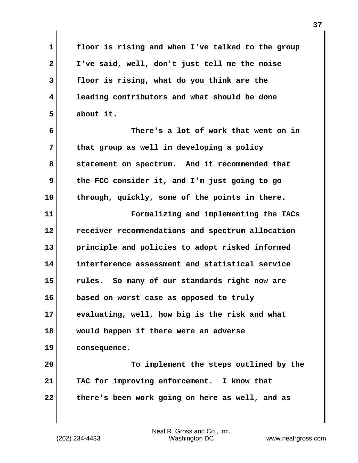**1 floor is rising and when I've talked to the group 2 I've said, well, don't just tell me the noise 3 floor is rising, what do you think are the 4 leading contributors and what should be done 5 about it. 6 There's a lot of work that went on in 7 that group as well in developing a policy 8 statement on spectrum. And it recommended that 9 the FCC consider it, and I'm just going to go 10 through, quickly, some of the points in there. 11 Formalizing and implementing the TACs 12 receiver recommendations and spectrum allocation 13 principle and policies to adopt risked informed 14 interference assessment and statistical service 15 rules. So many of our standards right now are 16 based on worst case as opposed to truly 17 evaluating, well, how big is the risk and what 18 would happen if there were an adverse 19 consequence. 20 To implement the steps outlined by the 21 TAC for improving enforcement. I know that 22 there's been work going on here as well, and as**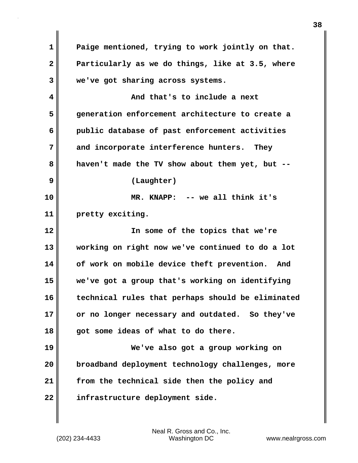**1 Paige mentioned, trying to work jointly on that. 2 Particularly as we do things, like at 3.5, where 3 we've got sharing across systems. 4 And that's to include a next 5 generation enforcement architecture to create a 6 public database of past enforcement activities 7 and incorporate interference hunters. They 8 haven't made the TV show about them yet, but -- 9 (Laughter) 10 MR. KNAPP: -- we all think it's 11 pretty exciting. 12 In some of the topics that we're 13 working on right now we've continued to do a lot 14 of work on mobile device theft prevention. And 15 we've got a group that's working on identifying 16 technical rules that perhaps should be eliminated 17 or no longer necessary and outdated. So they've 18 got some ideas of what to do there. 19 We've also got a group working on 20 broadband deployment technology challenges, more 21 from the technical side then the policy and 22 infrastructure deployment side.**

(202) 234-4433 Washington DC www.nealrgross.com Neal R. Gross and Co., Inc.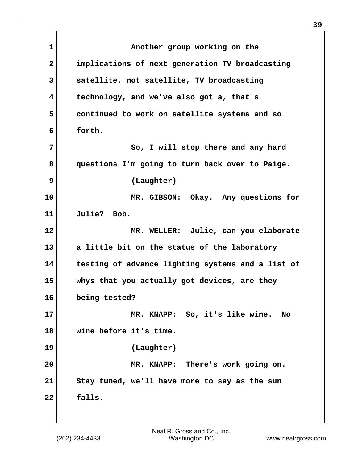| 1  | Another group working on the                      |
|----|---------------------------------------------------|
| 2  | implications of next generation TV broadcasting   |
| 3  | satellite, not satellite, TV broadcasting         |
| 4  | technology, and we've also got a, that's          |
| 5  | continued to work on satellite systems and so     |
| 6  | forth.                                            |
| 7  | So, I will stop there and any hard                |
| 8  | questions I'm going to turn back over to Paige.   |
| 9  | (Laughter)                                        |
| 10 | MR. GIBSON: Okay. Any questions for               |
| 11 | Julie? Bob.                                       |
| 12 | MR. WELLER: Julie, can you elaborate              |
| 13 | a little bit on the status of the laboratory      |
| 14 | testing of advance lighting systems and a list of |
| 15 | whys that you actually got devices, are they      |
| 16 | being tested?                                     |
| 17 | MR. KNAPP: So, it's like wine.<br><b>No</b>       |
| 18 | wine before it's time.                            |
| 19 | (Laughter)                                        |
| 20 | MR. KNAPP: There's work going on.                 |
| 21 | Stay tuned, we'll have more to say as the sun     |
| 22 | falls.                                            |
|    |                                                   |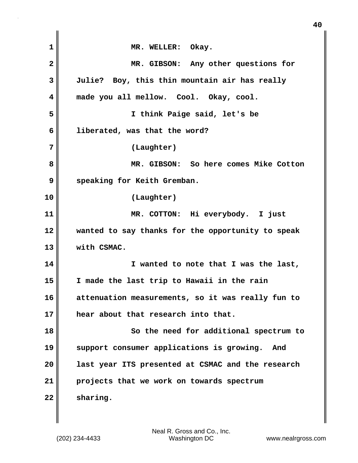| $\mathbf{1}$            | MR. WELLER: Okay.                                 |
|-------------------------|---------------------------------------------------|
| $\overline{\mathbf{2}}$ | MR. GIBSON: Any other questions for               |
| 3                       | Julie? Boy, this thin mountain air has really     |
| 4                       | made you all mellow. Cool. Okay, cool.            |
| 5                       | I think Paige said, let's be                      |
| 6                       | liberated, was that the word?                     |
| 7                       | (Laughter)                                        |
| 8                       | MR. GIBSON: So here comes Mike Cotton             |
| 9                       | speaking for Keith Gremban.                       |
| 10                      | (Laughter)                                        |
| 11                      | MR. COTTON: Hi everybody. I just                  |
| 12                      | wanted to say thanks for the opportunity to speak |
| 13                      | with CSMAC.                                       |
| 14                      | I wanted to note that I was the last,             |
| 15                      | I made the last trip to Hawaii in the rain        |
| 16                      | attenuation measurements, so it was really fun to |
| 17                      | hear about that research into that.               |
| 18                      | So the need for additional spectrum to            |
| 19                      | support consumer applications is growing.<br>And  |
| 20                      | last year ITS presented at CSMAC and the research |
| 21                      | projects that we work on towards spectrum         |
| 22                      | sharing.                                          |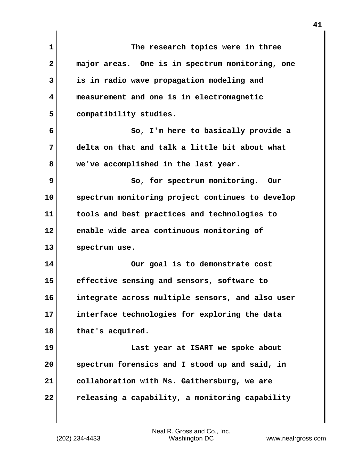| 1              | The research topics were in three                |
|----------------|--------------------------------------------------|
| $\overline{2}$ | major areas. One is in spectrum monitoring, one  |
| 3              | is in radio wave propagation modeling and        |
| 4              | measurement and one is in electromagnetic        |
| 5              | compatibility studies.                           |
| 6              | So, I'm here to basically provide a              |
| 7              | delta on that and talk a little bit about what   |
| 8              | we've accomplished in the last year.             |
| 9              | So, for spectrum monitoring. Our                 |
| 10             | spectrum monitoring project continues to develop |
| 11             | tools and best practices and technologies to     |
| 12             | enable wide area continuous monitoring of        |
| 13             | spectrum use.                                    |
| 14             | Our goal is to demonstrate cost                  |
| 15             | effective sensing and sensors, software to       |
| 16             | integrate across multiple sensors, and also user |
| 17             | interface technologies for exploring the data    |
| 18             | that's acquired.                                 |
| 19             | Last year at ISART we spoke about                |
| 20             | spectrum forensics and I stood up and said, in   |
| 21             | collaboration with Ms. Gaithersburg, we are      |
| 22             | releasing a capability, a monitoring capability  |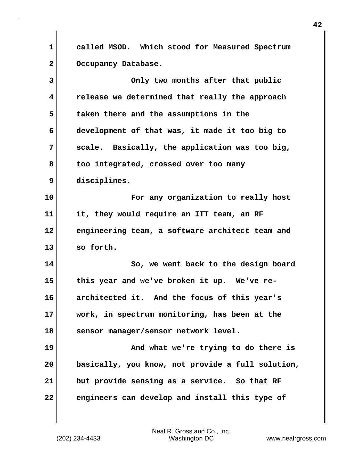**1 called MSOD. Which stood for Measured Spectrum** 2 Occupancy Database.

| 3  | Only two months after that public                 |
|----|---------------------------------------------------|
| 4  | release we determined that really the approach    |
| 5  | taken there and the assumptions in the            |
| 6  | development of that was, it made it too big to    |
| 7  | scale. Basically, the application was too big,    |
| 8  | too integrated, crossed over too many             |
| 9  | disciplines.                                      |
| 10 | For any organization to really host               |
| 11 | it, they would require an ITT team, an RF         |
| 12 | engineering team, a software architect team and   |
| 13 | so forth.                                         |
| 14 | So, we went back to the design board              |
| 15 | this year and we've broken it up. We've re-       |
| 16 | architected it. And the focus of this year's      |
| 17 | work, in spectrum monitoring, has been at the     |
| 18 | sensor manager/sensor network level.              |
| 19 | And what we're trying to do there is              |
| 20 | basically, you know, not provide a full solution, |
| 21 | but provide sensing as a service. So that RF      |
| 22 | engineers can develop and install this type of    |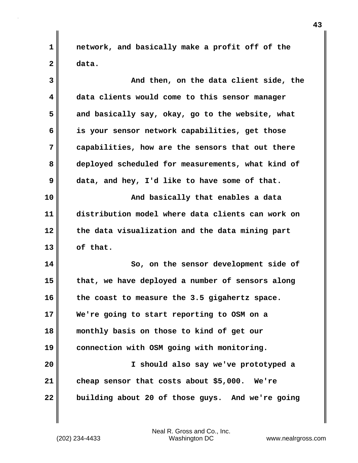**1 network, and basically make a profit off of the 2 data.**

| 3  | And then, on the data client side, the            |
|----|---------------------------------------------------|
| 4  | data clients would come to this sensor manager    |
| 5  | and basically say, okay, go to the website, what  |
| 6  | is your sensor network capabilities, get those    |
| 7  | capabilities, how are the sensors that out there  |
| 8  | deployed scheduled for measurements, what kind of |
| 9  | data, and hey, I'd like to have some of that.     |
| 10 | And basically that enables a data                 |
| 11 | distribution model where data clients can work on |
| 12 | the data visualization and the data mining part   |
| 13 | of that.                                          |
| 14 | So, on the sensor development side of             |
| 15 | that, we have deployed a number of sensors along  |
| 16 | the coast to measure the 3.5 gigahertz space.     |
| 17 | We're going to start reporting to OSM on a        |
| 18 | monthly basis on those to kind of get our         |
| 19 | connection with OSM going with monitoring.        |
| 20 | I should also say we've prototyped a              |
| 21 | cheap sensor that costs about \$5,000. We're      |
| 22 | building about 20 of those guys. And we're going  |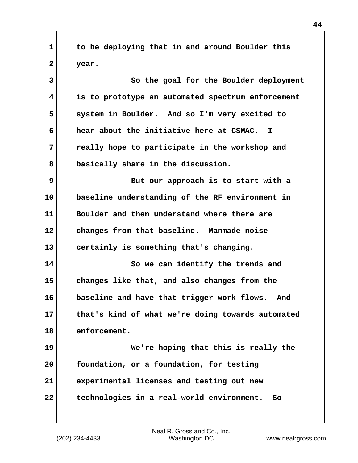**1 to be deploying that in and around Boulder this 2 year.**

**3 So the goal for the Boulder deployment 4 is to prototype an automated spectrum enforcement 5 system in Boulder. And so I'm very excited to 6 hear about the initiative here at CSMAC. I 7 really hope to participate in the workshop and 8 basically share in the discussion. 9 But our approach is to start with a 10 baseline understanding of the RF environment in 11 Boulder and then understand where there are 12 changes from that baseline. Manmade noise 13 certainly is something that's changing. 14** So we can identify the trends and **15 changes like that, and also changes from the 16 baseline and have that trigger work flows. And 17 that's kind of what we're doing towards automated 18 enforcement. 19 We're hoping that this is really the 20 foundation, or a foundation, for testing 21 experimental licenses and testing out new 22 technologies in a real-world environment. So**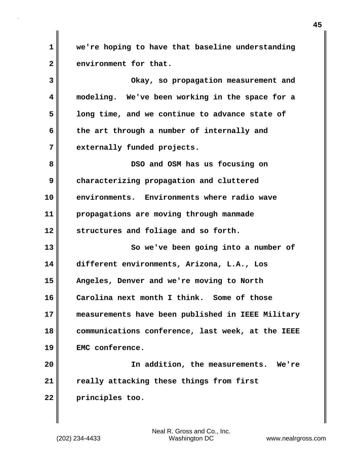**1 we're hoping to have that baseline understanding** 2 environment for that.

**3 Okay, so propagation measurement and 4 modeling. We've been working in the space for a 5 long time, and we continue to advance state of 6 the art through a number of internally and 7 externally funded projects. 8 DSO and OSM has us focusing on 9 characterizing propagation and cluttered 10 environments. Environments where radio wave 11 propagations are moving through manmade 12 structures and foliage and so forth. 13** So we've been going into a number of **14 different environments, Arizona, L.A., Los 15 Angeles, Denver and we're moving to North 16 Carolina next month I think. Some of those 17 measurements have been published in IEEE Military 18 communications conference, last week, at the IEEE 19 EMC conference. 20 In addition, the measurements. We're 21 really attacking these things from first 22 principles too.**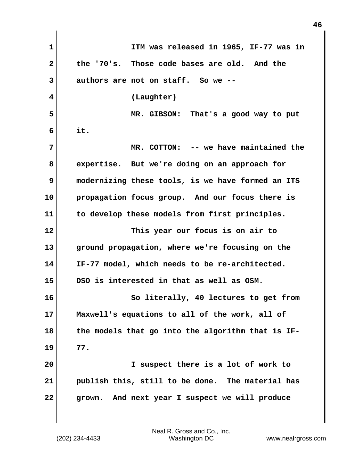| $\mathbf 1$  | ITM was released in 1965, IF-77 was in            |
|--------------|---------------------------------------------------|
| $\mathbf{2}$ | the '70's. Those code bases are old. And the      |
| 3            | authors are not on staff. So we --                |
| 4            | (Laughter)                                        |
| 5            | MR. GIBSON: That's a good way to put              |
| 6            | it.                                               |
| 7            | MR. COTTON: -- we have maintained the             |
| 8            | expertise. But we're doing on an approach for     |
| 9            | modernizing these tools, is we have formed an ITS |
| 10           | propagation focus group. And our focus there is   |
| 11           | to develop these models from first principles.    |
| 12           | This year our focus is on air to                  |
| 13           | ground propagation, where we're focusing on the   |
| 14           | IF-77 model, which needs to be re-architected.    |
| 15           | DSO is interested in that as well as OSM.         |
| 16           | So literally, 40 lectures to get from             |
| 17           | Maxwell's equations to all of the work, all of    |
| 18           | the models that go into the algorithm that is IF- |
| 19           | 77.                                               |
| 20           | I suspect there is a lot of work to               |
| 21           | publish this, still to be done. The material has  |
| 22           | And next year I suspect we will produce<br>grown. |

(202) 234-4433 Washington DC www.nealrgross.com Neal R. Gross and Co., Inc.

 $\mathbf{I}$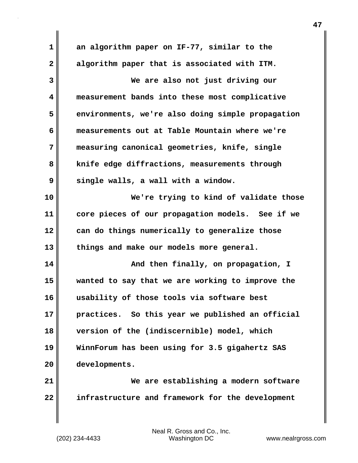**1 an algorithm paper on IF-77, similar to the 2 algorithm paper that is associated with ITM. 3 We are also not just driving our 4 measurement bands into these most complicative 5 environments, we're also doing simple propagation 6 measurements out at Table Mountain where we're 7 measuring canonical geometries, knife, single 8 knife edge diffractions, measurements through 9 single walls, a wall with a window. 10 We're trying to kind of validate those 11 core pieces of our propagation models. See if we 12 can do things numerically to generalize those 13 things and make our models more general. 14 And then finally, on propagation, I 15 wanted to say that we are working to improve the 16 usability of those tools via software best 17 practices. So this year we published an official 18 version of the (indiscernible) model, which 19 WinnForum has been using for 3.5 gigahertz SAS 20 developments. 21 We are establishing a modern software 22 infrastructure and framework for the development**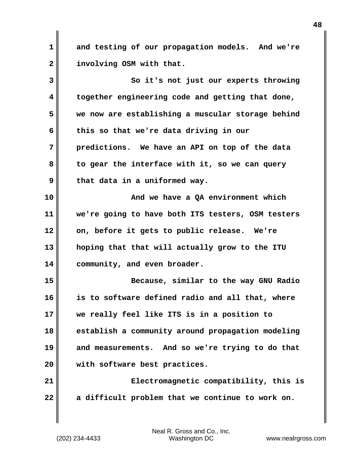**1 and testing of our propagation models. And we're 2 involving OSM with that.**

**3 So it's not just our experts throwing 4 together engineering code and getting that done, 5 we now are establishing a muscular storage behind 6 this so that we're data driving in our 7 predictions. We have an API on top of the data 8 to gear the interface with it, so we can query 9 that data in a uniformed way. 10 And we have a QA environment which 11 we're going to have both ITS testers, OSM testers 12 on, before it gets to public release. We're 13 hoping that that will actually grow to the ITU 14 community, and even broader. 15 Because, similar to the way GNU Radio 16 is to software defined radio and all that, where 17 we really feel like ITS is in a position to 18 establish a community around propagation modeling 19 and measurements. And so we're trying to do that 20 with software best practices. 21 Electromagnetic compatibility, this is 22 a difficult problem that we continue to work on.** 

(202) 234-4433 Washington DC www.nealrgross.com Neal R. Gross and Co., Inc.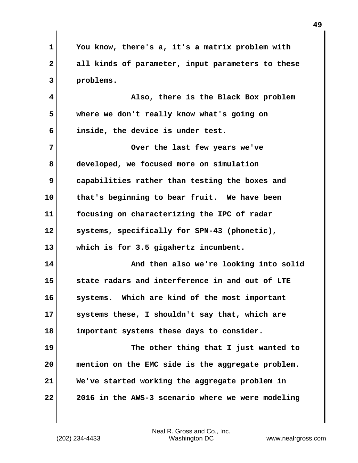**1 You know, there's a, it's a matrix problem with 2 all kinds of parameter, input parameters to these 3 problems. 4 Also, there is the Black Box problem 5 where we don't really know what's going on 6 inside, the device is under test. 7** Over the last few years we've **8 developed, we focused more on simulation 9 capabilities rather than testing the boxes and 10 that's beginning to bear fruit. We have been 11 focusing on characterizing the IPC of radar 12 systems, specifically for SPN-43 (phonetic), 13 which is for 3.5 gigahertz incumbent. 14 And then also we're looking into solid 15 state radars and interference in and out of LTE 16 systems. Which are kind of the most important 17 systems these, I shouldn't say that, which are 18 important systems these days to consider. 19 The other thing that I just wanted to 20 mention on the EMC side is the aggregate problem. 21 We've started working the aggregate problem in 22 2016 in the AWS-3 scenario where we were modeling**

(202) 234-4433 Washington DC www.nealrgross.com Neal R. Gross and Co., Inc.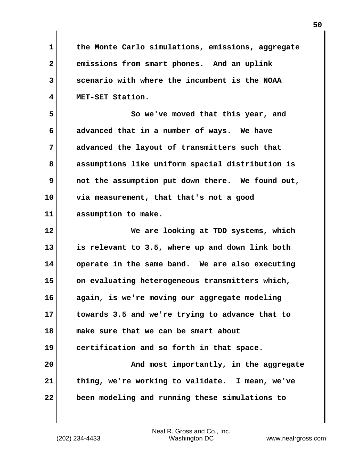**1 the Monte Carlo simulations, emissions, aggregate 2 emissions from smart phones. And an uplink 3 scenario with where the incumbent is the NOAA 4 MET-SET Station. 5 So we've moved that this year, and 6 advanced that in a number of ways. We have 7 advanced the layout of transmitters such that 8 assumptions like uniform spacial distribution is 9 not the assumption put down there. We found out, 10 via measurement, that that's not a good 11 assumption to make. 12 We are looking at TDD systems, which 13 is relevant to 3.5, where up and down link both 14 operate in the same band. We are also executing 15 on evaluating heterogeneous transmitters which, 16 again, is we're moving our aggregate modeling 17 towards 3.5 and we're trying to advance that to 18 make sure that we can be smart about 19 certification and so forth in that space. 20 And most importantly, in the aggregate 21 thing, we're working to validate. I mean, we've 22 been modeling and running these simulations to**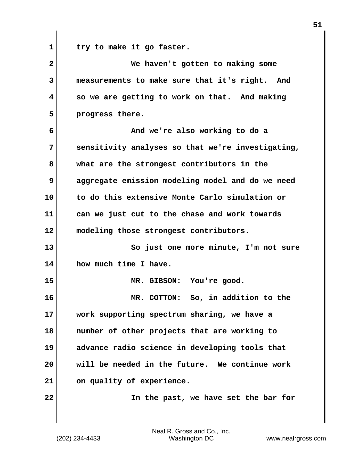1 try to make it go faster.

| $\overline{2}$ | We haven't gotten to making some                  |
|----------------|---------------------------------------------------|
| 3              | measurements to make sure that it's right. And    |
| 4              | so we are getting to work on that. And making     |
| 5              | progress there.                                   |
| 6              | And we're also working to do a                    |
| 7              | sensitivity analyses so that we're investigating, |
| 8              | what are the strongest contributors in the        |
| 9              | aggregate emission modeling model and do we need  |
| 10             | to do this extensive Monte Carlo simulation or    |
| 11             | can we just cut to the chase and work towards     |
| 12             | modeling those strongest contributors.            |
| 13             | So just one more minute, I'm not sure             |
| 14             | how much time I have.                             |
| 15             | MR. GIBSON: You're good.                          |
| 16             | MR. COTTON: So, in addition to the                |
| 17             | work supporting spectrum sharing, we have a       |
| 18             | number of other projects that are working to      |
| 19             | advance radio science in developing tools that    |
| 20             | will be needed in the future. We continue work    |
| 21             | on quality of experience.                         |
| 22             | In the past, we have set the bar for              |
|                |                                                   |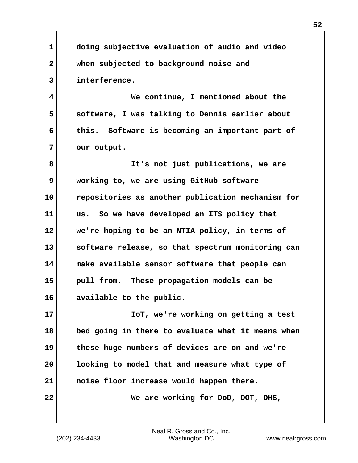**1 doing subjective evaluation of audio and video 2 when subjected to background noise and 3 interference.**

**4 We continue, I mentioned about the 5 software, I was talking to Dennis earlier about 6 this. Software is becoming an important part of** 7 | our output.

**8 It's not just publications, we are 9 working to, we are using GitHub software 10 repositories as another publication mechanism for 11 us. So we have developed an ITS policy that 12 we're hoping to be an NTIA policy, in terms of 13 software release, so that spectrum monitoring can 14 make available sensor software that people can 15 pull from. These propagation models can be 16 available to the public.**

**17 IoT, we're working on getting a test 18 bed going in there to evaluate what it means when 19 these huge numbers of devices are on and we're 20 looking to model that and measure what type of 21 noise floor increase would happen there.**

**22 We are working for DoD, DOT, DHS,**

(202) 234-4433 Washington DC www.nealrgross.com Neal R. Gross and Co., Inc.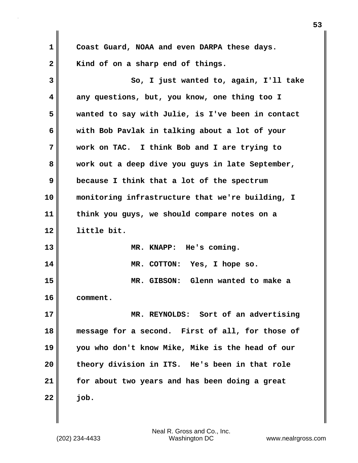| 1            | Coast Guard, NOAA and even DARPA these days.      |
|--------------|---------------------------------------------------|
| $\mathbf{2}$ | Kind of on a sharp end of things.                 |
| 3            | So, I just wanted to, again, I'll take            |
| 4            | any questions, but, you know, one thing too I     |
| 5            | wanted to say with Julie, is I've been in contact |
| 6            | with Bob Pavlak in talking about a lot of your    |
| 7            | work on TAC. I think Bob and I are trying to      |
| 8            | work out a deep dive you guys in late September,  |
| 9            | because I think that a lot of the spectrum        |
| 10           | monitoring infrastructure that we're building, I  |
| 11           | think you guys, we should compare notes on a      |
| 12           | little bit.                                       |
| 13           | MR. KNAPP: He's coming.                           |
| 14           | MR. COTTON: Yes, I hope so.                       |
| 15           | MR. GIBSON: Glenn wanted to make a                |
| 16           | comment.                                          |
| 17           | MR. REYNOLDS: Sort of an advertising              |
| 18           | message for a second. First of all, for those of  |
| 19           | you who don't know Mike, Mike is the head of our  |
| 20           | theory division in ITS. He's been in that role    |
| 21           | for about two years and has been doing a great    |
| 22           | job.                                              |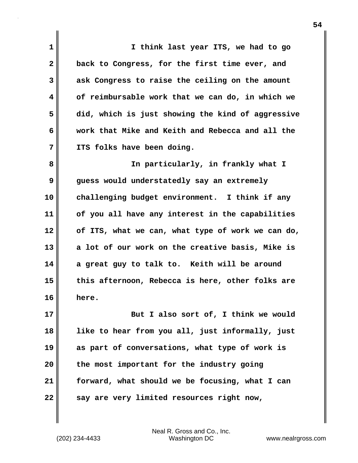**1 I think last year ITS, we had to go 2 back to Congress, for the first time ever, and 3 ask Congress to raise the ceiling on the amount 4 of reimbursable work that we can do, in which we 5 did, which is just showing the kind of aggressive 6 work that Mike and Keith and Rebecca and all the 7 ITS folks have been doing. 8 In particularly, in frankly what I 9 guess would understatedly say an extremely 10 challenging budget environment. I think if any 11 of you all have any interest in the capabilities 12 of ITS, what we can, what type of work we can do, 13 a lot of our work on the creative basis, Mike is 14 a great guy to talk to. Keith will be around 15 this afternoon, Rebecca is here, other folks are 16 here. 17 But I also sort of, I think we would 18 like to hear from you all, just informally, just 19 as part of conversations, what type of work is 20 the most important for the industry going 21 forward, what should we be focusing, what I can** 22 **say are very limited resources right now,** 

(202) 234-4433 Washington DC www.nealrgross.com Neal R. Gross and Co., Inc.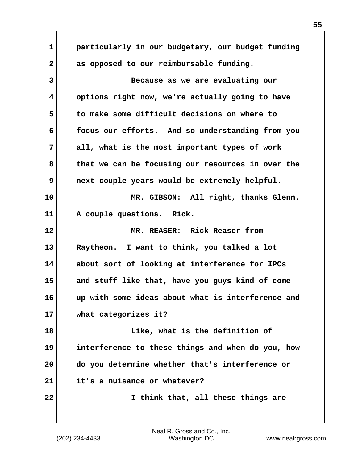**1 particularly in our budgetary, our budget funding 2 as opposed to our reimbursable funding. 3 Because as we are evaluating our 4 options right now, we're actually going to have 5 to make some difficult decisions on where to 6 focus our efforts. And so understanding from you 7 all, what is the most important types of work 8 that we can be focusing our resources in over the 9 next couple years would be extremely helpful. 10 MR. GIBSON: All right, thanks Glenn. 11 A couple questions. Rick. 12 MR. REASER: Rick Reaser from 13 Raytheon. I want to think, you talked a lot 14 about sort of looking at interference for IPCs 15 and stuff like that, have you guys kind of come 16 up with some ideas about what is interference and 17 what categorizes it? 18 Like, what is the definition of 19 interference to these things and when do you, how 20 do you determine whether that's interference or 21 it's a nuisance or whatever? 22 I think that, all these things are**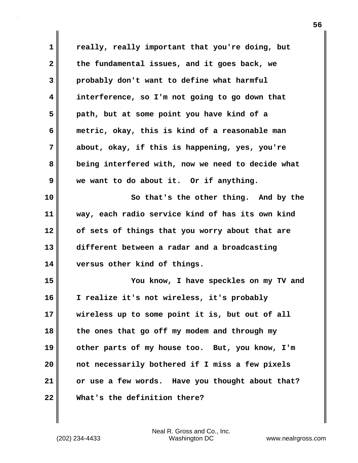| $\mathbf 1$  | really, really important that you're doing, but   |
|--------------|---------------------------------------------------|
| $\mathbf{2}$ | the fundamental issues, and it goes back, we      |
| 3            | probably don't want to define what harmful        |
| 4            | interference, so I'm not going to go down that    |
| 5            | path, but at some point you have kind of a        |
| 6            | metric, okay, this is kind of a reasonable man    |
| 7            | about, okay, if this is happening, yes, you're    |
| 8            | being interfered with, now we need to decide what |
| 9            | we want to do about it. Or if anything.           |
| 10           | So that's the other thing. And by the             |
| 11           | way, each radio service kind of has its own kind  |
| 12           | of sets of things that you worry about that are   |
| 13           | different between a radar and a broadcasting      |
| 14           | versus other kind of things.                      |
| 15           | You know, I have speckles on my TV and            |
| 16           | I realize it's not wireless, it's probably        |
| 17           | wireless up to some point it is, but out of all   |
| 18           | the ones that go off my modem and through my      |
| 19           | other parts of my house too. But, you know, I'm   |
| 20           | not necessarily bothered if I miss a few pixels   |
| 21           | or use a few words. Have you thought about that?  |
| 22           | What's the definition there?                      |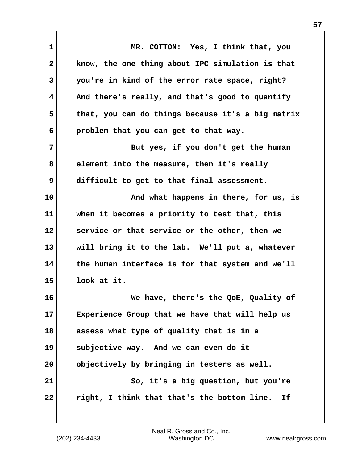| 1  | MR. COTTON: Yes, I think that, you                |
|----|---------------------------------------------------|
| 2  | know, the one thing about IPC simulation is that  |
| 3  | you're in kind of the error rate space, right?    |
| 4  | And there's really, and that's good to quantify   |
| 5  | that, you can do things because it's a big matrix |
| 6  | problem that you can get to that way.             |
| 7  | But yes, if you don't get the human               |
| 8  | element into the measure, then it's really        |
| 9  | difficult to get to that final assessment.        |
| 10 | And what happens in there, for us, is             |
| 11 | when it becomes a priority to test that, this     |
| 12 | service or that service or the other, then we     |
| 13 | will bring it to the lab. We'll put a, whatever   |
| 14 | the human interface is for that system and we'll  |
| 15 | look at it.                                       |
| 16 | We have, there's the QoE, Quality of              |
| 17 | Experience Group that we have that will help us   |
| 18 | assess what type of quality that is in a          |
| 19 | subjective way. And we can even do it             |
| 20 | objectively by bringing in testers as well.       |
| 21 | So, it's a big question, but you're               |
| 22 | right, I think that that's the bottom line.<br>Ιf |
|    |                                                   |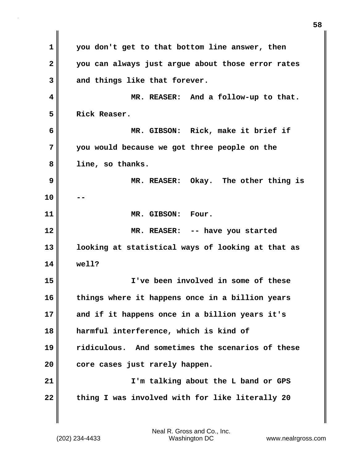**1 you don't get to that bottom line answer, then 2 you can always just argue about those error rates 3 and things like that forever. 4 MR. REASER: And a follow-up to that. 5 Rick Reaser. 6 MR. GIBSON: Rick, make it brief if 7 you would because we got three people on the 8 line, so thanks. 9 MR. REASER: Okay. The other thing is 10 -- 11 MR. GIBSON: Four. 12 MR. REASER: -- have you started 13 looking at statistical ways of looking at that as 14 well? 15 I've been involved in some of these 16 things where it happens once in a billion years 17 and if it happens once in a billion years it's 18 harmful interference, which is kind of 19 ridiculous. And sometimes the scenarios of these 20 core cases just rarely happen. 21 I'm talking about the L band or GPS** 22 thing I was involved with for like literally 20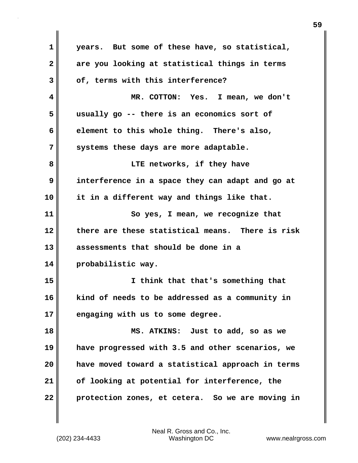**1 years. But some of these have, so statistical, 2 are you looking at statistical things in terms 3 of, terms with this interference? 4 MR. COTTON: Yes. I mean, we don't 5 usually go -- there is an economics sort of 6 element to this whole thing. There's also, 7 systems these days are more adaptable. 8 LTE networks, if they have 9 interference in a space they can adapt and go at 10 it in a different way and things like that. 11 So yes, I mean, we recognize that 12 there are these statistical means. There is risk 13 assessments that should be done in a 14 probabilistic way. 15 I think that that's something that 16 kind of needs to be addressed as a community in 17 engaging with us to some degree. 18 MS. ATKINS: Just to add, so as we 19 have progressed with 3.5 and other scenarios, we 20 have moved toward a statistical approach in terms 21 of looking at potential for interference, the 22 protection zones, et cetera. So we are moving in**

Neal R. Gross and Co., Inc.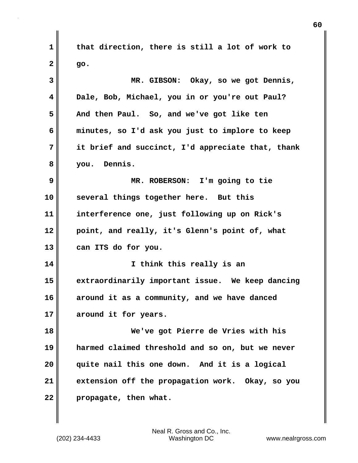**1 that direction, there is still a lot of work to 2 go. 3 MR. GIBSON: Okay, so we got Dennis, 4 Dale, Bob, Michael, you in or you're out Paul? 5 And then Paul. So, and we've got like ten 6 minutes, so I'd ask you just to implore to keep 7 it brief and succinct, I'd appreciate that, thank 8 you. Dennis. 9 MR. ROBERSON: I'm going to tie 10 several things together here. But this 11 interference one, just following up on Rick's 12 point, and really, it's Glenn's point of, what 13 can ITS do for you. 14 I think this really is an 15 extraordinarily important issue. We keep dancing 16 around it as a community, and we have danced 17 around it for years. 18 We've got Pierre de Vries with his 19 harmed claimed threshold and so on, but we never 20 quite nail this one down. And it is a logical 21 extension off the propagation work. Okay, so you 22 propagate, then what.**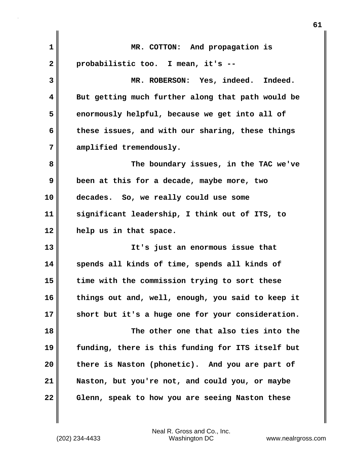| $\mathbf 1$  | MR. COTTON: And propagation is                    |
|--------------|---------------------------------------------------|
| $\mathbf{2}$ | probabilistic too. I mean, it's --                |
| 3            | MR. ROBERSON: Yes, indeed. Indeed.                |
| 4            | But getting much further along that path would be |
| 5            | enormously helpful, because we get into all of    |
| 6            | these issues, and with our sharing, these things  |
| 7            | amplified tremendously.                           |
| 8            | The boundary issues, in the TAC we've             |
| 9            | been at this for a decade, maybe more, two        |
| 10           | decades. So, we really could use some             |
| 11           | significant leadership, I think out of ITS, to    |
| 12           | help us in that space.                            |
| 13           | It's just an enormous issue that                  |
| 14           | spends all kinds of time, spends all kinds of     |
| 15           | time with the commission trying to sort these     |
| 16           | things out and, well, enough, you said to keep it |
| 17           | short but it's a huge one for your consideration. |
| 18           | The other one that also ties into the             |
| 19           | funding, there is this funding for ITS itself but |
| 20           | there is Naston (phonetic). And you are part of   |
| 21           | Naston, but you're not, and could you, or maybe   |
| 22           | Glenn, speak to how you are seeing Naston these   |

(202) 234-4433 Washington DC www.nealrgross.com Neal R. Gross and Co., Inc.

 $\mathbf{I}$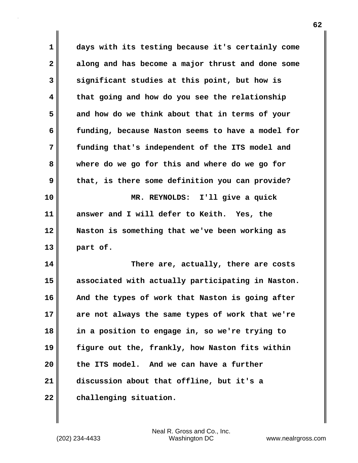**1 days with its testing because it's certainly come 2 along and has become a major thrust and done some 3 significant studies at this point, but how is 4 that going and how do you see the relationship 5 and how do we think about that in terms of your 6 funding, because Naston seems to have a model for 7 funding that's independent of the ITS model and 8 where do we go for this and where do we go for 9 that, is there some definition you can provide? 10 MR. REYNOLDS: I'll give a quick 11 answer and I will defer to Keith. Yes, the 12 Naston is something that we've been working as 13 part of. 14 There are, actually, there are costs 15 associated with actually participating in Naston. 16 And the types of work that Naston is going after 17 are not always the same types of work that we're 18 in a position to engage in, so we're trying to 19 figure out the, frankly, how Naston fits within 20 the ITS model. And we can have a further 21 discussion about that offline, but it's a**

**22 challenging situation.**

(202) 234-4433 Washington DC www.nealrgross.com Neal R. Gross and Co., Inc.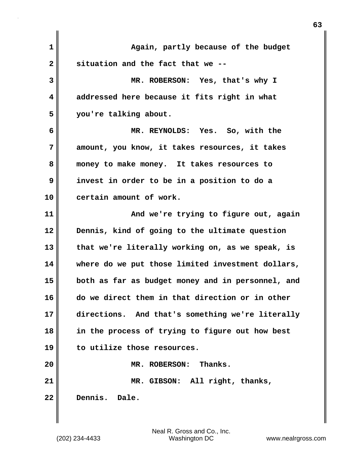| $\mathbf 1$  | Again, partly because of the budget               |
|--------------|---------------------------------------------------|
| $\mathbf{2}$ | situation and the fact that we --                 |
| 3            | MR. ROBERSON: Yes, that's why I                   |
| 4            | addressed here because it fits right in what      |
| 5            | you're talking about.                             |
| 6            | MR. REYNOLDS: Yes. So, with the                   |
| 7            | amount, you know, it takes resources, it takes    |
| 8            | money to make money. It takes resources to        |
| 9            | invest in order to be in a position to do a       |
| 10           | certain amount of work.                           |
| 11           | And we're trying to figure out, again             |
| 12           | Dennis, kind of going to the ultimate question    |
| 13           | that we're literally working on, as we speak, is  |
| 14           | where do we put those limited investment dollars, |
| 15           | both as far as budget money and in personnel, and |
| 16           | do we direct them in that direction or in other   |
| 17           | directions. And that's something we're literally  |
| 18           | in the process of trying to figure out how best   |
| 19           | to utilize those resources.                       |
| 20           | MR. ROBERSON: Thanks.                             |
| 21           | MR. GIBSON: All right, thanks,                    |
| 22           | Dennis.<br>Dale.                                  |
|              |                                                   |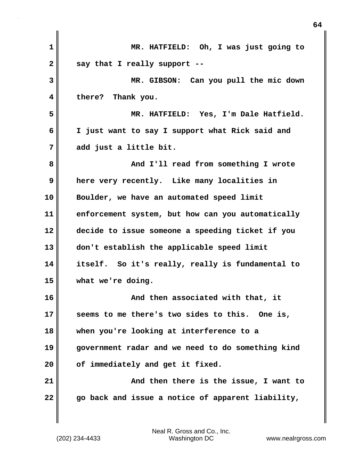| 1  | MR. HATFIELD: Oh, I was just going to             |
|----|---------------------------------------------------|
| 2  | say that I really support --                      |
| 3  | MR. GIBSON: Can you pull the mic down             |
| 4  | there? Thank you.                                 |
| 5  | MR. HATFIELD: Yes, I'm Dale Hatfield.             |
| 6  | I just want to say I support what Rick said and   |
| 7  | add just a little bit.                            |
| 8  | And I'll read from something I wrote              |
| 9  | here very recently. Like many localities in       |
| 10 | Boulder, we have an automated speed limit         |
| 11 | enforcement system, but how can you automatically |
| 12 | decide to issue someone a speeding ticket if you  |
| 13 | don't establish the applicable speed limit        |
| 14 | itself. So it's really, really is fundamental to  |
| 15 | what we're doing.                                 |
| 16 | And then associated with that, it                 |
| 17 | seems to me there's two sides to this.<br>One is, |
| 18 | when you're looking at interference to a          |
| 19 | government radar and we need to do something kind |
| 20 | of immediately and get it fixed.                  |
| 21 | And then there is the issue, I want to            |
| 22 | go back and issue a notice of apparent liability, |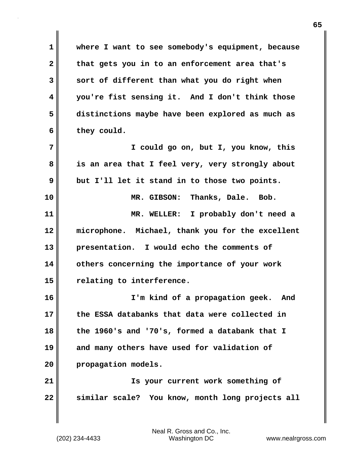**1 where I want to see somebody's equipment, because 2 that gets you in to an enforcement area that's 3 sort of different than what you do right when 4 you're fist sensing it. And I don't think those 5 distinctions maybe have been explored as much as 6 they could. 7 I could go on, but I, you know, this 8 is an area that I feel very, very strongly about 9 but I'll let it stand in to those two points. 10 MR. GIBSON: Thanks, Dale. Bob. 11 MR. WELLER: I probably don't need a 12 microphone. Michael, thank you for the excellent 13 presentation. I would echo the comments of 14 others concerning the importance of your work 15 relating to interference. 16 I'm kind of a propagation geek. And 17 the ESSA databanks that data were collected in 18 the 1960's and '70's, formed a databank that I 19 and many others have used for validation of 20 propagation models. 21 Is your current work something of 22 similar scale? You know, month long projects all**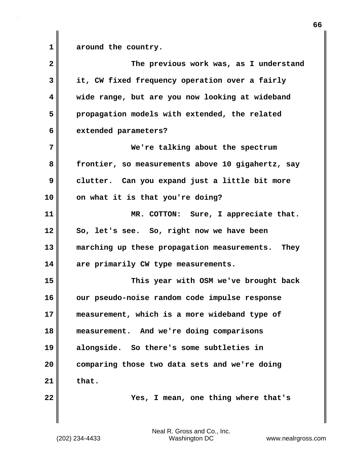**1 around the country.**

**2 The previous work was, as I understand 3 it, CW fixed frequency operation over a fairly 4 wide range, but are you now looking at wideband 5 propagation models with extended, the related 6 extended parameters? 7 We're talking about the spectrum 8 frontier, so measurements above 10 gigahertz, say 9 clutter. Can you expand just a little bit more 10 on what it is that you're doing? 11 MR. COTTON: Sure, I appreciate that. 12 So, let's see. So, right now we have been 13 marching up these propagation measurements. They 14 are primarily CW type measurements. 15 This year with OSM we've brought back 16 our pseudo-noise random code impulse response 17 measurement, which is a more wideband type of 18 measurement. And we're doing comparisons 19 alongside. So there's some subtleties in 20 comparing those two data sets and we're doing 21 that. 22 Yes, I mean, one thing where that's**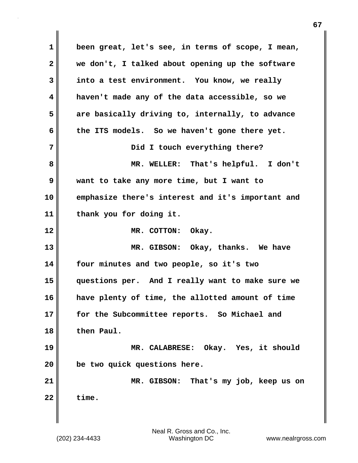**1 been great, let's see, in terms of scope, I mean, 2 we don't, I talked about opening up the software 3 into a test environment. You know, we really 4 haven't made any of the data accessible, so we 5 are basically driving to, internally, to advance 6 the ITS models. So we haven't gone there yet. 7 Did I touch everything there? 8 MR. WELLER: That's helpful. I don't 9 want to take any more time, but I want to 10 emphasize there's interest and it's important and 11 thank you for doing it. 12 MR. COTTON: Okay. 13 MR. GIBSON: Okay, thanks. We have 14 four minutes and two people, so it's two 15 questions per. And I really want to make sure we 16 have plenty of time, the allotted amount of time 17 for the Subcommittee reports. So Michael and 18 then Paul. 19 MR. CALABRESE: Okay. Yes, it should 20 be two quick questions here. 21 MR. GIBSON: That's my job, keep us on**  $22$  time.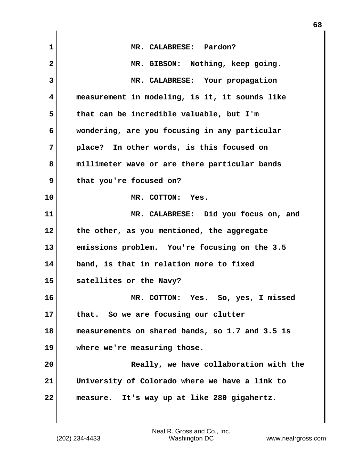| $\mathbf 1$  | MR. CALABRESE: Pardon?                             |
|--------------|----------------------------------------------------|
| $\mathbf{2}$ | MR. GIBSON: Nothing, keep going.                   |
| 3            | MR. CALABRESE: Your propagation                    |
| 4            | measurement in modeling, is it, it sounds like     |
| 5            | that can be incredible valuable, but I'm           |
| 6            | wondering, are you focusing in any particular      |
| 7            | place? In other words, is this focused on          |
| 8            | millimeter wave or are there particular bands      |
| 9            | that you're focused on?                            |
| 10           | MR. COTTON: Yes.                                   |
| 11           | MR. CALABRESE: Did you focus on, and               |
| 12           | the other, as you mentioned, the aggregate         |
| 13           | emissions problem. You're focusing on the 3.5      |
| 14           | band, is that in relation more to fixed            |
| 15           | satellites or the Navy?                            |
| 16           | Yes. So, yes, I missed<br>$MR$ .<br><b>COTTON:</b> |
| 17           | that. So we are focusing our clutter               |
| 18           | measurements on shared bands, so 1.7 and 3.5 is    |
| 19           | where we're measuring those.                       |
| 20           | Really, we have collaboration with the             |
| 21           | University of Colorado where we have a link to     |
| 22           | measure. It's way up at like 280 gigahertz.        |
|              |                                                    |

Neal R. Gross and Co., Inc.

 $\mathbf{I}$ 

(202) 234-4433 Washington DC www.nealrgross.com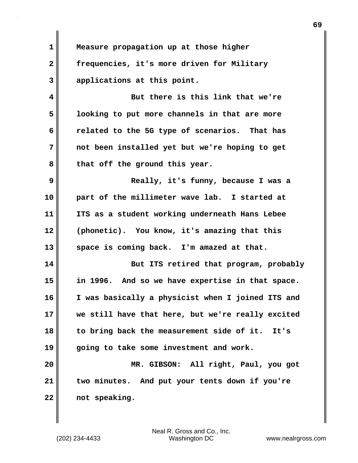**1 Measure propagation up at those higher 2 frequencies, it's more driven for Military 3 applications at this point.**

**4 But there is this link that we're 5 looking to put more channels in that are more 6 related to the 5G type of scenarios. That has 7 not been installed yet but we're hoping to get 8 that off the ground this year.**

**9 Really, it's funny, because I was a 10 part of the millimeter wave lab. I started at 11 ITS as a student working underneath Hans Lebee 12 (phonetic). You know, it's amazing that this 13 space is coming back. I'm amazed at that.**

**14 But ITS retired that program, probably 15 in 1996. And so we have expertise in that space. 16 I was basically a physicist when I joined ITS and 17 we still have that here, but we're really excited 18 to bring back the measurement side of it. It's 19 going to take some investment and work.**

**20 MR. GIBSON: All right, Paul, you got 21 two minutes. And put your tents down if you're 22 not speaking.**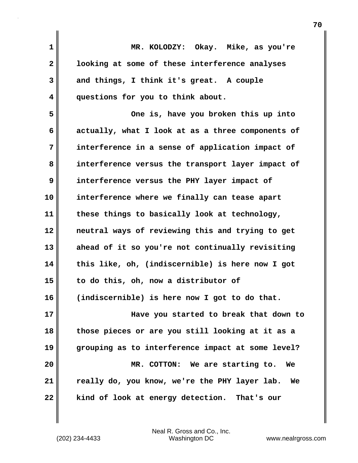| 1            | MR. KOLODZY: Okay. Mike, as you're                  |
|--------------|-----------------------------------------------------|
| $\mathbf{2}$ | looking at some of these interference analyses      |
| 3            | and things, I think it's great. A couple            |
| 4            | questions for you to think about.                   |
| 5            | One is, have you broken this up into                |
| 6            | actually, what I look at as a three components of   |
| 7            | interference in a sense of application impact of    |
| 8            | interference versus the transport layer impact of   |
| 9            | interference versus the PHY layer impact of         |
| 10           | interference where we finally can tease apart       |
| 11           | these things to basically look at technology,       |
| 12           | neutral ways of reviewing this and trying to get    |
| 13           | ahead of it so you're not continually revisiting    |
| 14           | this like, oh, (indiscernible) is here now I got    |
| 15           | to do this, oh, now a distributor of                |
| 16           | (indiscernible) is here now I got to do that.       |
| 17           | Have you started to break that down to              |
| 18           | those pieces or are you still looking at it as a    |
| 19           | grouping as to interference impact at some level?   |
| 20           | MR. COTTON: We are starting to.<br>We               |
| 21           | really do, you know, we're the PHY layer lab.<br>We |
| 22           | kind of look at energy detection. That's our        |

(202) 234-4433 Washington DC www.nealrgross.com Neal R. Gross and Co., Inc.

 $\mathbf{I}$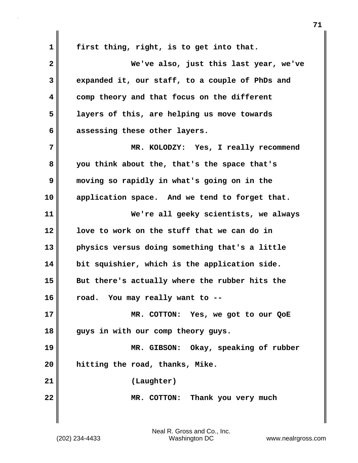**1 first thing, right, is to get into that. 2 We've also, just this last year, we've 3 expanded it, our staff, to a couple of PhDs and 4 comp theory and that focus on the different 5 layers of this, are helping us move towards 6 assessing these other layers. 7 MR. KOLODZY: Yes, I really recommend 8 you think about the, that's the space that's 9 moving so rapidly in what's going on in the 10 application space. And we tend to forget that. 11 We're all geeky scientists, we always 12 love to work on the stuff that we can do in 13 physics versus doing something that's a little 14 bit squishier, which is the application side. 15 But there's actually where the rubber hits the 16 road. You may really want to -- 17 MR. COTTON: Yes, we got to our QoE 18 guys in with our comp theory guys. 19 MR. GIBSON: Okay, speaking of rubber 20 hitting the road, thanks, Mike. 21 (Laughter) 22 MR. COTTON: Thank you very much**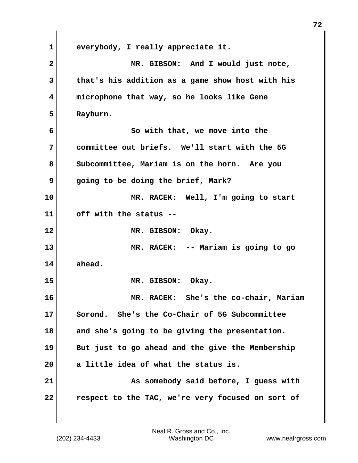**1 everybody, I really appreciate it. 2 MR. GIBSON: And I would just note, 3 that's his addition as a game show host with his 4 microphone that way, so he looks like Gene 5 Rayburn. 6 So with that, we move into the 7 committee out briefs. We'll start with the 5G 8 Subcommittee, Mariam is on the horn. Are you 9 going to be doing the brief, Mark? 10 MR. RACEK: Well, I'm going to start 11 off with the status -- 12 MR. GIBSON: Okay. 13 MR. RACEK: -- Mariam is going to go 14 ahead. 15 MR. GIBSON: Okay. 16 MR. RACEK: She's the co-chair, Mariam 17 Sorond. She's the Co-Chair of 5G Subcommittee 18 and she's going to be giving the presentation. 19 But just to go ahead and the give the Membership 20 a little idea of what the status is.** 21 **As somebody said before, I guess with 22 respect to the TAC, we're very focused on sort of**

(202) 234-4433 Washington DC www.nealrgross.com Neal R. Gross and Co., Inc.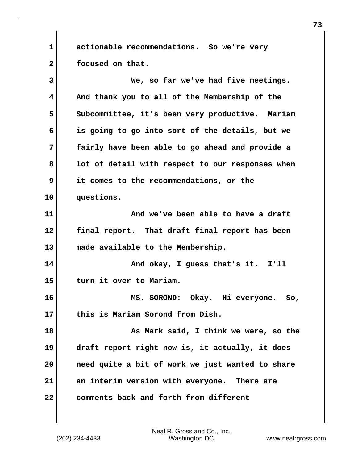**1 actionable recommendations. So we're very 2 focused on that.**

**3 We, so far we've had five meetings. 4 And thank you to all of the Membership of the 5 Subcommittee, it's been very productive. Mariam 6 is going to go into sort of the details, but we 7 fairly have been able to go ahead and provide a 8 lot of detail with respect to our responses when 9 it comes to the recommendations, or the 10 questions. 11 And we've been able to have a draft 12 final report. That draft final report has been 13 made available to the Membership. 14 And okay, I guess that's it.** I'll **15 turn it over to Mariam. 16 MS. SOROND: Okay. Hi everyone. So, 17 this is Mariam Sorond from Dish. 18 As Mark said, I think we were, so the 19 draft report right now is, it actually, it does 20 need quite a bit of work we just wanted to share 21 an interim version with everyone. There are 22 comments back and forth from different**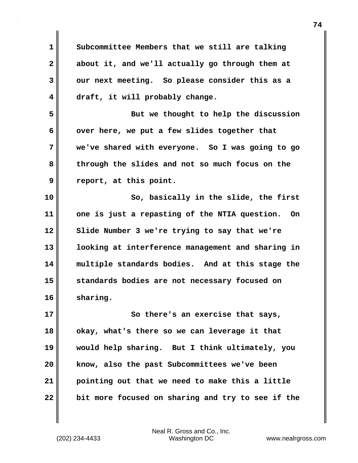| $\mathbf{1}$ | Subcommittee Members that we still are talking      |
|--------------|-----------------------------------------------------|
| $\mathbf{2}$ | about it, and we'll actually go through them at     |
| 3            | our next meeting. So please consider this as a      |
| 4            | draft, it will probably change.                     |
| 5            | But we thought to help the discussion               |
| 6            | over here, we put a few slides together that        |
| 7            | we've shared with everyone. So I was going to go    |
| 8            | through the slides and not so much focus on the     |
| 9            | report, at this point.                              |
| 10           | So, basically in the slide, the first               |
| 11           | one is just a repasting of the NTIA question.<br>On |
| 12           | Slide Number 3 we're trying to say that we're       |
| 13           | looking at interference management and sharing in   |
| 14           | multiple standards bodies. And at this stage the    |
| 15           | standards bodies are not necessary focused on       |
| 16           | sharing.                                            |
| 17           | So there's an exercise that says,                   |
| 18           | okay, what's there so we can leverage it that       |
| 19           | would help sharing. But I think ultimately, you     |
| 20           | know, also the past Subcommittees we've been        |
| 21           | pointing out that we need to make this a little     |
| 22           | bit more focused on sharing and try to see if the   |

 $\mathbf{I}$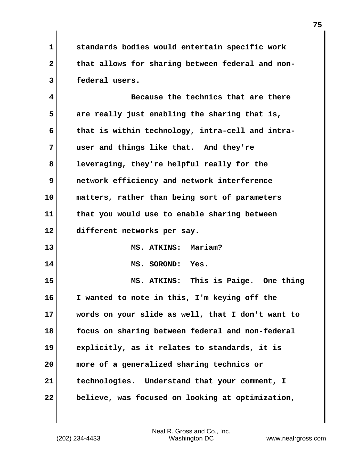**1 standards bodies would entertain specific work** 2 that allows for sharing between federal and non-**3 federal users.**

**4 Because the technics that are there 5 are really just enabling the sharing that is, 6 that is within technology, intra-cell and intra-7 user and things like that. And they're 8 leveraging, they're helpful really for the 9 network efficiency and network interference 10 matters, rather than being sort of parameters 11 that you would use to enable sharing between 12 different networks per say. 13 MS. ATKINS: Mariam? 14 MS. SOROND: Yes. 15 MS. ATKINS: This is Paige. One thing 16 I wanted to note in this, I'm keying off the 17 words on your slide as well, that I don't want to 18 focus on sharing between federal and non-federal**

**19 explicitly, as it relates to standards, it is**

**20 more of a generalized sharing technics or**

**21 technologies. Understand that your comment, I 22 believe, was focused on looking at optimization,**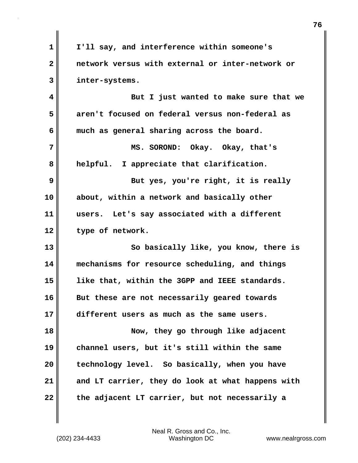| 1            | I'll say, and interference within someone's       |
|--------------|---------------------------------------------------|
| $\mathbf{2}$ | network versus with external or inter-network or  |
| 3            | inter-systems.                                    |
| 4            | But I just wanted to make sure that we            |
| 5            | aren't focused on federal versus non-federal as   |
| 6            | much as general sharing across the board.         |
| 7            | MS. SOROND: Okay. Okay, that's                    |
| 8            | helpful. I appreciate that clarification.         |
| 9            | But yes, you're right, it is really               |
| 10           | about, within a network and basically other       |
| 11           | users. Let's say associated with a different      |
| 12           | type of network.                                  |
| 13           | So basically like, you know, there is             |
| 14           | mechanisms for resource scheduling, and things    |
| 15           | like that, within the 3GPP and IEEE standards.    |
| 16           | But these are not necessarily geared towards      |
| 17           | different users as much as the same users.        |
| 18           | Now, they go through like adjacent                |
| 19           | channel users, but it's still within the same     |
| 20           | technology level. So basically, when you have     |
| 21           | and LT carrier, they do look at what happens with |
| 22           | the adjacent LT carrier, but not necessarily a    |

 $\mathbf{I}$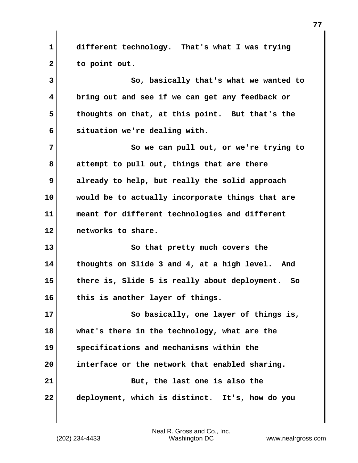**1 different technology. That's what I was trying 2 to point out.**

**3 So, basically that's what we wanted to 4 bring out and see if we can get any feedback or 5 thoughts on that, at this point. But that's the 6 situation we're dealing with.**

**7** So we can pull out, or we're trying to **8 attempt to pull out, things that are there 9 already to help, but really the solid approach 10 would be to actually incorporate things that are 11 meant for different technologies and different 12 networks to share.**

**13** So that pretty much covers the **14 thoughts on Slide 3 and 4, at a high level. And 15 there is, Slide 5 is really about deployment. So 16 this is another layer of things.**

**17 So basically, one layer of things is, 18 what's there in the technology, what are the 19 specifications and mechanisms within the 20 interface or the network that enabled sharing. 21** But, the last one is also the **22 deployment, which is distinct. It's, how do you**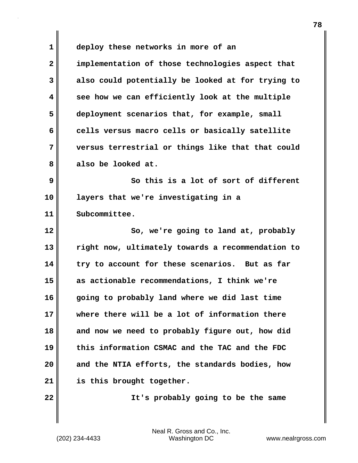**1 deploy these networks in more of an 2 implementation of those technologies aspect that 3 also could potentially be looked at for trying to 4 see how we can efficiently look at the multiple 5 deployment scenarios that, for example, small 6 cells versus macro cells or basically satellite 7 versus terrestrial or things like that that could 8 also be looked at. 9 So this is a lot of sort of different 10 layers that we're investigating in a 11 Subcommittee. 12** So, we're going to land at, probably **13 right now, ultimately towards a recommendation to 14 try to account for these scenarios. But as far 15 as actionable recommendations, I think we're 16 going to probably land where we did last time 17 where there will be a lot of information there 18 and now we need to probably figure out, how did 19 this information CSMAC and the TAC and the FDC 20 and the NTIA efforts, the standards bodies, how 21 is this brought together. 22 It's probably going to be the same**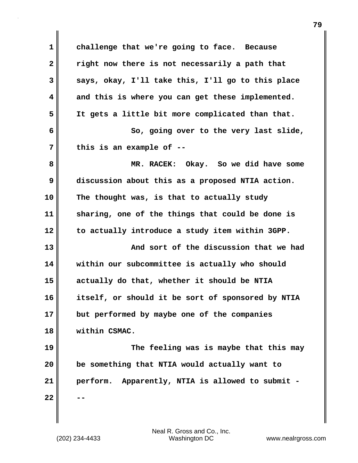**1 challenge that we're going to face. Because 2 right now there is not necessarily a path that 3 says, okay, I'll take this, I'll go to this place 4 and this is where you can get these implemented. 5 It gets a little bit more complicated than that. 6 So, going over to the very last slide, 7 this is an example of -- 8 MR. RACEK: Okay. So we did have some 9 discussion about this as a proposed NTIA action. 10 The thought was, is that to actually study 11 sharing, one of the things that could be done is 12 to actually introduce a study item within 3GPP. 13 And sort of the discussion that we had 14 within our subcommittee is actually who should 15 actually do that, whether it should be NTIA 16 itself, or should it be sort of sponsored by NTIA 17 but performed by maybe one of the companies 18 within CSMAC. 19 The feeling was is maybe that this may 20 be something that NTIA would actually want to 21 perform. Apparently, NTIA is allowed to submit - 22 --**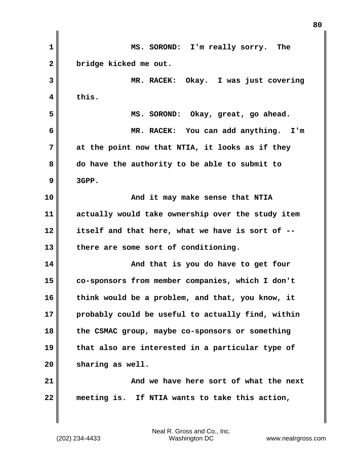| $\mathbf{1}$ | MS. SOROND: I'm really sorry. The                 |
|--------------|---------------------------------------------------|
| $\mathbf{2}$ | bridge kicked me out.                             |
| 3            | MR. RACEK: Okay. I was just covering              |
| 4            | this.                                             |
| 5            | MS. SOROND: Okay, great, go ahead.                |
| 6            | MR. RACEK: You can add anything. I'm              |
| 7            | at the point now that NTIA, it looks as if they   |
| 8            | do have the authority to be able to submit to     |
| 9            | 3GPP.                                             |
| 10           | And it may make sense that NTIA                   |
| 11           | actually would take ownership over the study item |
| 12           | itself and that here, what we have is sort of --  |
| 13           | there are some sort of conditioning.              |
| 14           | And that is you do have to get four               |
| 15           | co-sponsors from member companies, which I don't  |
| 16           | think would be a problem, and that, you know, it  |
| 17           | probably could be useful to actually find, within |
| 18           | the CSMAC group, maybe co-sponsors or something   |
| 19           | that also are interested in a particular type of  |
| 20           | sharing as well.                                  |
| 21           | And we have here sort of what the next            |
| 22           | meeting is. If NTIA wants to take this action,    |
|              |                                                   |

**80**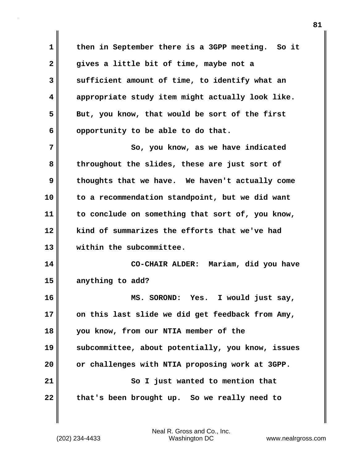**1 then in September there is a 3GPP meeting. So it 2 gives a little bit of time, maybe not a 3 sufficient amount of time, to identify what an 4 appropriate study item might actually look like. 5 But, you know, that would be sort of the first 6 opportunity to be able to do that. 7** So, you know, as we have indicated **8 throughout the slides, these are just sort of 9 thoughts that we have. We haven't actually come 10 to a recommendation standpoint, but we did want 11 to conclude on something that sort of, you know, 12 kind of summarizes the efforts that we've had 13 within the subcommittee. 14 CO-CHAIR ALDER: Mariam, did you have 15 anything to add? 16 MS. SOROND: Yes. I would just say, 17 on this last slide we did get feedback from Amy, 18 you know, from our NTIA member of the 19 subcommittee, about potentially, you know, issues 20 or challenges with NTIA proposing work at 3GPP. 21** So I just wanted to mention that **22 that's been brought up. So we really need to**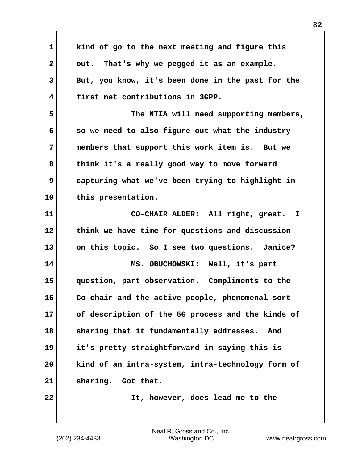**1 kind of go to the next meeting and figure this 2 out. That's why we pegged it as an example. 3 But, you know, it's been done in the past for the 4 first net contributions in 3GPP. 5 The NTIA will need supporting members, 6 so we need to also figure out what the industry 7 members that support this work item is. But we 8 think it's a really good way to move forward 9 capturing what we've been trying to highlight in 10 this presentation. 11 CO-CHAIR ALDER: All right, great. I 12 think we have time for questions and discussion 13 on this topic. So I see two questions. Janice? 14 MS. OBUCHOWSKI: Well, it's part 15 question, part observation. Compliments to the 16 Co-chair and the active people, phenomenal sort 17 of description of the 5G process and the kinds of 18 sharing that it fundamentally addresses. And 19 it's pretty straightforward in saying this is 20 kind of an intra-system, intra-technology form of** 21 sharing. Got that. **22 It, however, does lead me to the**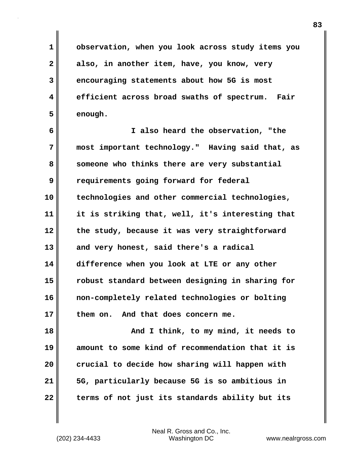**1 observation, when you look across study items you 2 also, in another item, have, you know, very 3 encouraging statements about how 5G is most 4 efficient across broad swaths of spectrum. Fair 5 enough.**

**6 I also heard the observation, "the 7 most important technology." Having said that, as 8 someone who thinks there are very substantial 9 requirements going forward for federal 10 technologies and other commercial technologies, 11 it is striking that, well, it's interesting that 12 the study, because it was very straightforward 13 and very honest, said there's a radical 14 difference when you look at LTE or any other 15 robust standard between designing in sharing for 16 non-completely related technologies or bolting 17 them on. And that does concern me.**

**18 And I think, to my mind, it needs to 19 amount to some kind of recommendation that it is 20 crucial to decide how sharing will happen with 21 5G, particularly because 5G is so ambitious in 22 terms of not just its standards ability but its**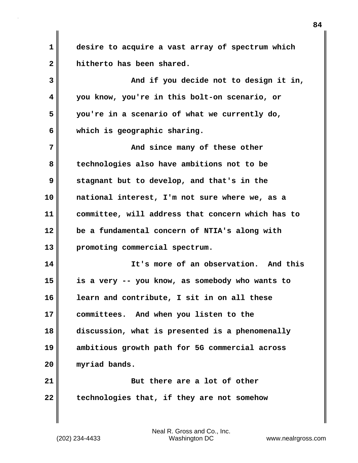**1 desire to acquire a vast array of spectrum which 2 hitherto has been shared.**

**3 And if you decide not to design it in, 4 you know, you're in this bolt-on scenario, or 5 you're in a scenario of what we currently do, 6 which is geographic sharing.**

**7 And since many of these other 8 technologies also have ambitions not to be 9 stagnant but to develop, and that's in the 10 national interest, I'm not sure where we, as a 11 committee, will address that concern which has to 12 be a fundamental concern of NTIA's along with 13 promoting commercial spectrum.**

**14 It's more of an observation. And this 15 is a very -- you know, as somebody who wants to 16 learn and contribute, I sit in on all these 17 committees. And when you listen to the 18 discussion, what is presented is a phenomenally 19 ambitious growth path for 5G commercial across 20 myriad bands.**

**21 But there are a lot of other 22 technologies that, if they are not somehow**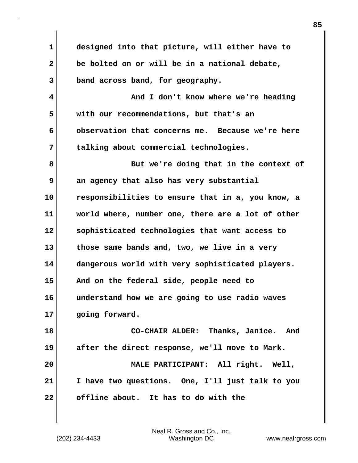**1 designed into that picture, will either have to 2 be bolted on or will be in a national debate, 3 band across band, for geography. 4 And I don't know where we're heading 5 with our recommendations, but that's an 6 observation that concerns me. Because we're here 7 talking about commercial technologies. 8 But we're doing that in the context of 9** an agency that also has very substantial **10 responsibilities to ensure that in a, you know, a 11 world where, number one, there are a lot of other 12 sophisticated technologies that want access to 13 those same bands and, two, we live in a very 14 dangerous world with very sophisticated players. 15 And on the federal side, people need to 16 understand how we are going to use radio waves 17 going forward. 18 CO-CHAIR ALDER: Thanks, Janice. And 19 after the direct response, we'll move to Mark. 20 MALE PARTICIPANT: All right. Well, 21 I have two questions. One, I'll just talk to you 22 offline about. It has to do with the**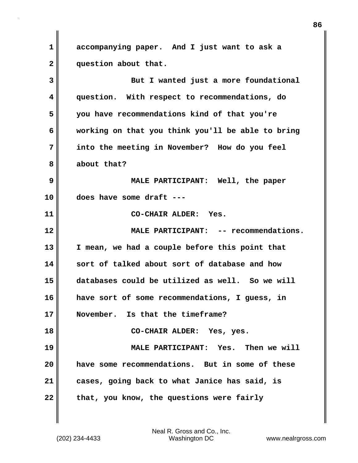**1 accompanying paper. And I just want to ask a 2 question about that.**

**3 But I wanted just a more foundational 4 question. With respect to recommendations, do 5 you have recommendations kind of that you're 6 working on that you think you'll be able to bring 7 into the meeting in November? How do you feel 8 about that? 9 MALE PARTICIPANT: Well, the paper 10 does have some draft --- 11 CO-CHAIR ALDER: Yes. 12 MALE PARTICIPANT: -- recommendations. 13 I mean, we had a couple before this point that 14 sort of talked about sort of database and how 15 databases could be utilized as well. So we will 16 have sort of some recommendations, I guess, in 17 November. Is that the timeframe? 18 CO-CHAIR ALDER: Yes, yes. 19 MALE PARTICIPANT: Yes. Then we will 20 have some recommendations. But in some of these 21 cases, going back to what Janice has said, is** 22 that, you know, the questions were fairly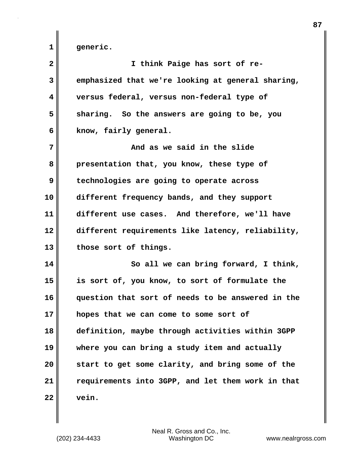**1 generic.**

| $\overline{\mathbf{2}}$ | I think Paige has sort of re-                     |
|-------------------------|---------------------------------------------------|
| 3                       | emphasized that we're looking at general sharing, |
| 4                       | versus federal, versus non-federal type of        |
| 5                       | sharing. So the answers are going to be, you      |
| 6                       | know, fairly general.                             |
| 7                       | And as we said in the slide                       |
| 8                       | presentation that, you know, these type of        |
| 9                       | technologies are going to operate across          |
| 10                      | different frequency bands, and they support       |
| 11                      | different use cases. And therefore, we'll have    |
| 12                      | different requirements like latency, reliability, |
| 13                      | those sort of things.                             |
| 14                      | So all we can bring forward, I think,             |
| 15                      | is sort of, you know, to sort of formulate the    |
| 16                      | question that sort of needs to be answered in the |
| 17                      | hopes that we can come to some sort of            |
| 18                      | definition, maybe through activities within 3GPP  |
| 19                      | where you can bring a study item and actually     |
| 20                      | start to get some clarity, and bring some of the  |
| 21                      | requirements into 3GPP, and let them work in that |
| 22                      | vein.                                             |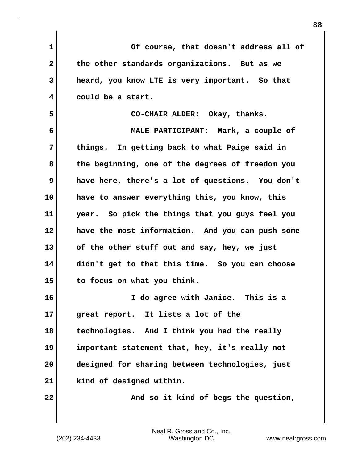| $\mathbf{1}$ | Of course, that doesn't address all of           |
|--------------|--------------------------------------------------|
| $\mathbf{2}$ | the other standards organizations. But as we     |
| 3            | heard, you know LTE is very important. So that   |
| 4            | could be a start.                                |
| 5            | CO-CHAIR ALDER: Okay, thanks.                    |
| 6            | MALE PARTICIPANT: Mark, a couple of              |
| 7            | things. In getting back to what Paige said in    |
| 8            | the beginning, one of the degrees of freedom you |
| 9            | have here, there's a lot of questions. You don't |
| 10           | have to answer everything this, you know, this   |
| 11           | year. So pick the things that you guys feel you  |
| 12           | have the most information. And you can push some |
| 13           | of the other stuff out and say, hey, we just     |
| 14           | didn't get to that this time. So you can choose  |
| 15           | to focus on what you think.                      |
| 16           | I do agree with Janice. This is a                |
| 17           | great report. It lists a lot of the              |
| 18           | technologies. And I think you had the really     |
| 19           | important statement that, hey, it's really not   |
| 20           | designed for sharing between technologies, just  |
| 21           | kind of designed within.                         |
| 22           | And so it kind of begs the question,             |
|              |                                                  |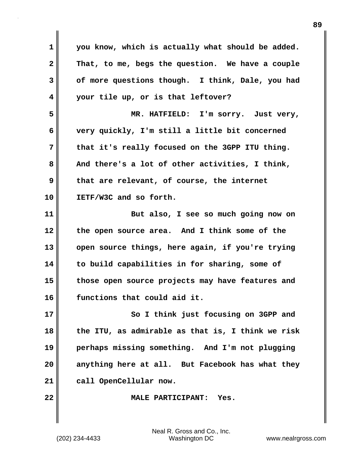**1 you know, which is actually what should be added. 2 That, to me, begs the question. We have a couple 3 of more questions though. I think, Dale, you had 4 your tile up, or is that leftover? 5 MR. HATFIELD: I'm sorry. Just very, 6 very quickly, I'm still a little bit concerned 7 that it's really focused on the 3GPP ITU thing.**  8 And there's a lot of other activities, I think, **9 that are relevant, of course, the internet 10 IETF/W3C and so forth. 11 But also, I see so much going now on 12 the open source area. And I think some of the 13 open source things, here again, if you're trying 14 to build capabilities in for sharing, some of 15 those open source projects may have features and 16 functions that could aid it. 17** So I think just focusing on 3GPP and **18 the ITU, as admirable as that is, I think we risk 19 perhaps missing something. And I'm not plugging 20 anything here at all. But Facebook has what they 21 call OpenCellular now. 22 MALE PARTICIPANT: Yes.**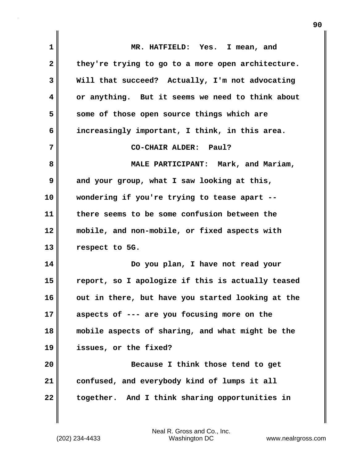| 1                       | MR. HATFIELD: Yes. I mean, and                    |
|-------------------------|---------------------------------------------------|
| $\mathbf{2}$            | they're trying to go to a more open architecture. |
| 3                       | Will that succeed? Actually, I'm not advocating   |
| $\overline{\mathbf{4}}$ | or anything. But it seems we need to think about  |
| 5                       | some of those open source things which are        |
| 6                       | increasingly important, I think, in this area.    |
| 7                       | CO-CHAIR ALDER: Paul?                             |
| 8                       | MALE PARTICIPANT: Mark, and Mariam,               |
| 9                       | and your group, what I saw looking at this,       |
| 10                      | wondering if you're trying to tease apart --      |
| 11                      | there seems to be some confusion between the      |
| 12                      | mobile, and non-mobile, or fixed aspects with     |
| 13                      | respect to 5G.                                    |
| 14                      | Do you plan, I have not read your                 |
| 15                      | report, so I apologize if this is actually teased |
| 16                      | out in there, but have you started looking at the |
| 17                      | aspects of --- are you focusing more on the       |
| 18                      | mobile aspects of sharing, and what might be the  |
| 19                      | issues, or the fixed?                             |
| 20                      | Because I think those tend to get                 |
| 21                      | confused, and everybody kind of lumps it all      |
| 22                      | together. And I think sharing opportunities in    |

(202) 234-4433 Washington DC www.nealrgross.com Neal R. Gross and Co., Inc.

 $\mathbf{I}$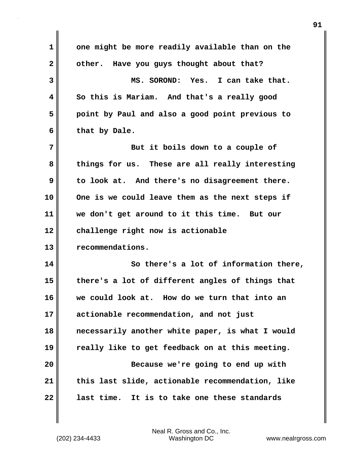**1 one might be more readily available than on the 2 other. Have you guys thought about that? 3 MS. SOROND: Yes. I can take that. 4 So this is Mariam. And that's a really good 5 point by Paul and also a good point previous to 6 that by Dale. 7** But it boils down to a couple of **8 things for us. These are all really interesting 9 to look at. And there's no disagreement there. 10 One is we could leave them as the next steps if 11 we don't get around to it this time. But our 12 challenge right now is actionable 13 recommendations. 14 So there's a lot of information there, 15 there's a lot of different angles of things that 16 we could look at. How do we turn that into an 17 actionable recommendation, and not just 18 necessarily another white paper, is what I would 19 really like to get feedback on at this meeting. 20 Because we're going to end up with 21 this last slide, actionable recommendation, like 22 last time. It is to take one these standards**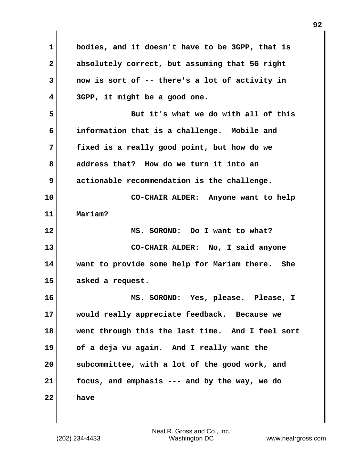| 1            | bodies, and it doesn't have to be 3GPP, that is  |
|--------------|--------------------------------------------------|
| $\mathbf{2}$ | absolutely correct, but assuming that 5G right   |
|              |                                                  |
| 3            | now is sort of -- there's a lot of activity in   |
| 4            | 3GPP, it might be a good one.                    |
| 5            | But it's what we do with all of this             |
| 6            | information that is a challenge. Mobile and      |
| 7            | fixed is a really good point, but how do we      |
| 8            | address that? How do we turn it into an          |
| 9            | actionable recommendation is the challenge.      |
| 10           | CO-CHAIR ALDER: Anyone want to help              |
| 11           | Mariam?                                          |
| 12           | MS. SOROND: Do I want to what?                   |
| 13           | CO-CHAIR ALDER: No, I said anyone                |
| 14           | want to provide some help for Mariam there. She  |
| 15           | asked a request.                                 |
| 16           | MS. SOROND: Yes, please. Please, I               |
| 17           | would really appreciate feedback. Because we     |
| 18           | went through this the last time. And I feel sort |
| 19           | of a deja vu again. And I really want the        |
| 20           | subcommittee, with a lot of the good work, and   |
| 21           | focus, and emphasis --- and by the way, we do    |
| 22           | have                                             |

 $\mathbf{I}$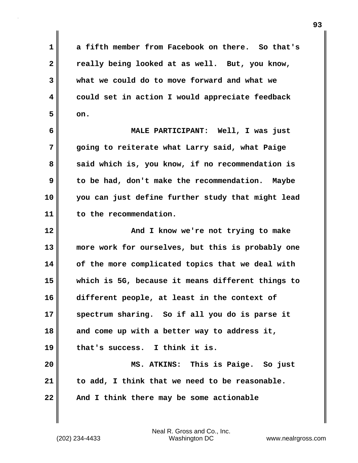**1 a fifth member from Facebook on there. So that's 2 really being looked at as well. But, you know, 3 what we could do to move forward and what we 4 could set in action I would appreciate feedback**  $5$  on.

**6 MALE PARTICIPANT: Well, I was just 7 going to reiterate what Larry said, what Paige** 8 said which is, you know, if no recommendation is **9 to be had, don't make the recommendation. Maybe 10 you can just define further study that might lead 11 to the recommendation.**

**12 And I know we're not trying to make 13 more work for ourselves, but this is probably one 14 of the more complicated topics that we deal with 15 which is 5G, because it means different things to 16 different people, at least in the context of 17 spectrum sharing. So if all you do is parse it 18 and come up with a better way to address it, 19 that's success. I think it is. 20 MS. ATKINS: This is Paige. So just**

**21 to add, I think that we need to be reasonable. 22 And I think there may be some actionable**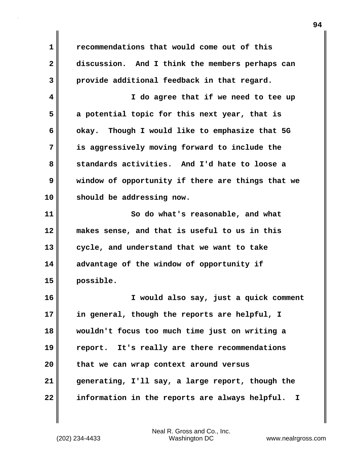**1 recommendations that would come out of this 2 discussion. And I think the members perhaps can 3 provide additional feedback in that regard. 4 I do agree that if we need to tee up 5 a potential topic for this next year, that is 6 okay. Though I would like to emphasize that 5G 7 is aggressively moving forward to include the 8 standards activities. And I'd hate to loose a 9 window of opportunity if there are things that we 10 should be addressing now. 11** So do what's reasonable, and what **12 makes sense, and that is useful to us in this 13 cycle, and understand that we want to take 14 advantage of the window of opportunity if 15 possible. 16 I would also say, just a quick comment 17 in general, though the reports are helpful, I 18 wouldn't focus too much time just on writing a 19 report. It's really are there recommendations 20 that we can wrap context around versus 21 generating, I'll say, a large report, though the 22 information in the reports are always helpful. I**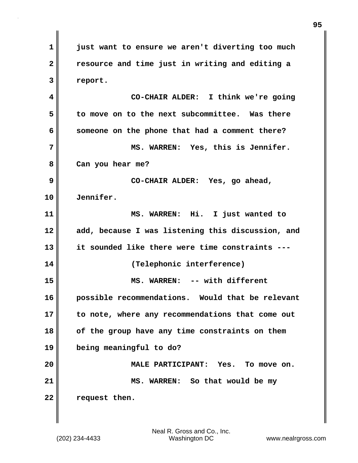**1 just want to ensure we aren't diverting too much 2 resource and time just in writing and editing a 3 report. 4 CO-CHAIR ALDER: I think we're going 5 to move on to the next subcommittee. Was there 6 someone on the phone that had a comment there? 7 MS. WARREN: Yes, this is Jennifer. 8 Can you hear me? 9 CO-CHAIR ALDER: Yes, go ahead, 10 Jennifer. 11 MS. WARREN: Hi. I just wanted to 12 add, because I was listening this discussion, and 13 it sounded like there were time constraints --- 14 (Telephonic interference) 15 MS. WARREN: -- with different 16 possible recommendations. Would that be relevant 17 to note, where any recommendations that come out 18 of the group have any time constraints on them 19 being meaningful to do? 20 MALE PARTICIPANT: Yes. To move on. 21** MS. WARREN: So that would be my **22 request then.**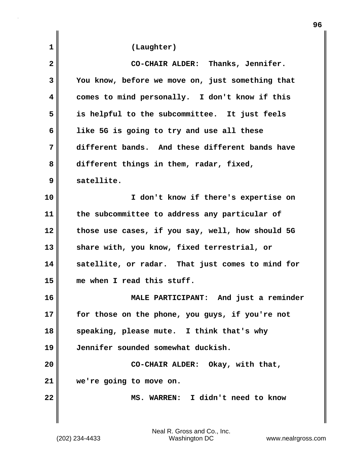| 1            | (Laughter)                                       |
|--------------|--------------------------------------------------|
| $\mathbf{2}$ | CO-CHAIR ALDER: Thanks, Jennifer.                |
| 3            | You know, before we move on, just something that |
| 4            | comes to mind personally. I don't know if this   |
| 5            | is helpful to the subcommittee. It just feels    |
| 6            | like 5G is going to try and use all these        |
| 7            | different bands. And these different bands have  |
| 8            | different things in them, radar, fixed,          |
| 9            | satellite.                                       |
| 10           | I don't know if there's expertise on             |
| 11           | the subcommittee to address any particular of    |
| 12           | those use cases, if you say, well, how should 5G |
| 13           | share with, you know, fixed terrestrial, or      |
| 14           | satellite, or radar. That just comes to mind for |
| 15           | me when I read this stuff.                       |
| 16           | MALE PARTICIPANT: And just a reminder            |
| 17           | for those on the phone, you guys, if you're not  |
| 18           | speaking, please mute. I think that's why        |
| 19           | Jennifer sounded somewhat duckish.               |
| 20           | CO-CHAIR ALDER: Okay, with that,                 |
| 21           | we're going to move on.                          |
| 22           | MS. WARREN: I didn't need to know                |
|              |                                                  |

**96**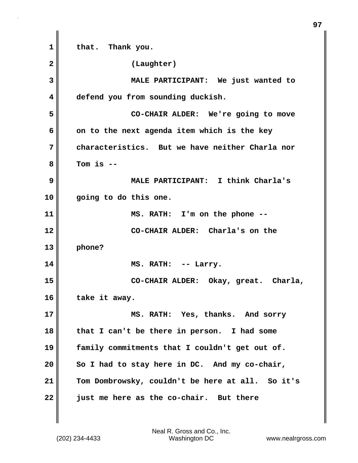**1 that. Thank you. 2 (Laughter) 3 MALE PARTICIPANT: We just wanted to 4 defend you from sounding duckish. 5 CO-CHAIR ALDER: We're going to move 6 on to the next agenda item which is the key 7 characteristics. But we have neither Charla nor 8 Tom is -- 9 MALE PARTICIPANT: I think Charla's 10 going to do this one. 11 MS. RATH: I'm on the phone -- 12 CO-CHAIR ALDER: Charla's on the 13 phone? 14 MS. RATH: -- Larry. 15 CO-CHAIR ALDER: Okay, great. Charla, 16 take it away. 17 MS. RATH: Yes, thanks. And sorry 18 that I can't be there in person. I had some 19 family commitments that I couldn't get out of. 20 So I had to stay here in DC. And my co-chair, 21 Tom Dombrowsky, couldn't be here at all. So it's 22 just me here as the co-chair. But there**

**97**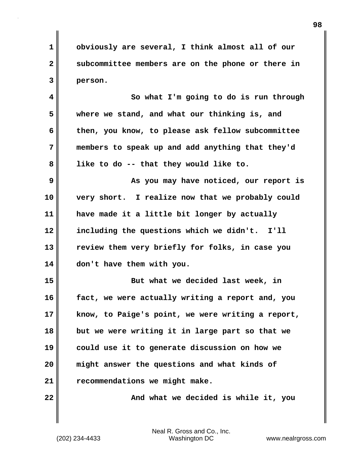**1 obviously are several, I think almost all of our 2 subcommittee members are on the phone or there in 3 person.**

**4 So what I'm going to do is run through 5 where we stand, and what our thinking is, and 6 then, you know, to please ask fellow subcommittee 7 members to speak up and add anything that they'd 8 like to do -- that they would like to.**

**9 As you may have noticed, our report is 10 very short. I realize now that we probably could 11 have made it a little bit longer by actually 12 including the questions which we didn't. I'll 13 review them very briefly for folks, in case you 14 don't have them with you.**

**15 But what we decided last week, in 16 fact, we were actually writing a report and, you 17 know, to Paige's point, we were writing a report, 18 but we were writing it in large part so that we 19 could use it to generate discussion on how we 20 might answer the questions and what kinds of 21 recommendations we might make.**

**22 And what we decided is while it, you**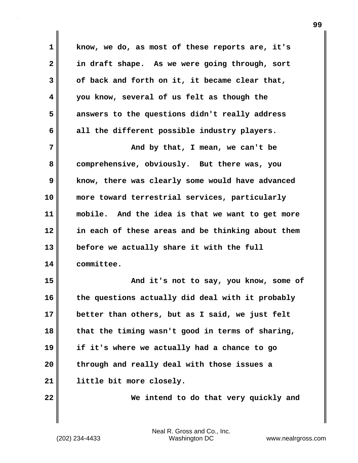**1 know, we do, as most of these reports are, it's 2 in draft shape. As we were going through, sort 3 of back and forth on it, it became clear that, 4 you know, several of us felt as though the 5 answers to the questions didn't really address 6 all the different possible industry players. 7 And by that, I mean, we can't be 8 comprehensive, obviously. But there was, you 9 know, there was clearly some would have advanced 10 more toward terrestrial services, particularly 11 mobile. And the idea is that we want to get more 12 in each of these areas and be thinking about them 13 before we actually share it with the full 14 committee. 15 And it's not to say, you know, some of 16 the questions actually did deal with it probably 17 better than others, but as I said, we just felt 18 that the timing wasn't good in terms of sharing, 19 if it's where we actually had a chance to go 20 through and really deal with those issues a 21 little bit more closely. 22 We intend to do that very quickly and**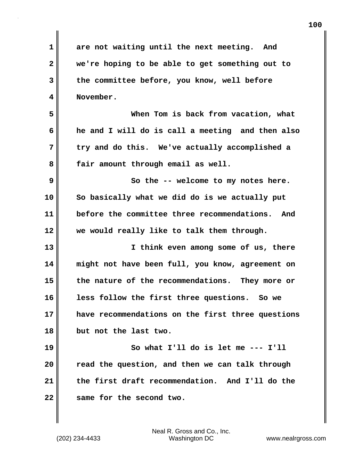| 1            | are not waiting until the next meeting. And       |
|--------------|---------------------------------------------------|
| $\mathbf{2}$ | we're hoping to be able to get something out to   |
| 3            | the committee before, you know, well before       |
| 4            | November.                                         |
| 5            | When Tom is back from vacation, what              |
| 6            | he and I will do is call a meeting and then also  |
| 7            | try and do this. We've actually accomplished a    |
| 8            | fair amount through email as well.                |
| 9            | So the -- welcome to my notes here.               |
| 10           | So basically what we did do is we actually put    |
| 11           | before the committee three recommendations. And   |
| 12           | we would really like to talk them through.        |
| 13           | I think even among some of us, there              |
| 14           | might not have been full, you know, agreement on  |
| 15           | the nature of the recommendations. They more or   |
| 16           | less follow the first three questions. So we      |
| 17           | have recommendations on the first three questions |
| 18           | but not the last two.                             |
| 19           | So what I'll do is let me --- I'll                |
| 20           | read the question, and then we can talk through   |
| 21           | the first draft recommendation. And I'll do the   |
| 22           | same for the second two.                          |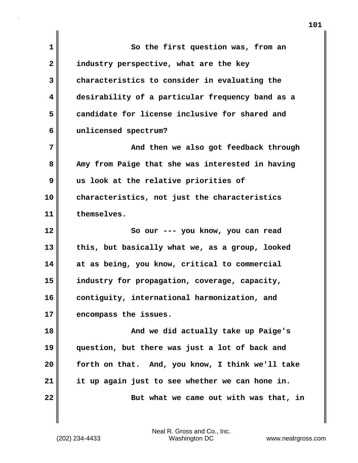| $\mathbf{1}$ | So the first question was, from an               |
|--------------|--------------------------------------------------|
| $\mathbf{2}$ | industry perspective, what are the key           |
| 3            | characteristics to consider in evaluating the    |
| 4            | desirability of a particular frequency band as a |
| 5            | candidate for license inclusive for shared and   |
| 6            | unlicensed spectrum?                             |
| 7            | And then we also got feedback through            |
| 8            | Amy from Paige that she was interested in having |
| 9            | us look at the relative priorities of            |
| 10           | characteristics, not just the characteristics    |
| 11           | themselves.                                      |
| 12           | So our --- you know, you can read                |
| 13           | this, but basically what we, as a group, looked  |
| 14           | at as being, you know, critical to commercial    |
| 15           | industry for propagation, coverage, capacity,    |
| 16           | contiguity, international harmonization, and     |
| 17           | encompass the issues.                            |
| 18           | And we did actually take up Paige's              |
| 19           | question, but there was just a lot of back and   |
| 20           | forth on that. And, you know, I think we'll take |
|              |                                                  |
| 21           | it up again just to see whether we can hone in.  |
| 22           | But what we came out with was that, in           |

I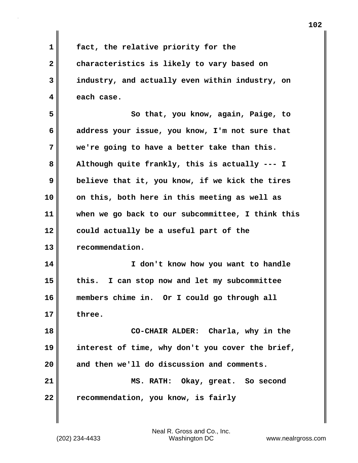**1 fact, the relative priority for the 2 characteristics is likely to vary based on 3 industry, and actually even within industry, on 4 each case. 5 So that, you know, again, Paige, to 6 address your issue, you know, I'm not sure that 7 we're going to have a better take than this. 8 Although quite frankly, this is actually --- I 9 believe that it, you know, if we kick the tires 10 on this, both here in this meeting as well as 11 when we go back to our subcommittee, I think this 12 could actually be a useful part of the 13 recommendation. 14 I don't know how you want to handle 15 this. I can stop now and let my subcommittee 16 members chime in. Or I could go through all 17 three. 18 CO-CHAIR ALDER: Charla, why in the 19 interest of time, why don't you cover the brief, 20 and then we'll do discussion and comments. 21 MS. RATH: Okay, great. So second 22 recommendation, you know, is fairly**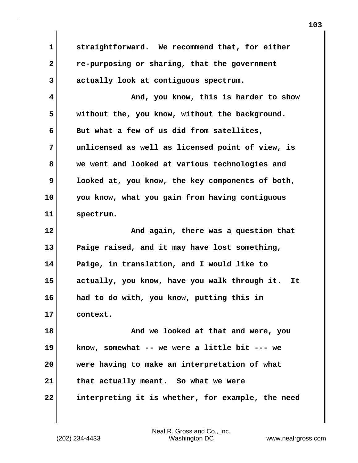**1 straightforward. We recommend that, for either 2 re-purposing or sharing, that the government 3 actually look at contiguous spectrum. 4 And, you know, this is harder to show 5 without the, you know, without the background. 6 But what a few of us did from satellites, 7 unlicensed as well as licensed point of view, is 8 we went and looked at various technologies and 9 looked at, you know, the key components of both, 10 you know, what you gain from having contiguous 11 spectrum. 12 And again, there was a question that 13 Paige raised, and it may have lost something, 14 Paige, in translation, and I would like to 15 actually, you know, have you walk through it. It 16 had to do with, you know, putting this in 17 context. 18 And we looked at that and were, you 19 know, somewhat -- we were a little bit --- we 20 were having to make an interpretation of what 21 that actually meant. So what we were 22 interpreting it is whether, for example, the need**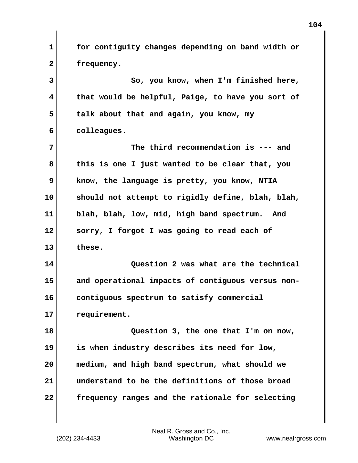**1 for contiguity changes depending on band width or 2 frequency. 3 So, you know, when I'm finished here, 4 that would be helpful, Paige, to have you sort of 5 talk about that and again, you know, my 6 colleagues. 7 The third recommendation is --- and 8 this is one I just wanted to be clear that, you 9 know, the language is pretty, you know, NTIA 10 should not attempt to rigidly define, blah, blah, 11 blah, blah, low, mid, high band spectrum. And 12 sorry, I forgot I was going to read each of 13 these. 14 Question 2 was what are the technical 15 and operational impacts of contiguous versus non-16 contiguous spectrum to satisfy commercial 17 requirement. 18 Question 3, the one that I'm on now, 19 is when industry describes its need for low, 20 medium, and high band spectrum, what should we 21 understand to be the definitions of those broad 22 frequency ranges and the rationale for selecting**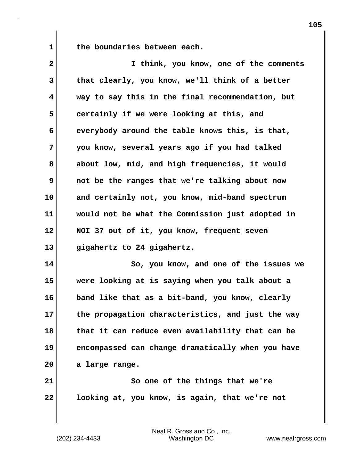**1 the boundaries between each.**

| $\overline{2}$ | I think, you know, one of the comments           |
|----------------|--------------------------------------------------|
| 3              | that clearly, you know, we'll think of a better  |
| 4              | way to say this in the final recommendation, but |
| 5              | certainly if we were looking at this, and        |
| 6              | everybody around the table knows this, is that,  |
| 7              | you know, several years ago if you had talked    |
| 8              | about low, mid, and high frequencies, it would   |
| 9              | not be the ranges that we're talking about now   |
| 10             | and certainly not, you know, mid-band spectrum   |
| 11             | would not be what the Commission just adopted in |
| 12             | NOI 37 out of it, you know, frequent seven       |
| 13             | gigahertz to 24 gigahertz.                       |
| 14             | So, you know, and one of the issues we           |
| 1 C .          | leebing at is section when you tell about a      |

**15 were looking at is saying when you talk about a 16 band like that as a bit-band, you know, clearly 17 the propagation characteristics, and just the way 18 that it can reduce even availability that can be 19 encompassed can change dramatically when you have 20 a large range.**

**21** So one of the things that we're **22 looking at, you know, is again, that we're not**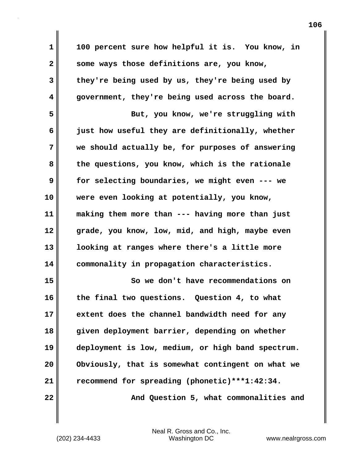**1 100 percent sure how helpful it is. You know, in 2 some ways those definitions are, you know, 3 they're being used by us, they're being used by 4 government, they're being used across the board. 5 But, you know, we're struggling with 6 just how useful they are definitionally, whether 7 we should actually be, for purposes of answering 8 the questions, you know, which is the rationale 9 for selecting boundaries, we might even --- we 10 were even looking at potentially, you know, 11 making them more than --- having more than just 12 grade, you know, low, mid, and high, maybe even 13 looking at ranges where there's a little more 14 commonality in propagation characteristics. 15 So we don't have recommendations on 16 the final two questions. Question 4, to what 17 extent does the channel bandwidth need for any 18 given deployment barrier, depending on whether 19 deployment is low, medium, or high band spectrum. 20 Obviously, that is somewhat contingent on what we 21 recommend for spreading (phonetic)\*\*\*1:42:34. 22 And Question 5, what commonalities and**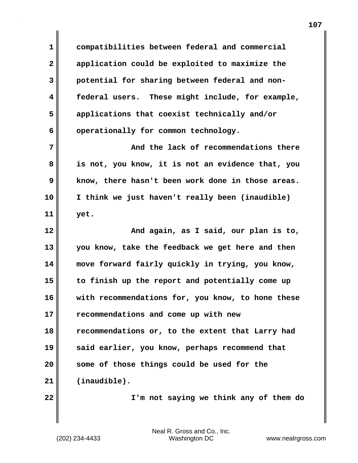**1 compatibilities between federal and commercial 2 application could be exploited to maximize the 3 potential for sharing between federal and non-4 federal users. These might include, for example, 5 applications that coexist technically and/or** 6 operationally for common technology.

**7 And the lack of recommendations there 8 is not, you know, it is not an evidence that, you 9 know, there hasn't been work done in those areas. 10 I think we just haven't really been (inaudible) 11 yet.**

**12 And again, as I said, our plan is to, 13 you know, take the feedback we get here and then 14 move forward fairly quickly in trying, you know, 15 to finish up the report and potentially come up 16 with recommendations for, you know, to hone these 17 recommendations and come up with new 18 recommendations or, to the extent that Larry had 19 said earlier, you know, perhaps recommend that 20 some of those things could be used for the 21 (inaudible).**

**22 I'm not saying we think any of them do**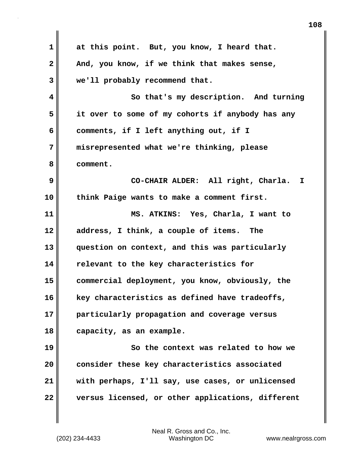**1 at this point. But, you know, I heard that. 2 And, you know, if we think that makes sense, 3 we'll probably recommend that. 4 So that's my description. And turning 5 it over to some of my cohorts if anybody has any 6 comments, if I left anything out, if I 7 misrepresented what we're thinking, please 8 comment. 9 CO-CHAIR ALDER: All right, Charla. I 10 think Paige wants to make a comment first. 11 MS. ATKINS: Yes, Charla, I want to 12 address, I think, a couple of items. The 13 question on context, and this was particularly 14 relevant to the key characteristics for 15 commercial deployment, you know, obviously, the 16 key characteristics as defined have tradeoffs, 17 particularly propagation and coverage versus 18 capacity, as an example. 19 So the context was related to how we 20 consider these key characteristics associated 21 with perhaps, I'll say, use cases, or unlicensed 22 versus licensed, or other applications, different**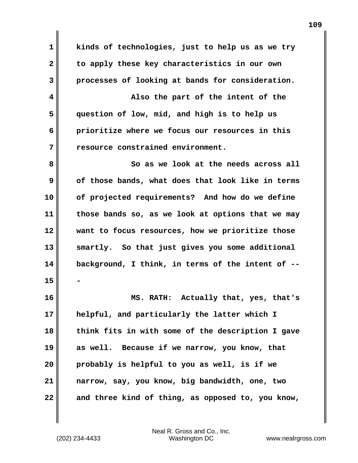**1 kinds of technologies, just to help us as we try 2 to apply these key characteristics in our own 3 processes of looking at bands for consideration. 4 Also the part of the intent of the 5 question of low, mid, and high is to help us 6 prioritize where we focus our resources in this 7 resource constrained environment. 8** So as we look at the needs across all **9 of those bands, what does that look like in terms 10 of projected requirements? And how do we define 11 those bands so, as we look at options that we may 12 want to focus resources, how we prioritize those 13 smartly. So that just gives you some additional 14 background, I think, in terms of the intent of -- 15 - 16 MS. RATH: Actually that, yes, that's 17 helpful, and particularly the latter which I 18 think fits in with some of the description I gave 19 as well. Because if we narrow, you know, that 20 probably is helpful to you as well, is if we 21 narrow, say, you know, big bandwidth, one, two 22 and three kind of thing, as opposed to, you know,**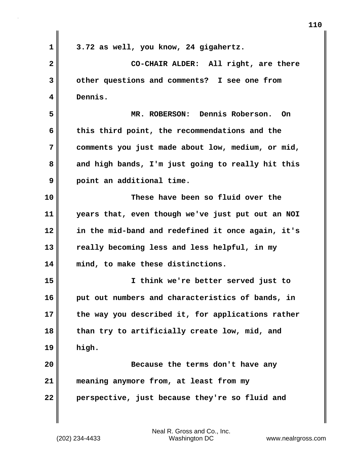| 3.72 as well, you know, 24 gigahertz.             |
|---------------------------------------------------|
| CO-CHAIR ALDER: All right, are there              |
| other questions and comments? I see one from      |
| Dennis.                                           |
| Dennis Roberson.<br>MR. ROBERSON:<br>- On         |
| this third point, the recommendations and the     |
| comments you just made about low, medium, or mid, |
| and high bands, I'm just going to really hit this |
| point an additional time.                         |
| These have been so fluid over the                 |
| years that, even though we've just put out an NOI |
| in the mid-band and redefined it once again, it's |
| really becoming less and less helpful, in my      |
| mind, to make these distinctions.                 |
| I think we're better served just to               |
| put out numbers and characteristics of bands, in  |
| the way you described it, for applications rather |
| than try to artificially create low, mid, and     |
| high.                                             |
| Because the terms don't have any                  |
| meaning anymore from, at least from my            |
|                                                   |
|                                                   |

 $\mathbf{I}$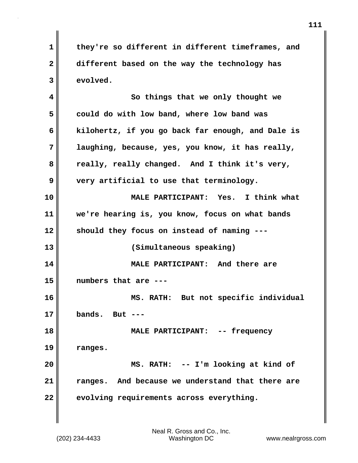**1 they're so different in different timeframes, and 2 different based on the way the technology has 3 evolved. 4 So things that we only thought we 5 could do with low band, where low band was 6 kilohertz, if you go back far enough, and Dale is 7 laughing, because, yes, you know, it has really, 8 really, really changed. And I think it's very, 9 very artificial to use that terminology. 10 MALE PARTICIPANT: Yes. I think what 11 we're hearing is, you know, focus on what bands 12 should they focus on instead of naming --- 13 (Simultaneous speaking) 14 MALE PARTICIPANT: And there are 15 numbers that are --- 16 MS. RATH: But not specific individual 17 bands. But --- 18 MALE PARTICIPANT: -- frequency 19 ranges. 20 MS. RATH: -- I'm looking at kind of 21 ranges. And because we understand that there are 22 evolving requirements across everything.**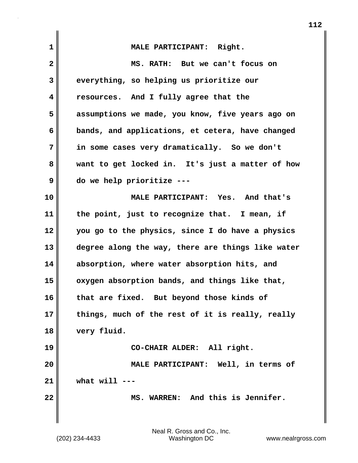| $\mathbf{1}$ | MALE PARTICIPANT: Right.                          |
|--------------|---------------------------------------------------|
| $\mathbf{2}$ | MS. RATH: But we can't focus on                   |
| 3            | everything, so helping us prioritize our          |
| 4            | resources. And I fully agree that the             |
| 5            | assumptions we made, you know, five years ago on  |
| 6            | bands, and applications, et cetera, have changed  |
| 7            | in some cases very dramatically. So we don't      |
| 8            | want to get locked in. It's just a matter of how  |
| 9            | do we help prioritize ---                         |
| 10           | MALE PARTICIPANT: Yes. And that's                 |
| 11           | the point, just to recognize that. I mean, if     |
| 12           | you go to the physics, since I do have a physics  |
| 13           | degree along the way, there are things like water |
| 14           | absorption, where water absorption hits, and      |
| 15           | oxygen absorption bands, and things like that,    |
| 16           | that are fixed. But beyond those kinds of         |
| 17           | things, much of the rest of it is really, really  |
| 18           | very fluid.                                       |
| 19           | CO-CHAIR ALDER: All right.                        |
| 20           | MALE PARTICIPANT: Well, in terms of               |
| 21           | what will                                         |
| 22           | MS. WARREN: And this is Jennifer.                 |
|              |                                                   |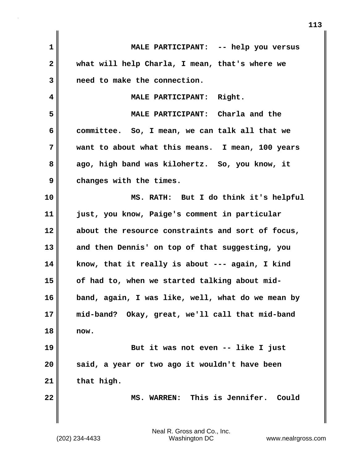| $\mathbf{1}$            | MALE PARTICIPANT: -- help you versus              |
|-------------------------|---------------------------------------------------|
| $\overline{\mathbf{2}}$ | what will help Charla, I mean, that's where we    |
| 3                       | need to make the connection.                      |
| 4                       | MALE PARTICIPANT: Right.                          |
| 5                       | MALE PARTICIPANT: Charla and the                  |
| 6                       | committee. So, I mean, we can talk all that we    |
| 7                       | want to about what this means. I mean, 100 years  |
| 8                       | ago, high band was kilohertz. So, you know, it    |
| 9                       | changes with the times.                           |
| 10                      | MS. RATH: But I do think it's helpful             |
| 11                      | just, you know, Paige's comment in particular     |
| 12                      | about the resource constraints and sort of focus, |
| 13                      | and then Dennis' on top of that suggesting, you   |
| 14                      | know, that it really is about --- again, I kind   |
| 15                      | of had to, when we started talking about mid-     |
| 16                      | band, again, I was like, well, what do we mean by |
| 17                      | mid-band? Okay, great, we'll call that mid-band   |
| 18                      | now.                                              |
| 19                      | But it was not even -- like I just                |
| 20                      | said, a year or two ago it wouldn't have been     |
| 21                      | that high.                                        |
| 22                      | MS. WARREN: This is Jennifer.<br>Could            |
|                         |                                                   |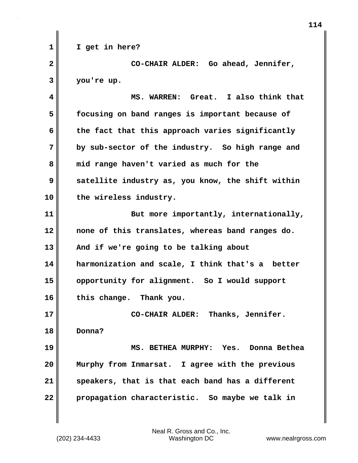**1 I get in here? 2 CO-CHAIR ALDER: Go ahead, Jennifer, 3 you're up. 4 MS. WARREN: Great. I also think that 5 focusing on band ranges is important because of 6 the fact that this approach varies significantly 7 by sub-sector of the industry. So high range and 8 mid range haven't varied as much for the 9 satellite industry as, you know, the shift within 10 the wireless industry. 11** But more importantly, internationally, **12 none of this translates, whereas band ranges do. 13 And if we're going to be talking about 14 harmonization and scale, I think that's a better 15 opportunity for alignment. So I would support 16 this change. Thank you. 17 CO-CHAIR ALDER: Thanks, Jennifer. 18 Donna? 19 MS. BETHEA MURPHY: Yes. Donna Bethea 20 Murphy from Inmarsat. I agree with the previous 21 speakers, that is that each band has a different 22 propagation characteristic. So maybe we talk in**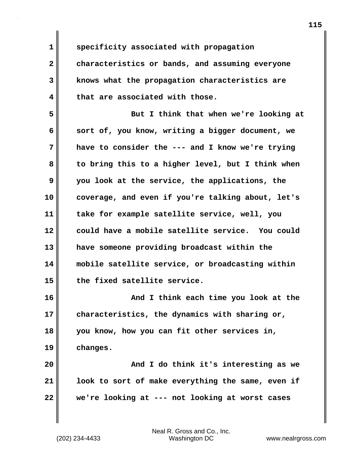**1 specificity associated with propagation**

**2 characteristics or bands, and assuming everyone 3 knows what the propagation characteristics are 4 that are associated with those.**

**5 But I think that when we're looking at 6 sort of, you know, writing a bigger document, we 7 have to consider the --- and I know we're trying 8 to bring this to a higher level, but I think when 9 you look at the service, the applications, the 10 coverage, and even if you're talking about, let's 11 take for example satellite service, well, you 12 could have a mobile satellite service. You could 13 have someone providing broadcast within the 14 mobile satellite service, or broadcasting within 15 the fixed satellite service.**

**16 And I think each time you look at the 17 characteristics, the dynamics with sharing or, 18 you know, how you can fit other services in, 19 changes.**

**20 And I do think it's interesting as we 21 look to sort of make everything the same, even if 22 we're looking at --- not looking at worst cases**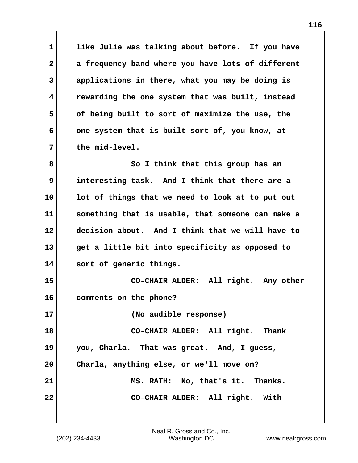**1 like Julie was talking about before. If you have 2 a frequency band where you have lots of different 3 applications in there, what you may be doing is 4 rewarding the one system that was built, instead 5 of being built to sort of maximize the use, the 6 one system that is built sort of, you know, at 7 the mid-level.**

**8** So I think that this group has an **9 interesting task. And I think that there are a 10 lot of things that we need to look at to put out 11 something that is usable, that someone can make a 12 decision about. And I think that we will have to 13 get a little bit into specificity as opposed to 14 sort of generic things.**

**15 CO-CHAIR ALDER: All right. Any other 16 comments on the phone?**

**17 (No audible response)**

**18 CO-CHAIR ALDER: All right. Thank 19 you, Charla. That was great. And, I guess, 20 Charla, anything else, or we'll move on? 21 MS. RATH: No, that's it. Thanks. 22 CO-CHAIR ALDER: All right. With**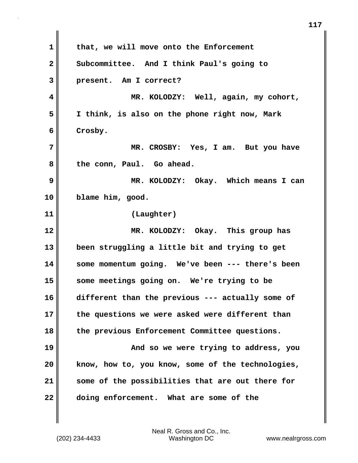**1 that, we will move onto the Enforcement 2 Subcommittee. And I think Paul's going to 3 present. Am I correct? 4 MR. KOLODZY: Well, again, my cohort, 5 I think, is also on the phone right now, Mark 6 Crosby. 7 MR. CROSBY: Yes, I am. But you have 8 the conn, Paul. Go ahead. 9 MR. KOLODZY: Okay. Which means I can 10 blame him, good. 11 (Laughter) 12 MR. KOLODZY: Okay. This group has 13 been struggling a little bit and trying to get 14 some momentum going. We've been --- there's been 15 some meetings going on. We're trying to be 16 different than the previous --- actually some of 17 the questions we were asked were different than 18 the previous Enforcement Committee questions. 19 And so we were trying to address, you 20 know, how to, you know, some of the technologies, 21 some of the possibilities that are out there for 22 doing enforcement. What are some of the**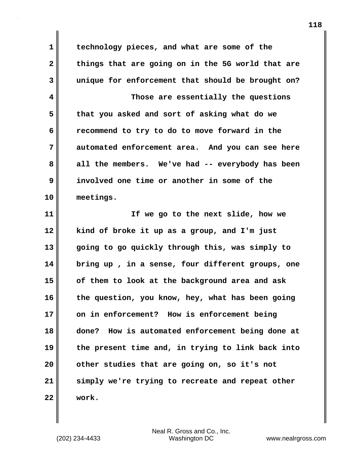**1 technology pieces, and what are some of the 2 things that are going on in the 5G world that are 3 unique for enforcement that should be brought on? 4 Those are essentially the questions 5 that you asked and sort of asking what do we 6 recommend to try to do to move forward in the 7 automated enforcement area. And you can see here 8 all the members. We've had -- everybody has been 9 involved one time or another in some of the 10 meetings.**

**11 If we go to the next slide, how we 12 kind of broke it up as a group, and I'm just 13 going to go quickly through this, was simply to 14 bring up , in a sense, four different groups, one 15 of them to look at the background area and ask 16 the question, you know, hey, what has been going 17 on in enforcement? How is enforcement being 18 done? How is automated enforcement being done at 19 the present time and, in trying to link back into 20 other studies that are going on, so it's not 21 simply we're trying to recreate and repeat other 22 work.**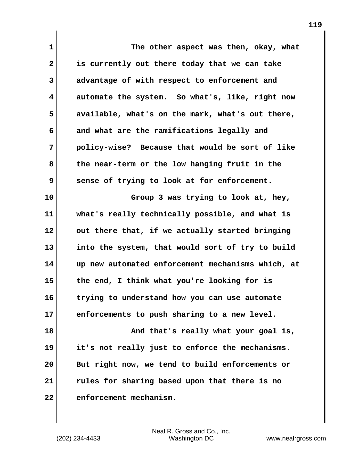| $\mathbf{1}$            | The other aspect was then, okay, what             |
|-------------------------|---------------------------------------------------|
| $\overline{\mathbf{2}}$ | is currently out there today that we can take     |
| 3                       | advantage of with respect to enforcement and      |
| 4                       | automate the system. So what's, like, right now   |
| 5                       | available, what's on the mark, what's out there,  |
| 6                       | and what are the ramifications legally and        |
| 7                       | policy-wise? Because that would be sort of like   |
| 8                       | the near-term or the low hanging fruit in the     |
| 9                       | sense of trying to look at for enforcement.       |
| 10                      | Group 3 was trying to look at, hey,               |
| 11                      | what's really technically possible, and what is   |
| 12                      | out there that, if we actually started bringing   |
| 13                      | into the system, that would sort of try to build  |
| 14                      | up new automated enforcement mechanisms which, at |
| 15                      | the end, I think what you're looking for is       |
| 16                      | trying to understand how you can use automate     |
| 17                      | enforcements to push sharing to a new level.      |
| 18                      | And that's really what your goal is,              |
| 19                      | it's not really just to enforce the mechanisms.   |
| 20                      | But right now, we tend to build enforcements or   |
| 21                      | rules for sharing based upon that there is no     |
| 22                      | enforcement mechanism.                            |

(202) 234-4433 Washington DC www.nealrgross.com Neal R. Gross and Co., Inc.

 $\mathbf{l}$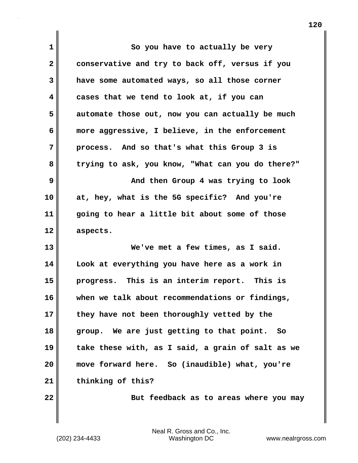| $\mathbf 1$  | So you have to actually be very                   |
|--------------|---------------------------------------------------|
| $\mathbf{2}$ | conservative and try to back off, versus if you   |
| 3            | have some automated ways, so all those corner     |
| 4            | cases that we tend to look at, if you can         |
| 5            | automate those out, now you can actually be much  |
| 6            | more aggressive, I believe, in the enforcement    |
| 7            | process. And so that's what this Group 3 is       |
| 8            | trying to ask, you know, "What can you do there?" |
| 9            | And then Group 4 was trying to look               |
| 10           | at, hey, what is the 5G specific? And you're      |
| 11           | going to hear a little bit about some of those    |
| 12           | aspects.                                          |
| 13           | We've met a few times, as I said.                 |
| 14           | Look at everything you have here as a work in     |
| 15           | progress. This is an interim report. This is      |
| 16           | when we talk about recommendations or findings,   |
| 17           | they have not been thoroughly vetted by the       |
| 18           | group. We are just getting to that point.<br>So   |
| 19           | take these with, as I said, a grain of salt as we |
| 20           | move forward here. So (inaudible) what, you're    |
| 21           | thinking of this?                                 |
| 22           | But feedback as to areas where you may            |

(202) 234-4433 Washington DC www.nealrgross.com Neal R. Gross and Co., Inc.

 $\mathbf{I}$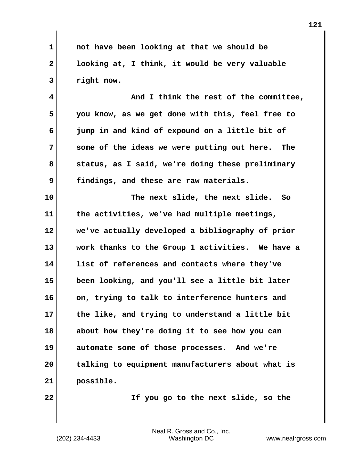**1 not have been looking at that we should be 2 looking at, I think, it would be very valuable 3 right now.**

**4 And I think the rest of the committee, 5 you know, as we get done with this, feel free to 6 jump in and kind of expound on a little bit of 7 some of the ideas we were putting out here. The 8 status, as I said, we're doing these preliminary 9 findings, and these are raw materials.**

**10 The next slide, the next slide. So 11 the activities, we've had multiple meetings, 12 we've actually developed a bibliography of prior 13 work thanks to the Group 1 activities. We have a 14 list of references and contacts where they've 15 been looking, and you'll see a little bit later 16 on, trying to talk to interference hunters and 17 the like, and trying to understand a little bit 18 about how they're doing it to see how you can 19 automate some of those processes. And we're 20 talking to equipment manufacturers about what is 21 possible.**

**22 If you go to the next slide, so the**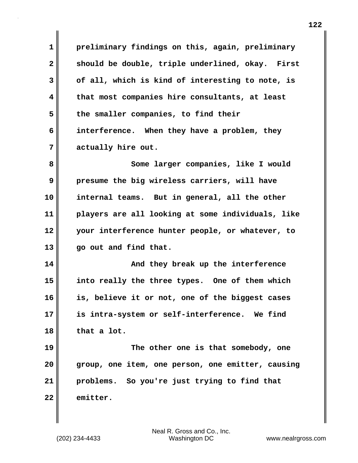**1 preliminary findings on this, again, preliminary 2 should be double, triple underlined, okay. First 3 of all, which is kind of interesting to note, is 4 that most companies hire consultants, at least 5 the smaller companies, to find their 6 interference. When they have a problem, they 7 actually hire out. 8** Some larger companies, like I would **9 presume the big wireless carriers, will have 10 internal teams. But in general, all the other 11 players are all looking at some individuals, like 12 your interference hunter people, or whatever, to 13 go out and find that. 14 And they break up the interference 15 into really the three types. One of them which 16 is, believe it or not, one of the biggest cases 17 is intra-system or self-interference. We find 18 that a lot. 19 The other one is that somebody, one 20 group, one item, one person, one emitter, causing 21 problems. So you're just trying to find that 22 emitter.**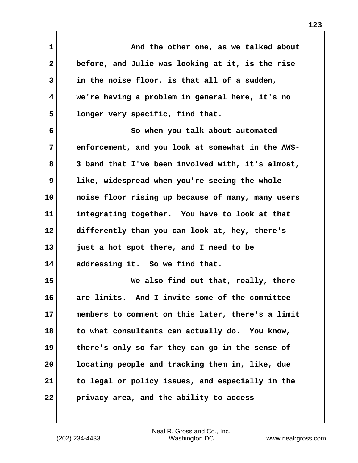**1 And the other one, as we talked about 2 before, and Julie was looking at it, is the rise 3 in the noise floor, is that all of a sudden, 4 we're having a problem in general here, it's no 5 longer very specific, find that. 6 So when you talk about automated 7 enforcement, and you look at somewhat in the AWS-8 3 band that I've been involved with, it's almost, 9 like, widespread when you're seeing the whole 10 noise floor rising up because of many, many users 11 integrating together. You have to look at that 12 differently than you can look at, hey, there's 13 just a hot spot there, and I need to be 14 addressing it. So we find that. 15 We also find out that, really, there 16 are limits. And I invite some of the committee 17 members to comment on this later, there's a limit 18 to what consultants can actually do. You know, 19 there's only so far they can go in the sense of 20 locating people and tracking them in, like, due 21 to legal or policy issues, and especially in the 22 privacy area, and the ability to access**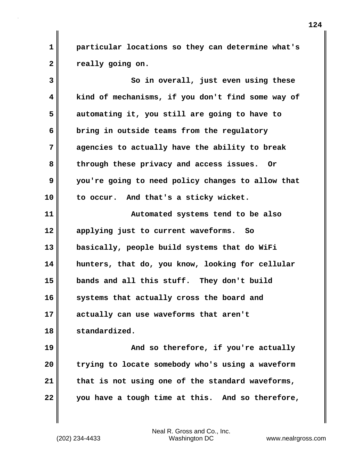**1 particular locations so they can determine what's 2 really going on.**

**3** So in overall, just even using these **4 kind of mechanisms, if you don't find some way of 5 automating it, you still are going to have to 6 bring in outside teams from the regulatory 7 agencies to actually have the ability to break 8 through these privacy and access issues. Or 9 you're going to need policy changes to allow that 10 to occur. And that's a sticky wicket. 11 Automated systems tend to be also 12 applying just to current waveforms. So 13 basically, people build systems that do WiFi 14 hunters, that do, you know, looking for cellular 15 bands and all this stuff. They don't build 16 systems that actually cross the board and 17 actually can use waveforms that aren't 18 standardized. 19 And so therefore, if you're actually 20 trying to locate somebody who's using a waveform 21 that is not using one of the standard waveforms,**

**22 you have a tough time at this. And so therefore,**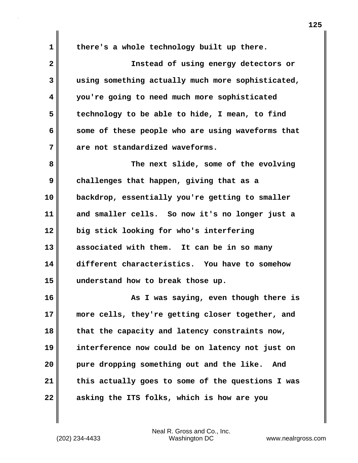**1 there's a whole technology built up there. 2 Instead of using energy detectors or 3 using something actually much more sophisticated, 4 you're going to need much more sophisticated 5 technology to be able to hide, I mean, to find 6 some of these people who are using waveforms that 7 are not standardized waveforms. 8 The next slide, some of the evolving 9 challenges that happen, giving that as a 10 backdrop, essentially you're getting to smaller 11 and smaller cells. So now it's no longer just a 12 big stick looking for who's interfering 13 associated with them. It can be in so many 14 different characteristics. You have to somehow 15 understand how to break those up. 16 As I was saying, even though there is 17 more cells, they're getting closer together, and 18 that the capacity and latency constraints now, 19 interference now could be on latency not just on 20 pure dropping something out and the like. And 21 this actually goes to some of the questions I was 22 asking the ITS folks, which is how are you**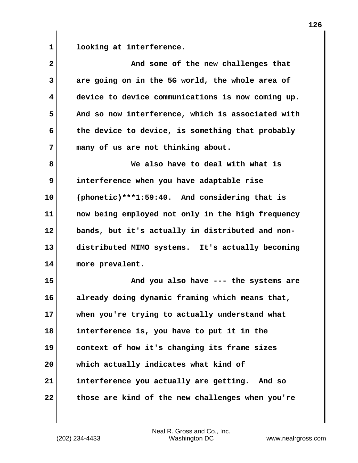1 **looking at interference.** 

| $\mathbf{2}$ | And some of the new challenges that               |
|--------------|---------------------------------------------------|
| 3            | are going on in the 5G world, the whole area of   |
| 4            | device to device communications is now coming up. |
| 5            | And so now interference, which is associated with |
| 6            | the device to device, is something that probably  |
| 7            | many of us are not thinking about.                |
| 8            | We also have to deal with what is                 |
| 9            | interference when you have adaptable rise         |
| 10           | (phonetic)***1:59:40. And considering that is     |
| 11           | now being employed not only in the high frequency |
| 12           | bands, but it's actually in distributed and non-  |
| 13           | distributed MIMO systems. It's actually becoming  |
| 14           | more prevalent.                                   |
| 15           | And you also have --- the systems are             |
| 16           | already doing dynamic framing which means that,   |
| 17           | when you're trying to actually understand what    |
| 18           | interference is, you have to put it in the        |
| 19           | context of how it's changing its frame sizes      |
| 20           | which actually indicates what kind of             |
| 21           | interference you actually are getting. And so     |
| 22           | those are kind of the new challenges when you're  |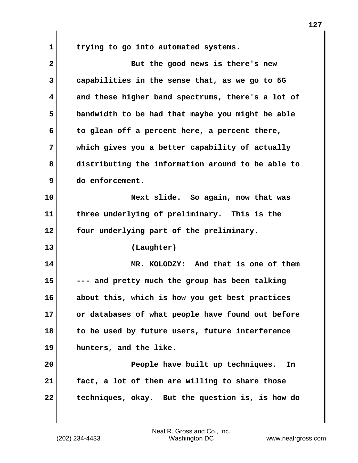**1 trying to go into automated systems.**

| $\overline{\mathbf{2}}$ | But the good news is there's new                  |
|-------------------------|---------------------------------------------------|
| 3                       | capabilities in the sense that, as we go to 5G    |
| 4                       | and these higher band spectrums, there's a lot of |
| 5                       | bandwidth to be had that maybe you might be able  |
| 6                       | to glean off a percent here, a percent there,     |
| 7                       | which gives you a better capability of actually   |
| 8                       | distributing the information around to be able to |
| 9                       | do enforcement.                                   |
| 10                      | Next slide. So again, now that was                |
| 11                      | three underlying of preliminary. This is the      |
| 12                      | four underlying part of the preliminary.          |
| 13                      | (Laughter)                                        |
| 14                      | MR. KOLODZY: And that is one of them              |
| 15                      | --- and pretty much the group has been talking    |
| 16                      | about this, which is how you get best practices   |
| 17                      | or databases of what people have found out before |
| 18                      | to be used by future users, future interference   |
| 19                      | hunters, and the like.                            |
| 20                      | People have built up techniques.<br>In            |
| 21                      | fact, a lot of them are willing to share those    |
| 22                      | techniques, okay. But the question is, is how do  |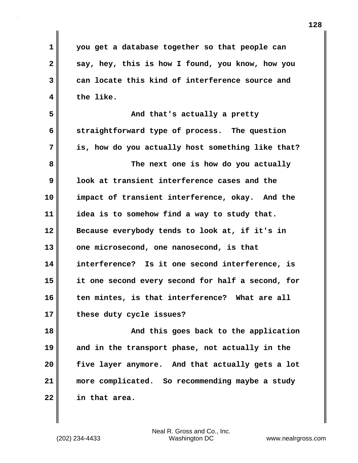| $\mathbf 1$  | you get a database together so that people can    |
|--------------|---------------------------------------------------|
| $\mathbf{2}$ | say, hey, this is how I found, you know, how you  |
| 3            | can locate this kind of interference source and   |
| 4            | the like.                                         |
| 5            | And that's actually a pretty                      |
| 6            | straightforward type of process. The question     |
| 7            | is, how do you actually host something like that? |
| 8            | The next one is how do you actually               |
| 9            | look at transient interference cases and the      |
| 10           | impact of transient interference, okay. And the   |
| 11           | idea is to somehow find a way to study that.      |
| 12           | Because everybody tends to look at, if it's in    |
| 13           | one microsecond, one nanosecond, is that          |
| 14           | interference? Is it one second interference, is   |
| 15           | it one second every second for half a second, for |
| 16           | ten mintes, is that interference? What are all    |
| 17           | these duty cycle issues?                          |
| 18           | And this goes back to the application             |
| 19           | and in the transport phase, not actually in the   |
| 20           | five layer anymore. And that actually gets a lot  |
| 21           | more complicated. So recommending maybe a study   |
| 22           | in that area.                                     |
|              |                                                   |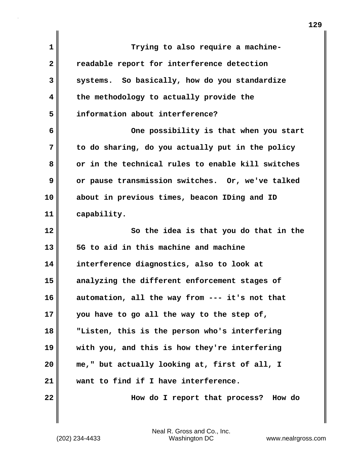| 1  | Trying to also require a machine-                 |
|----|---------------------------------------------------|
| 2  | readable report for interference detection        |
| 3  | systems. So basically, how do you standardize     |
| 4  | the methodology to actually provide the           |
| 5  | information about interference?                   |
| 6  | One possibility is that when you start            |
| 7  | to do sharing, do you actually put in the policy  |
| 8  | or in the technical rules to enable kill switches |
| 9  | or pause transmission switches. Or, we've talked  |
| 10 | about in previous times, beacon IDing and ID      |
| 11 | capability.                                       |
| 12 | So the idea is that you do that in the            |
| 13 | 5G to aid in this machine and machine             |
| 14 | interference diagnostics, also to look at         |
| 15 | analyzing the different enforcement stages of     |
| 16 | automation, all the way from --- it's not that    |
| 17 | you have to go all the way to the step of,        |
| 18 | "Listen, this is the person who's interfering     |
| 19 | with you, and this is how they're interfering     |
| 20 | me," but actually looking at, first of all, I     |
| 21 | want to find if I have interference.              |
| 22 | How do I report that process?<br>How do           |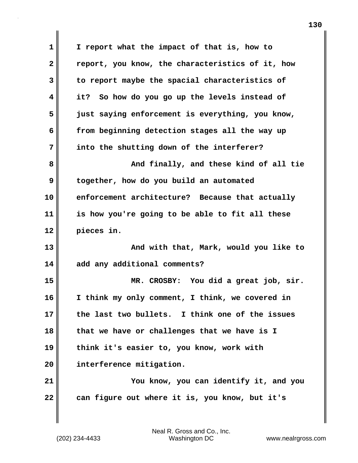**1 I report what the impact of that is, how to 2 report, you know, the characteristics of it, how 3 to report maybe the spacial characteristics of 4 it? So how do you go up the levels instead of 5 just saying enforcement is everything, you know, 6 from beginning detection stages all the way up 7 into the shutting down of the interferer? 8 And finally, and these kind of all tie 9 together, how do you build an automated 10 enforcement architecture? Because that actually 11 is how you're going to be able to fit all these 12 pieces in. 13 And with that, Mark, would you like to 14 add any additional comments? 15 MR. CROSBY: You did a great job, sir. 16 I think my only comment, I think, we covered in 17 the last two bullets. I think one of the issues 18 that we have or challenges that we have is I 19 think it's easier to, you know, work with 20 interference mitigation. 21 You know, you can identify it, and you 22 can figure out where it is, you know, but it's**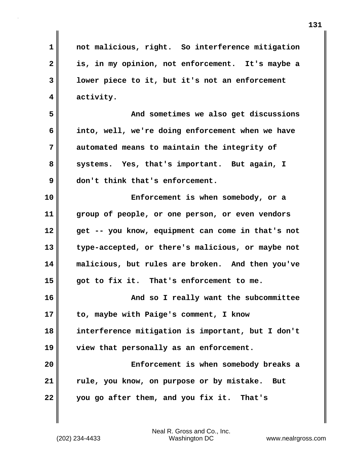**1 not malicious, right. So interference mitigation 2 is, in my opinion, not enforcement. It's maybe a 3 lower piece to it, but it's not an enforcement 4 activity. 5 And sometimes we also get discussions 6 into, well, we're doing enforcement when we have 7 automated means to maintain the integrity of 8 systems. Yes, that's important. But again, I 9 don't think that's enforcement. 10 Enforcement is when somebody, or a 11 group of people, or one person, or even vendors 12 get -- you know, equipment can come in that's not 13 type-accepted, or there's malicious, or maybe not 14 malicious, but rules are broken. And then you've 15 got to fix it. That's enforcement to me. 16 And so I really want the subcommittee 17 to, maybe with Paige's comment, I know 18 interference mitigation is important, but I don't 19 view that personally as an enforcement. 20 Enforcement is when somebody breaks a 21 rule, you know, on purpose or by mistake. But 22 you go after them, and you fix it. That's**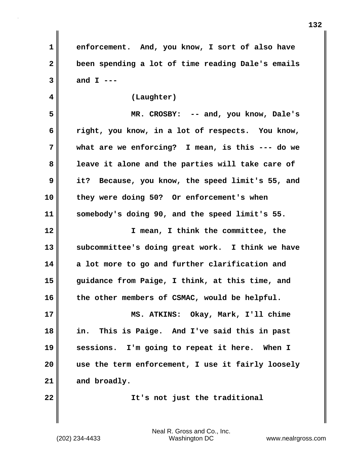**1 enforcement. And, you know, I sort of also have 2 been spending a lot of time reading Dale's emails 3 and I ---**

**4 (Laughter) 5 MR. CROSBY: -- and, you know, Dale's 6 right, you know, in a lot of respects. You know, 7 what are we enforcing? I mean, is this --- do we 8 leave it alone and the parties will take care of 9 it? Because, you know, the speed limit's 55, and 10 they were doing 50? Or enforcement's when 11 somebody's doing 90, and the speed limit's 55. 12 I mean, I think the committee, the**

**13 subcommittee's doing great work. I think we have 14 a lot more to go and further clarification and 15 guidance from Paige, I think, at this time, and 16 the other members of CSMAC, would be helpful.**

**17 MS. ATKINS: Okay, Mark, I'll chime 18 in. This is Paige. And I've said this in past 19 sessions. I'm going to repeat it here. When I 20 use the term enforcement, I use it fairly loosely 21 and broadly.**

**22 It's not just the traditional**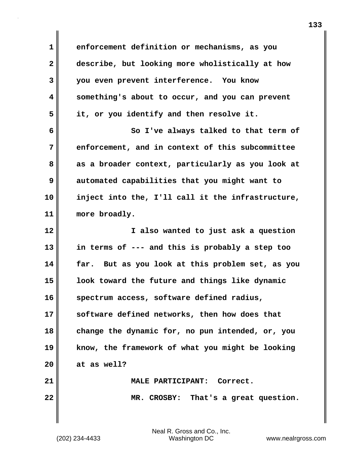**1 enforcement definition or mechanisms, as you 2 describe, but looking more wholistically at how 3 you even prevent interference. You know 4 something's about to occur, and you can prevent 5 it, or you identify and then resolve it. 6 So I've always talked to that term of 7 enforcement, and in context of this subcommittee 8 as a broader context, particularly as you look at 9 automated capabilities that you might want to 10 inject into the, I'll call it the infrastructure, 11 more broadly. 12 I also wanted to just ask a question 13 in terms of --- and this is probably a step too 14 far. But as you look at this problem set, as you 15 look toward the future and things like dynamic 16 spectrum access, software defined radius, 17 software defined networks, then how does that 18 change the dynamic for, no pun intended, or, you 19 know, the framework of what you might be looking 20 at as well? 21 MALE PARTICIPANT: Correct. 22 MR. CROSBY: That's a great question.**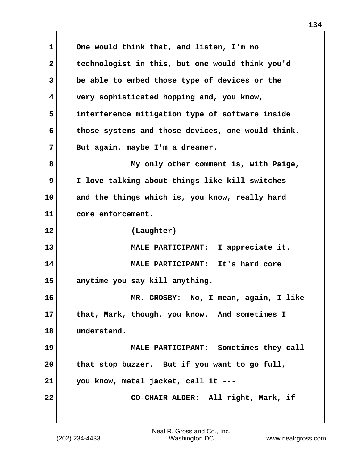**1 One would think that, and listen, I'm no 2 technologist in this, but one would think you'd 3 be able to embed those type of devices or the 4 very sophisticated hopping and, you know, 5 interference mitigation type of software inside 6 those systems and those devices, one would think. 7 But again, maybe I'm a dreamer. 8 My only other comment is, with Paige, 9 I love talking about things like kill switches 10 and the things which is, you know, really hard 11 core enforcement. 12 (Laughter) 13 MALE PARTICIPANT: I appreciate it. 14 MALE PARTICIPANT: It's hard core 15 anytime you say kill anything. 16 MR. CROSBY: No, I mean, again, I like 17 that, Mark, though, you know. And sometimes I 18 understand. 19 MALE PARTICIPANT: Sometimes they call 20 that stop buzzer. But if you want to go full, 21 you know, metal jacket, call it --- 22** CO-CHAIR ALDER: All right, Mark, if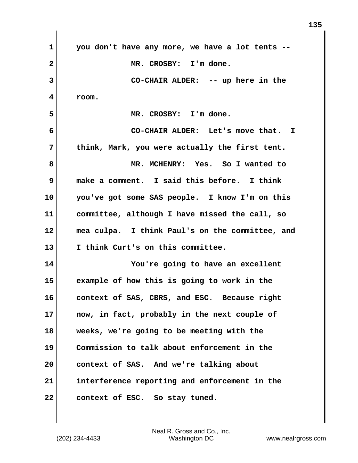| $\mathbf 1$             | you don't have any more, we have a lot tents -- |
|-------------------------|-------------------------------------------------|
| $\overline{\mathbf{2}}$ | MR. CROSBY: I'm done.                           |
| 3                       | CO-CHAIR ALDER: -- up here in the               |
| 4                       | room.                                           |
| 5                       | MR. CROSBY: I'm done.                           |
| 6                       | CO-CHAIR ALDER: Let's move that. I              |
| 7                       | think, Mark, you were actually the first tent.  |
| 8                       | MR. MCHENRY: Yes. So I wanted to                |
| 9                       | make a comment. I said this before. I think     |
| 10                      | you've got some SAS people. I know I'm on this  |
| 11                      | committee, although I have missed the call, so  |
| 12                      | mea culpa. I think Paul's on the committee, and |
| 13                      | I think Curt's on this committee.               |
| 14                      | You're going to have an excellent               |
| 15                      | example of how this is going to work in the     |
| 16                      | context of SAS, CBRS, and ESC. Because right    |
| 17                      | now, in fact, probably in the next couple of    |
| 18                      | weeks, we're going to be meeting with the       |
| 19                      | Commission to talk about enforcement in the     |
| 20                      | context of SAS. And we're talking about         |
| 21                      | interference reporting and enforcement in the   |
| 22                      | context of ESC. So stay tuned.                  |

 $\mathbf{I}$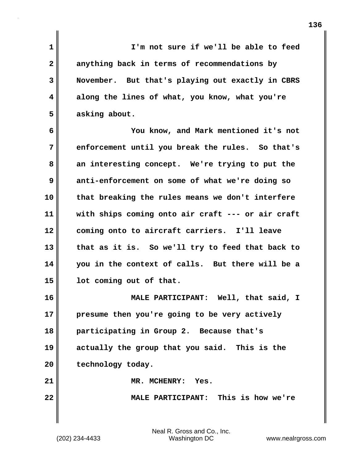**1 I'm not sure if we'll be able to feed 2 anything back in terms of recommendations by 3 November. But that's playing out exactly in CBRS 4 along the lines of what, you know, what you're 5 asking about. 6 You know, and Mark mentioned it's not 7 enforcement until you break the rules. So that's 8 an interesting concept. We're trying to put the 9 anti-enforcement on some of what we're doing so 10 that breaking the rules means we don't interfere 11 with ships coming onto air craft --- or air craft 12 coming onto to aircraft carriers. I'll leave 13 that as it is. So we'll try to feed that back to 14 you in the context of calls. But there will be a 15 lot coming out of that. 16 MALE PARTICIPANT: Well, that said, I 17 presume then you're going to be very actively 18 participating in Group 2. Because that's 19 actually the group that you said. This is the** 20 technology today. **21 MR. MCHENRY: Yes. 22 MALE PARTICIPANT: This is how we're**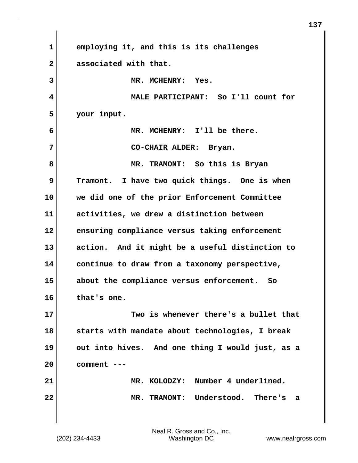| $\mathbf{1}$            | employing it, and this is its challenges         |
|-------------------------|--------------------------------------------------|
| $\mathbf{2}$            | associated with that.                            |
| 3                       | MR. MCHENRY: Yes.                                |
| $\overline{\mathbf{4}}$ | MALE PARTICIPANT: So I'll count for              |
| 5                       | your input.                                      |
| 6                       | MR. MCHENRY: I'll be there.                      |
| 7                       | CO-CHAIR ALDER: Bryan.                           |
| 8                       | MR. TRAMONT: So this is Bryan                    |
| 9                       | Tramont. I have two quick things. One is when    |
| 10                      | we did one of the prior Enforcement Committee    |
| 11                      | activities, we drew a distinction between        |
| 12                      | ensuring compliance versus taking enforcement    |
| 13                      | action. And it might be a useful distinction to  |
| 14                      | continue to draw from a taxonomy perspective,    |
| 15                      | about the compliance versus enforcement. So      |
| 16                      | that's one.                                      |
| 17                      | Two is whenever there's a bullet that            |
| 18                      | starts with mandate about technologies, I break  |
| 19                      | out into hives. And one thing I would just, as a |
| 20                      | comment ---                                      |
| 21                      | MR. KOLODZY: Number 4 underlined.                |
| 22                      | MR. TRAMONT: Understood. There's<br>- a          |
|                         |                                                  |

 $\mathbf{I}$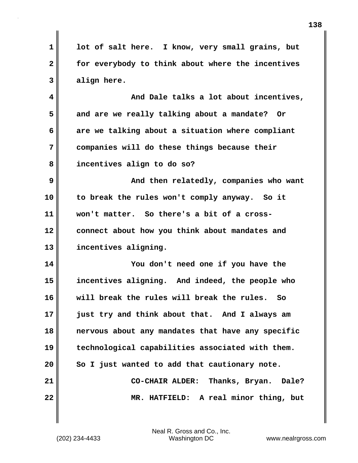**1 lot of salt here. I know, very small grains, but 2 for everybody to think about where the incentives 3 align here. 4 And Dale talks a lot about incentives, 5 and are we really talking about a mandate? Or 6 are we talking about a situation where compliant 7 companies will do these things because their 8 incentives align to do so? 9 And then relatedly, companies who want 10 to break the rules won't comply anyway. So it 11 won't matter. So there's a bit of a cross-12 connect about how you think about mandates and 13 incentives aligning. 14 You don't need one if you have the 15 incentives aligning. And indeed, the people who 16 will break the rules will break the rules. So 17 just try and think about that. And I always am 18 nervous about any mandates that have any specific 19 technological capabilities associated with them. 20 So I just wanted to add that cautionary note. 21 CO-CHAIR ALDER: Thanks, Bryan. Dale? 22 MR. HATFIELD: A real minor thing, but**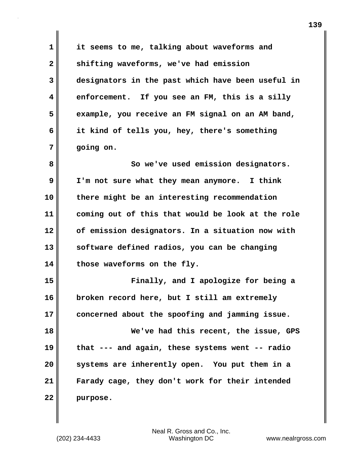**1 it seems to me, talking about waveforms and 2 shifting waveforms, we've had emission 3 designators in the past which have been useful in 4 enforcement. If you see an FM, this is a silly 5 example, you receive an FM signal on an AM band, 6 it kind of tells you, hey, there's something 7 going on.**

**8** So we've used emission designators. **9 I'm not sure what they mean anymore. I think 10 there might be an interesting recommendation 11 coming out of this that would be look at the role 12 of emission designators. In a situation now with 13 software defined radios, you can be changing 14 those waveforms on the fly.**

**15 Finally, and I apologize for being a 16 broken record here, but I still am extremely 17 concerned about the spoofing and jamming issue.**

**18 We've had this recent, the issue, GPS 19 that --- and again, these systems went -- radio 20 systems are inherently open. You put them in a 21 Farady cage, they don't work for their intended 22 purpose.**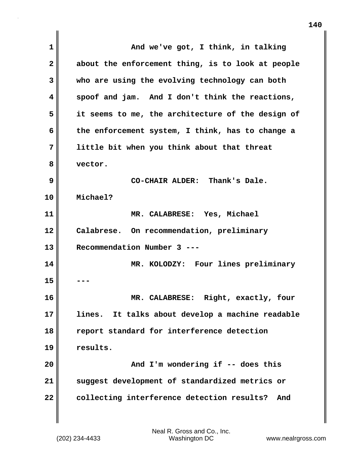**1 And we've got, I think, in talking 2 about the enforcement thing, is to look at people 3 who are using the evolving technology can both 4 spoof and jam. And I don't think the reactions, 5 it seems to me, the architecture of the design of 6 the enforcement system, I think, has to change a 7 little bit when you think about that threat 8 vector. 9 CO-CHAIR ALDER: Thank's Dale. 10 Michael? 11 MR. CALABRESE: Yes, Michael 12 Calabrese. On recommendation, preliminary 13 Recommendation Number 3 --- 14 MR. KOLODZY: Four lines preliminary 15 --- 16 MR. CALABRESE: Right, exactly, four 17 lines. It talks about develop a machine readable 18 report standard for interference detection 19 results. 20 And I'm wondering if -- does this 21 suggest development of standardized metrics or 22 collecting interference detection results? And**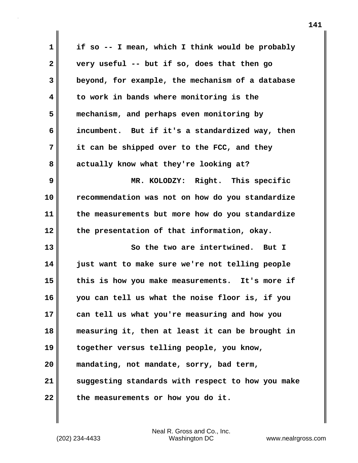| $\mathbf 1$  | if so -- I mean, which I think would be probably  |
|--------------|---------------------------------------------------|
| $\mathbf{2}$ | very useful -- but if so, does that then go       |
| $\mathbf{3}$ | beyond, for example, the mechanism of a database  |
| 4            | to work in bands where monitoring is the          |
| 5            | mechanism, and perhaps even monitoring by         |
| 6            | incumbent. But if it's a standardized way, then   |
| 7            | it can be shipped over to the FCC, and they       |
| 8            | actually know what they're looking at?            |
| 9            | MR. KOLODZY: Right. This specific                 |
| 10           | recommendation was not on how do you standardize  |
| 11           | the measurements but more how do you standardize  |
| 12           | the presentation of that information, okay.       |
| 13           | So the two are intertwined. But I                 |
| 14           | just want to make sure we're not telling people   |
| 15           | this is how you make measurements. It's more if   |
| 16           | you can tell us what the noise floor is, if you   |
| 17           | can tell us what you're measuring and how you     |
| 18           | measuring it, then at least it can be brought in  |
| 19           | together versus telling people, you know,         |
| 20           | mandating, not mandate, sorry, bad term,          |
| 21           | suggesting standards with respect to how you make |
| 22           | the measurements or how you do it.                |

(202) 234-4433 Washington DC www.nealrgross.com Neal R. Gross and Co., Inc.

 $\mathbf{l}$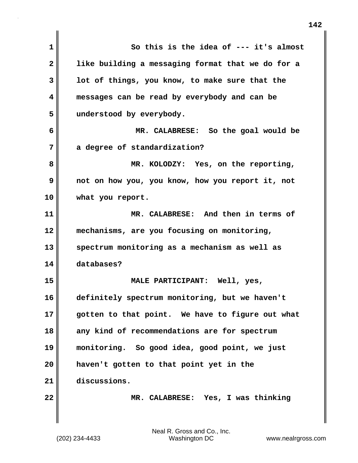**1 So this is the idea of --- it's almost 2 like building a messaging format that we do for a 3 lot of things, you know, to make sure that the 4 messages can be read by everybody and can be 5 understood by everybody. 6 MR. CALABRESE: So the goal would be 7 a degree of standardization? 8 MR. KOLODZY: Yes, on the reporting, 9 not on how you, you know, how you report it, not 10 what you report. 11 MR. CALABRESE: And then in terms of 12 mechanisms, are you focusing on monitoring, 13 spectrum monitoring as a mechanism as well as 14 databases? 15 MALE PARTICIPANT: Well, yes, 16 definitely spectrum monitoring, but we haven't 17 gotten to that point. We have to figure out what 18 any kind of recommendations are for spectrum 19 monitoring. So good idea, good point, we just 20 haven't gotten to that point yet in the 21 discussions. 22 MR. CALABRESE: Yes, I was thinking**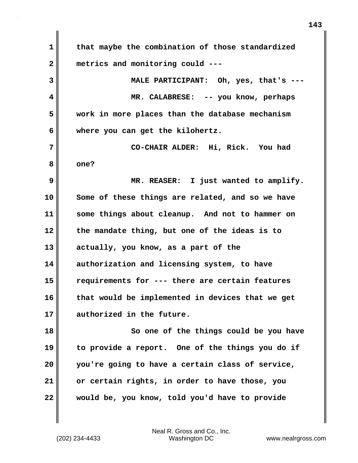**1 that maybe the combination of those standardized 2 metrics and monitoring could --- 3 MALE PARTICIPANT: Oh, yes, that's --- 4 MR. CALABRESE: -- you know, perhaps 5 work in more places than the database mechanism 6 where you can get the kilohertz. 7 CO-CHAIR ALDER: Hi, Rick. You had 8 one? 9 MR. REASER: I just wanted to amplify. 10 Some of these things are related, and so we have 11 some things about cleanup. And not to hammer on 12 the mandate thing, but one of the ideas is to 13 actually, you know, as a part of the 14 authorization and licensing system, to have 15 requirements for --- there are certain features 16 that would be implemented in devices that we get 17 authorized in the future. 18 So one of the things could be you have 19 to provide a report. One of the things you do if 20 you're going to have a certain class of service, 21 or certain rights, in order to have those, you 22 would be, you know, told you'd have to provide**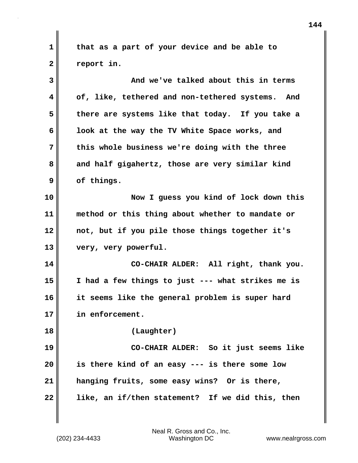**1 that as a part of your device and be able to** 2 **Preport in.** 

| 3  | And we've talked about this in terms                |
|----|-----------------------------------------------------|
| 4  | of, like, tethered and non-tethered systems.<br>And |
| 5  | there are systems like that today. If you take a    |
| 6  | look at the way the TV White Space works, and       |
| 7  | this whole business we're doing with the three      |
| 8  | and half gigahertz, those are very similar kind     |
| 9  | of things.                                          |
| 10 | Now I guess you kind of lock down this              |
| 11 | method or this thing about whether to mandate or    |
| 12 | not, but if you pile those things together it's     |
| 13 | very, very powerful.                                |
| 14 | CO-CHAIR ALDER: All right, thank you.               |
| 15 | I had a few things to just --- what strikes me is   |
| 16 | it seems like the general problem is super hard     |
| 17 | in enforcement.                                     |
| 18 | (Laughter)                                          |
| 19 | CO-CHAIR ALDER: So it just seems like               |
| 20 | is there kind of an easy --- is there some low      |
| 21 | hanging fruits, some easy wins? Or is there,        |
| 22 | like, an if/then statement? If we did this, then    |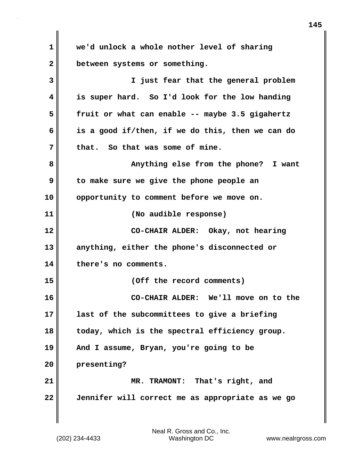**1 we'd unlock a whole nother level of sharing 2 between systems or something. 3 I just fear that the general problem 4 is super hard. So I'd look for the low handing 5 fruit or what can enable -- maybe 3.5 gigahertz 6 is a good if/then, if we do this, then we can do 7 that. So that was some of mine. 8 Anything else from the phone? I want 9 to make sure we give the phone people an 10 opportunity to comment before we move on. 11 (No audible response) 12 CO-CHAIR ALDER: Okay, not hearing 13 anything, either the phone's disconnected or 14 there's no comments. 15 (Off the record comments) 16 CO-CHAIR ALDER: We'll move on to the 17 last of the subcommittees to give a briefing 18 today, which is the spectral efficiency group. 19 And I assume, Bryan, you're going to be 20 presenting? 21 MR. TRAMONT: That's right, and 22 Jennifer will correct me as appropriate as we go**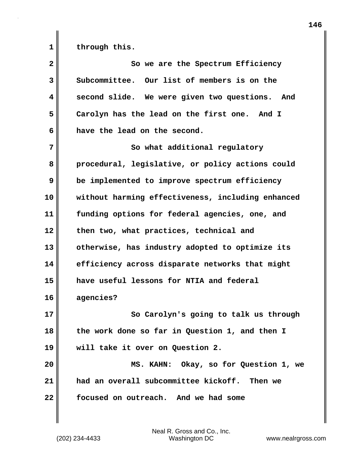1 through this.

| $\overline{2}$ | So we are the Spectrum Efficiency                 |
|----------------|---------------------------------------------------|
| 3              | Subcommittee. Our list of members is on the       |
| 4              | second slide. We were given two questions. And    |
| 5              | Carolyn has the lead on the first one. And I      |
| 6              | have the lead on the second.                      |
| 7              | So what additional regulatory                     |
| 8              | procedural, legislative, or policy actions could  |
| 9              | be implemented to improve spectrum efficiency     |
| 10             | without harming effectiveness, including enhanced |
| 11             | funding options for federal agencies, one, and    |
| 12             | then two, what practices, technical and           |
| 13             | otherwise, has industry adopted to optimize its   |
| 14             | efficiency across disparate networks that might   |
| 15             | have useful lessons for NTIA and federal          |
| 16             | agencies?                                         |
| 17             | So Carolyn's going to talk us through             |
| 18             | the work done so far in Question 1, and then I    |
| 19             | will take it over on Question 2.                  |
| 20             | MS. KAHN: Okay, so for Question 1, we             |
| 21             | had an overall subcommittee kickoff. Then we      |
| 22             | focused on outreach. And we had some              |
|                |                                                   |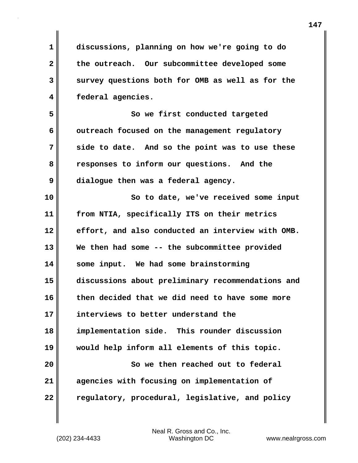**1 discussions, planning on how we're going to do 2 the outreach. Our subcommittee developed some 3 survey questions both for OMB as well as for the 4 federal agencies. 5 So we first conducted targeted** 6 outreach focused on the management regulatory **7 side to date. And so the point was to use these 8 responses to inform our questions. And the 9 dialogue then was a federal agency. 10 So to date, we've received some input 11 from NTIA, specifically ITS on their metrics 12 effort, and also conducted an interview with OMB. 13 We then had some -- the subcommittee provided 14 some input. We had some brainstorming 15 discussions about preliminary recommendations and 16 then decided that we did need to have some more 17 interviews to better understand the 18 implementation side. This rounder discussion 19 would help inform all elements of this topic. 20 So we then reached out to federal 21 agencies with focusing on implementation of 22 regulatory, procedural, legislative, and policy**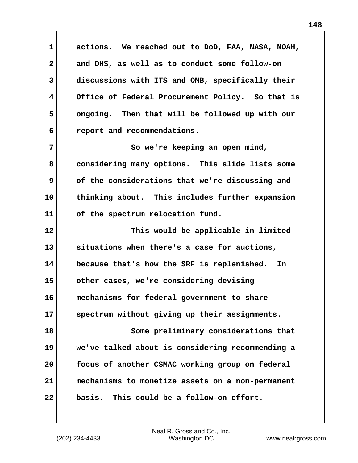**1 actions. We reached out to DoD, FAA, NASA, NOAH, 2 and DHS, as well as to conduct some follow-on 3 discussions with ITS and OMB, specifically their 4 Office of Federal Procurement Policy. So that is 5 ongoing. Then that will be followed up with our 6 report and recommendations.**

**7** So we're keeping an open mind, **8 considering many options. This slide lists some 9 of the considerations that we're discussing and 10 thinking about. This includes further expansion 11 of the spectrum relocation fund.**

**12 This would be applicable in limited 13 situations when there's a case for auctions, 14 because that's how the SRF is replenished. In 15 other cases, we're considering devising 16 mechanisms for federal government to share 17 spectrum without giving up their assignments. 18 Some preliminary considerations that 19 we've talked about is considering recommending a 20 focus of another CSMAC working group on federal 21 mechanisms to monetize assets on a non-permanent 22 basis. This could be a follow-on effort.**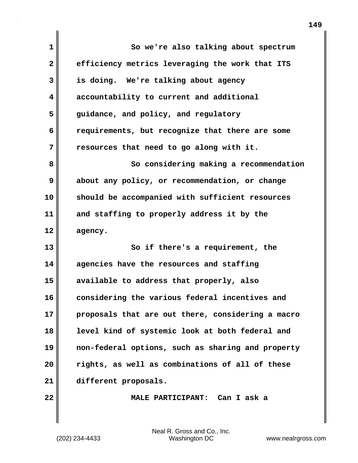| 1            | So we're also talking about spectrum              |
|--------------|---------------------------------------------------|
| $\mathbf{2}$ | efficiency metrics leveraging the work that ITS   |
| 3            | is doing. We're talking about agency              |
| 4            | accountability to current and additional          |
| 5            | guidance, and policy, and regulatory              |
| 6            | requirements, but recognize that there are some   |
| 7            | resources that need to go along with it.          |
| 8            | So considering making a recommendation            |
| 9            | about any policy, or recommendation, or change    |
| 10           | should be accompanied with sufficient resources   |
| 11           | and staffing to properly address it by the        |
| 12           | agency.                                           |
| 13           | So if there's a requirement, the                  |
| 14           | agencies have the resources and staffing          |
| 15           | available to address that properly, also          |
| 16           | considering the various federal incentives and    |
| 17           | proposals that are out there, considering a macro |
| 18           | level kind of systemic look at both federal and   |
| 19           | non-federal options, such as sharing and property |
| 20           | rights, as well as combinations of all of these   |
| 21           | different proposals.                              |
| 22           | MALE PARTICIPANT: Can I ask a                     |

(202) 234-4433 Washington DC www.nealrgross.com Neal R. Gross and Co., Inc.

 $\mathbf{I}$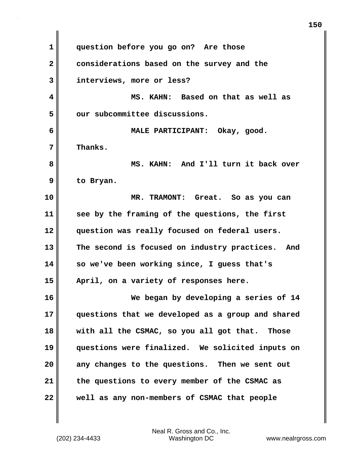**1 question before you go on? Are those 2 considerations based on the survey and the 3 interviews, more or less? 4 MS. KAHN: Based on that as well as 5 our subcommittee discussions. 6 MALE PARTICIPANT: Okay, good. 7 Thanks. 8 MS. KAHN: And I'll turn it back over 9 to Bryan. 10 MR. TRAMONT: Great. So as you can 11 see by the framing of the questions, the first 12 question was really focused on federal users. 13 The second is focused on industry practices. And 14 so we've been working since, I guess that's 15 April, on a variety of responses here. 16 We began by developing a series of 14 17 questions that we developed as a group and shared 18 with all the CSMAC, so you all got that. Those 19 questions were finalized. We solicited inputs on 20 any changes to the questions. Then we sent out 21 the questions to every member of the CSMAC as 22 well as any non-members of CSMAC that people**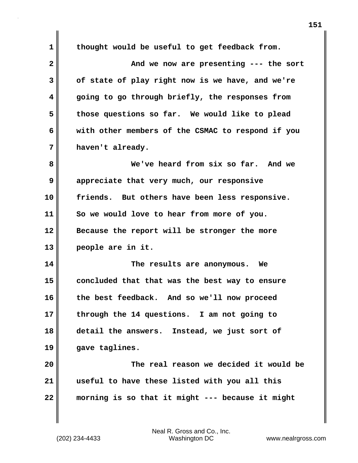**1 thought would be useful to get feedback from. 2 And we now are presenting --- the sort 3 of state of play right now is we have, and we're 4 going to go through briefly, the responses from 5 those questions so far. We would like to plead 6 with other members of the CSMAC to respond if you 7 haven't already. 8 We've heard from six so far. And we 9 appreciate that very much, our responsive 10 friends. But others have been less responsive. 11 So we would love to hear from more of you. 12 Because the report will be stronger the more 13 people are in it. 14 The results are anonymous. We 15 concluded that that was the best way to ensure 16 the best feedback. And so we'll now proceed 17 through the 14 questions. I am not going to 18 detail the answers. Instead, we just sort of 19 gave taglines. 20 The real reason we decided it would be 21 useful to have these listed with you all this 22 morning is so that it might --- because it might**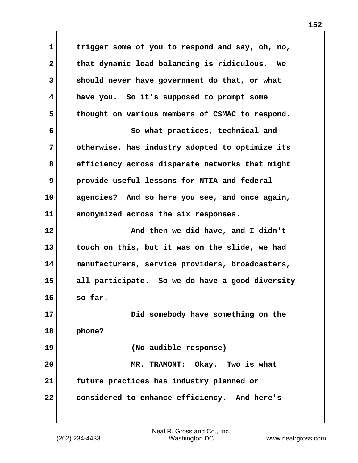**1 trigger some of you to respond and say, oh, no, 2 that dynamic load balancing is ridiculous. We 3 should never have government do that, or what 4 have you. So it's supposed to prompt some 5 thought on various members of CSMAC to respond. 6 So what practices, technical and 7 otherwise, has industry adopted to optimize its 8 efficiency across disparate networks that might 9 provide useful lessons for NTIA and federal 10 agencies? And so here you see, and once again, 11 anonymized across the six responses. 12 And then we did have, and I didn't 13 touch on this, but it was on the slide, we had 14 manufacturers, service providers, broadcasters, 15 all participate. So we do have a good diversity 16 so far. 17 Did somebody have something on the 18 phone? 19 (No audible response) 20 MR. TRAMONT: Okay. Two is what 21 future practices has industry planned or 22 considered to enhance efficiency. And here's**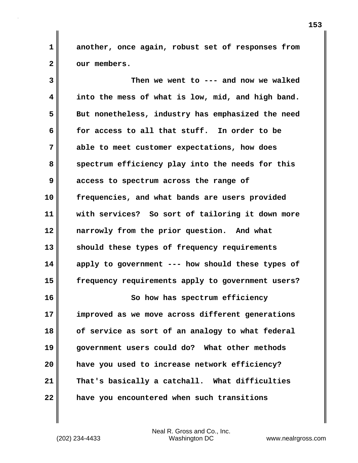**1 another, once again, robust set of responses from** 2 | our members.

**3 Then we went to --- and now we walked 4 into the mess of what is low, mid, and high band. 5 But nonetheless, industry has emphasized the need 6 for access to all that stuff. In order to be 7 able to meet customer expectations, how does** 8 spectrum efficiency play into the needs for this **9 access to spectrum across the range of 10 frequencies, and what bands are users provided 11 with services? So sort of tailoring it down more 12 narrowly from the prior question. And what 13 should these types of frequency requirements 14 apply to government --- how should these types of 15 frequency requirements apply to government users? 16 So how has spectrum efficiency 17 improved as we move across different generations 18 of service as sort of an analogy to what federal 19 government users could do? What other methods 20 have you used to increase network efficiency? 21 That's basically a catchall. What difficulties 22 have you encountered when such transitions**

(202) 234-4433 Washington DC www.nealrgross.com Neal R. Gross and Co., Inc.

**153**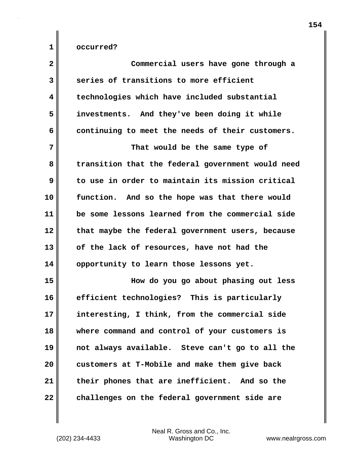| $\overline{\mathbf{2}}$ | Commercial users have gone through a              |
|-------------------------|---------------------------------------------------|
| 3                       | series of transitions to more efficient           |
| 4                       | technologies which have included substantial      |
| 5                       | investments. And they've been doing it while      |
| 6                       | continuing to meet the needs of their customers.  |
| 7                       | That would be the same type of                    |
| 8                       | transition that the federal government would need |
| 9                       | to use in order to maintain its mission critical  |
| 10                      | function. And so the hope was that there would    |
| 11                      | be some lessons learned from the commercial side  |
| 12                      | that maybe the federal government users, because  |
| 13                      | of the lack of resources, have not had the        |
| 14                      | opportunity to learn those lessons yet.           |
| 15                      | How do you go about phasing out less              |
| 16                      | efficient technologies? This is particularly      |
| 17                      | interesting, I think, from the commercial side    |
| 18                      | where command and control of your customers is    |
| 19                      | not always available. Steve can't go to all the   |
| 20                      | customers at T-Mobile and make them give back     |
| 21                      | their phones that are inefficient. And so the     |
| 22                      | challenges on the federal government side are     |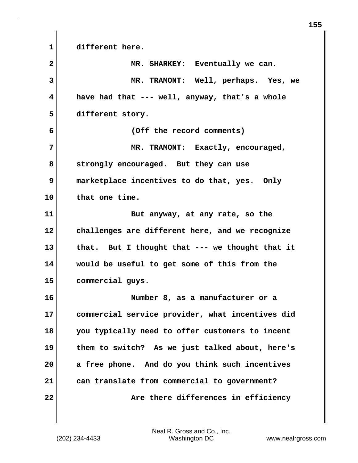**1 different here. 2 MR. SHARKEY: Eventually we can. 3 MR. TRAMONT: Well, perhaps. Yes, we 4 have had that --- well, anyway, that's a whole 5 different story. 6 (Off the record comments) 7 MR. TRAMONT: Exactly, encouraged, 8 strongly encouraged. But they can use 9 marketplace incentives to do that, yes. Only 10 that one time. 11** But anyway, at any rate, so the **12 challenges are different here, and we recognize 13 that. But I thought that --- we thought that it 14 would be useful to get some of this from the 15 commercial guys. 16 Number 8, as a manufacturer or a 17 commercial service provider, what incentives did 18 you typically need to offer customers to incent 19 them to switch? As we just talked about, here's 20 a free phone. And do you think such incentives 21 can translate from commercial to government? 22 Are there differences in efficiency**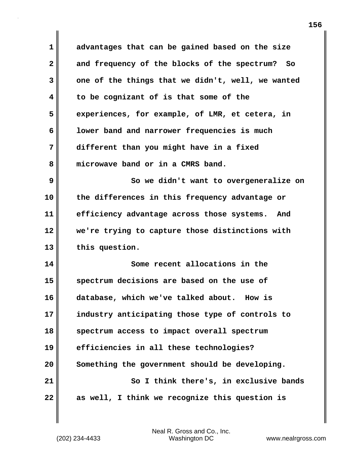**1 advantages that can be gained based on the size 2 and frequency of the blocks of the spectrum? So 3 one of the things that we didn't, well, we wanted 4 to be cognizant of is that some of the 5 experiences, for example, of LMR, et cetera, in 6 lower band and narrower frequencies is much 7 different than you might have in a fixed 8 microwave band or in a CMRS band. 9 So we didn't want to overgeneralize on 10 the differences in this frequency advantage or 11 efficiency advantage across those systems. And 12 we're trying to capture those distinctions with 13 this question. 14 Some recent allocations in the 15 spectrum decisions are based on the use of 16 database, which we've talked about. How is 17 industry anticipating those type of controls to 18 spectrum access to impact overall spectrum 19 efficiencies in all these technologies? 20 Something the government should be developing. 21 So I think there's, in exclusive bands 22 as well, I think we recognize this question is**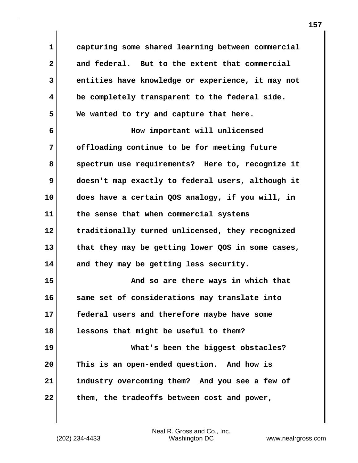**1 capturing some shared learning between commercial 2 and federal. But to the extent that commercial 3 entities have knowledge or experience, it may not 4 be completely transparent to the federal side. 5 We wanted to try and capture that here. 6 How important will unlicensed 7 offloading continue to be for meeting future 8 spectrum use requirements? Here to, recognize it 9 doesn't map exactly to federal users, although it 10 does have a certain QOS analogy, if you will, in 11 the sense that when commercial systems 12 traditionally turned unlicensed, they recognized 13 that they may be getting lower QOS in some cases, 14 and they may be getting less security. 15 And so are there ways in which that 16 same set of considerations may translate into 17 federal users and therefore maybe have some 18 lessons that might be useful to them? 19 What's been the biggest obstacles? 20 This is an open-ended question. And how is 21 industry overcoming them? And you see a few of 22 them, the tradeoffs between cost and power,**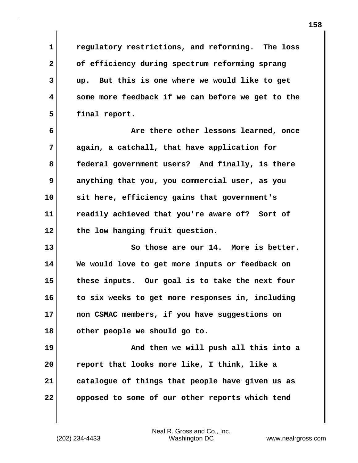**1 regulatory restrictions, and reforming. The loss 2 of efficiency during spectrum reforming sprang 3 up. But this is one where we would like to get 4 some more feedback if we can before we get to the 5 final report.**

**6 Are there other lessons learned, once 7 again, a catchall, that have application for 8 federal government users? And finally, is there 9 anything that you, you commercial user, as you 10 sit here, efficiency gains that government's 11 readily achieved that you're aware of? Sort of 12 the low hanging fruit question.**

**13 So those are our 14. More is better. 14 We would love to get more inputs or feedback on 15 these inputs. Our goal is to take the next four 16 to six weeks to get more responses in, including 17 non CSMAC members, if you have suggestions on 18 other people we should go to.**

**19 And then we will push all this into a 20 report that looks more like, I think, like a 21 catalogue of things that people have given us as 22 opposed to some of our other reports which tend**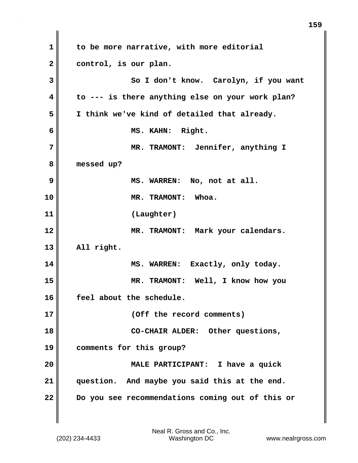**1 to be more narrative, with more editorial 2 control, is our plan. 3** So I don't know. Carolyn, if you want **4 to --- is there anything else on your work plan? 5 I think we've kind of detailed that already. 6 MS. KAHN: Right. 7 MR. TRAMONT: Jennifer, anything I 8 messed up? 9 MS. WARREN: No, not at all. 10 MR. TRAMONT: Whoa. 11 (Laughter) 12 MR. TRAMONT: Mark your calendars. 13 All right.** 14 MS. WARREN: Exactly, only today. **15 MR. TRAMONT: Well, I know how you 16 feel about the schedule. 17 (Off the record comments) 18 CO-CHAIR ALDER: Other questions, 19 comments for this group? 20 MALE PARTICIPANT: I have a quick 21 question. And maybe you said this at the end. 22 Do you see recommendations coming out of this or**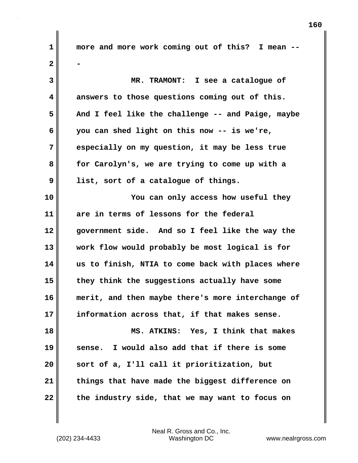**1 more and more work coming out of this? I mean -- 2 - 3 MR. TRAMONT: I see a catalogue of 4 answers to those questions coming out of this. 5 And I feel like the challenge -- and Paige, maybe 6 you can shed light on this now -- is we're, 7 especially on my question, it may be less true 8 for Carolyn's, we are trying to come up with a 9 list, sort of a catalogue of things. 10 You can only access how useful they 11 are in terms of lessons for the federal 12 government side. And so I feel like the way the 13 work flow would probably be most logical is for 14 us to finish, NTIA to come back with places where 15 they think the suggestions actually have some 16 merit, and then maybe there's more interchange of 17 information across that, if that makes sense. 18 MS. ATKINS: Yes, I think that makes 19 sense. I would also add that if there is some 20 sort of a, I'll call it prioritization, but 21 things that have made the biggest difference on 22 the industry side, that we may want to focus on**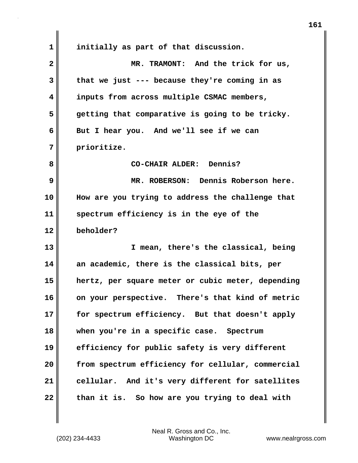**1 initially as part of that discussion. 2 MR. TRAMONT: And the trick for us, 3 that we just --- because they're coming in as 4 inputs from across multiple CSMAC members, 5 getting that comparative is going to be tricky. 6 But I hear you. And we'll see if we can 7 prioritize. 8 CO-CHAIR ALDER: Dennis? 9 MR. ROBERSON: Dennis Roberson here. 10 How are you trying to address the challenge that 11 spectrum efficiency is in the eye of the 12 beholder? 13 I mean, there's the classical, being 14 an academic, there is the classical bits, per 15 hertz, per square meter or cubic meter, depending 16 on your perspective. There's that kind of metric 17 for spectrum efficiency. But that doesn't apply 18 when you're in a specific case. Spectrum 19 efficiency for public safety is very different 20 from spectrum efficiency for cellular, commercial 21 cellular. And it's very different for satellites 22 than it is. So how are you trying to deal with**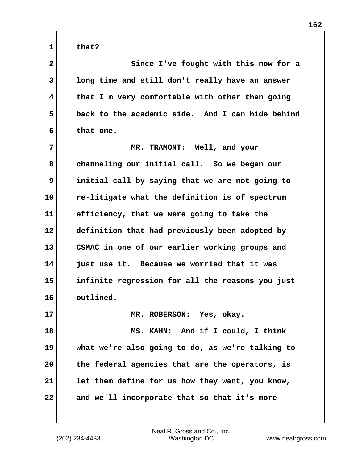| $\overline{\mathbf{2}}$ | Since I've fought with this now for a            |
|-------------------------|--------------------------------------------------|
| 3                       | long time and still don't really have an answer  |
| 4                       | that I'm very comfortable with other than going  |
| 5                       | back to the academic side. And I can hide behind |
| 6                       | that one.                                        |
| 7                       | MR. TRAMONT: Well, and your                      |
| 8                       | channeling our initial call. So we began our     |
| 9                       | initial call by saying that we are not going to  |
| 10                      | re-litigate what the definition is of spectrum   |
| 11                      | efficiency, that we were going to take the       |
| 12                      | definition that had previously been adopted by   |
| 13                      | CSMAC in one of our earlier working groups and   |
| 14                      | just use it. Because we worried that it was      |
| 15                      | infinite regression for all the reasons you just |
| 16                      | outlined.                                        |
| 17                      | MR. ROBERSON: Yes, okay.                         |
| 18                      | MS. KAHN: And if I could, I think                |
|                         |                                                  |

**19 what we're also going to do, as we're talking to 20 the federal agencies that are the operators, is 21 let them define for us how they want, you know, 22 and we'll incorporate that so that it's more**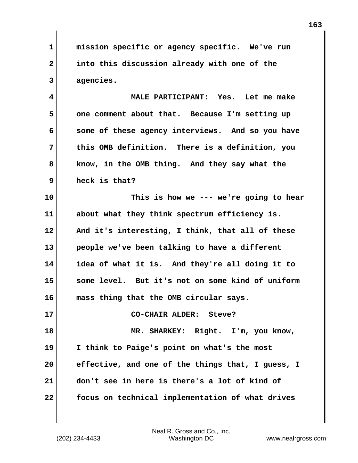**1 mission specific or agency specific. We've run 2 into this discussion already with one of the 3 agencies.**

**4 MALE PARTICIPANT: Yes. Let me make 5 one comment about that. Because I'm setting up 6 some of these agency interviews. And so you have 7 this OMB definition. There is a definition, you 8 know, in the OMB thing. And they say what the 9 heck is that?**

**10 This is how we --- we're going to hear 11 about what they think spectrum efficiency is. 12 And it's interesting, I think, that all of these 13 people we've been talking to have a different 14 idea of what it is. And they're all doing it to 15 some level. But it's not on some kind of uniform 16 mass thing that the OMB circular says.**

**18 MR. SHARKEY: Right. I'm, you know, 19 I think to Paige's point on what's the most 20 effective, and one of the things that, I guess, I 21 don't see in here is there's a lot of kind of 22 focus on technical implementation of what drives**

**17 CO-CHAIR ALDER: Steve?**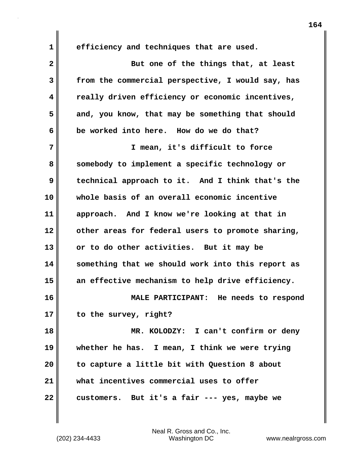**1 efficiency and techniques that are used.**

**2** But one of the things that, at least **3 from the commercial perspective, I would say, has 4 really driven efficiency or economic incentives, 5 and, you know, that may be something that should 6 be worked into here. How do we do that? 7 I mean, it's difficult to force 8 somebody to implement a specific technology or 9 technical approach to it. And I think that's the 10 whole basis of an overall economic incentive 11 approach. And I know we're looking at that in 12 other areas for federal users to promote sharing, 13 or to do other activities. But it may be 14 something that we should work into this report as 15 an effective mechanism to help drive efficiency. 16 MALE PARTICIPANT: He needs to respond 17 to the survey, right? 18 MR. KOLODZY: I can't confirm or deny 19 whether he has. I mean, I think we were trying 20 to capture a little bit with Question 8 about 21 what incentives commercial uses to offer 22 customers. But it's a fair --- yes, maybe we**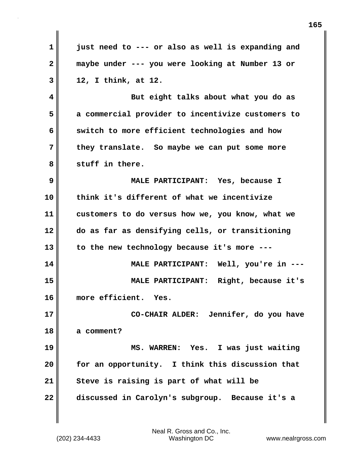| $\mathbf 1$  | just need to --- or also as well is expanding and |
|--------------|---------------------------------------------------|
| $\mathbf{2}$ | maybe under --- you were looking at Number 13 or  |
| 3            | 12, I think, at 12.                               |
| 4            | But eight talks about what you do as              |
| 5            | a commercial provider to incentivize customers to |
| 6            | switch to more efficient technologies and how     |
| 7            | they translate. So maybe we can put some more     |
| 8            | stuff in there.                                   |
| 9            | MALE PARTICIPANT: Yes, because I                  |
| 10           | think it's different of what we incentivize       |
| 11           | customers to do versus how we, you know, what we  |
| 12           | do as far as densifying cells, or transitioning   |
| 13           | to the new technology because it's more ---       |
| 14           | MALE PARTICIPANT: Well, you're in ---             |
| 15           | MALE PARTICIPANT: Right, because it's             |
| 16           | more efficient. Yes.                              |
| 17           | CO-CHAIR ALDER: Jennifer, do you have             |
| 18           | a comment?                                        |
| 19           | MS. WARREN: Yes. I was just waiting               |
| 20           | for an opportunity. I think this discussion that  |
| 21           | Steve is raising is part of what will be          |
| 22           | discussed in Carolyn's subgroup. Because it's a   |
|              |                                                   |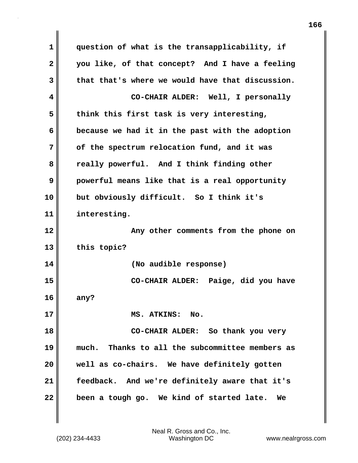**1 question of what is the transapplicability, if 2 you like, of that concept? And I have a feeling 3 that that's where we would have that discussion. 4 CO-CHAIR ALDER: Well, I personally 5 think this first task is very interesting, 6 because we had it in the past with the adoption 7 of the spectrum relocation fund, and it was 8 really powerful. And I think finding other 9 powerful means like that is a real opportunity 10 but obviously difficult. So I think it's 11 interesting. 12 Any other comments from the phone on 13 this topic? 14 (No audible response) 15 CO-CHAIR ALDER: Paige, did you have 16 any? 17 MS. ATKINS: No. 18 CO-CHAIR ALDER: So thank you very 19 much. Thanks to all the subcommittee members as 20 well as co-chairs. We have definitely gotten 21 feedback. And we're definitely aware that it's 22 been a tough go. We kind of started late. We**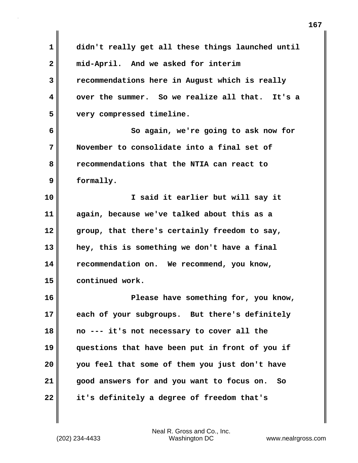| $\mathbf{1}$ | didn't really get all these things launched until |
|--------------|---------------------------------------------------|
| $\mathbf{2}$ | mid-April. And we asked for interim               |
| 3            | recommendations here in August which is really    |
| 4            | over the summer. So we realize all that. It's a   |
| 5            | very compressed timeline.                         |
| 6            | So again, we're going to ask now for              |
| 7            | November to consolidate into a final set of       |
| 8            | recommendations that the NTIA can react to        |
| 9            | formally.                                         |
| 10           | I said it earlier but will say it                 |
| 11           | again, because we've talked about this as a       |
| 12           | group, that there's certainly freedom to say,     |
| 13           | hey, this is something we don't have a final      |
| 14           | recommendation on. We recommend, you know,        |
| 15           | continued work.                                   |
| 16           | Please have something for, you know,              |
| 17           | each of your subgroups. But there's definitely    |
| 18           | no --- it's not necessary to cover all the        |
| 19           | questions that have been put in front of you if   |
| 20           | you feel that some of them you just don't have    |
| 21           | good answers for and you want to focus on.<br>So  |
| 22           | it's definitely a degree of freedom that's        |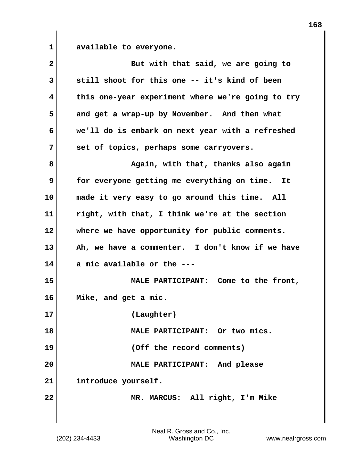**1 available to everyone.**

| $\overline{\mathbf{2}}$ | But with that said, we are going to               |
|-------------------------|---------------------------------------------------|
| 3                       | still shoot for this one -- it's kind of been     |
| 4                       | this one-year experiment where we're going to try |
| 5                       | and get a wrap-up by November. And then what      |
| 6                       | we'll do is embark on next year with a refreshed  |
| 7                       | set of topics, perhaps some carryovers.           |
| 8                       | Again, with that, thanks also again               |
| 9                       | for everyone getting me everything on time. It    |
| 10                      | made it very easy to go around this time. All     |
| 11                      | right, with that, I think we're at the section    |
| 12                      | where we have opportunity for public comments.    |
| 13                      | Ah, we have a commenter. I don't know if we have  |
| 14                      | a mic available or the.                           |
| 15                      | MALE PARTICIPANT: Come to the front,              |
| 16                      | Mike, and get a mic.                              |
| 17                      | (Laughter)                                        |
| 18                      | MALE PARTICIPANT: Or two mics.                    |
| 19                      | (Off the record comments)                         |
| 20                      | MALE PARTICIPANT: And please                      |
| 21                      | introduce yourself.                               |
| 22                      | MR. MARCUS: All right, I'm Mike                   |
|                         |                                                   |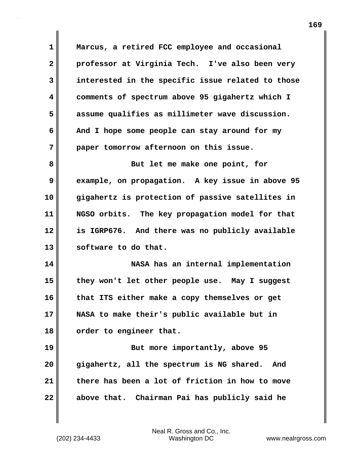**1 Marcus, a retired FCC employee and occasional 2 professor at Virginia Tech. I've also been very 3 interested in the specific issue related to those 4 comments of spectrum above 95 gigahertz which I 5 assume qualifies as millimeter wave discussion. 6 And I hope some people can stay around for my 7 paper tomorrow afternoon on this issue. 8 But let me make one point, for 9 example, on propagation. A key issue in above 95 10 gigahertz is protection of passive satellites in 11 NGSO orbits. The key propagation model for that 12 is IGRP676. And there was no publicly available 13 software to do that. 14 NASA has an internal implementation 15 they won't let other people use. May I suggest 16 that ITS either make a copy themselves or get**

**17 NASA to make their's public available but in 18 order to engineer that.**

**19** But more importantly, above 95 **20 gigahertz, all the spectrum is NG shared. And 21 there has been a lot of friction in how to move 22 above that. Chairman Pai has publicly said he**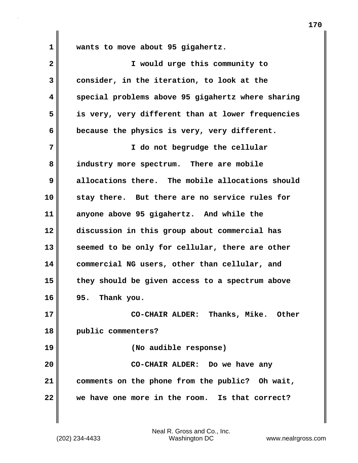**1 wants to move about 95 gigahertz.**

| $\overline{\mathbf{2}}$ | I would urge this community to                    |
|-------------------------|---------------------------------------------------|
| 3                       | consider, in the iteration, to look at the        |
| 4                       | special problems above 95 gigahertz where sharing |
| 5                       | is very, very different than at lower frequencies |
| 6                       | because the physics is very, very different.      |
| 7                       | I do not begrudge the cellular                    |
| 8                       | industry more spectrum. There are mobile          |
| 9                       | allocations there. The mobile allocations should  |
| 10                      | stay there. But there are no service rules for    |
| 11                      | anyone above 95 gigahertz. And while the          |
| 12                      | discussion in this group about commercial has     |
| 13                      | seemed to be only for cellular, there are other   |
| 14                      | commercial NG users, other than cellular, and     |
| 15                      | they should be given access to a spectrum above   |
| 16                      | 95. Thank you.                                    |
| 17                      | CO-CHAIR ALDER: Thanks, Mike. Other               |
| 18                      | public commenters?                                |
| 19                      | (No audible response)                             |
| 20                      | CO-CHAIR ALDER: Do we have any                    |
| 21                      | comments on the phone from the public? Oh wait,   |
| 22                      | we have one more in the room. Is that correct?    |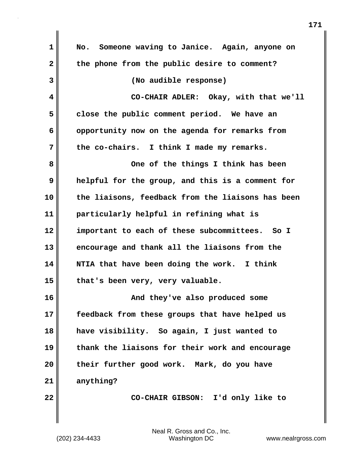| $\mathbf 1$  | Someone waving to Janice. Again, anyone on<br>No. |
|--------------|---------------------------------------------------|
| $\mathbf{2}$ | the phone from the public desire to comment?      |
| 3            | (No audible response)                             |
| 4            | CO-CHAIR ADLER: Okay, with that we'll             |
| 5            | close the public comment period. We have an       |
| 6            | opportunity now on the agenda for remarks from    |
| 7            | the co-chairs. I think I made my remarks.         |
| 8            | One of the things I think has been                |
| 9            | helpful for the group, and this is a comment for  |
| 10           | the liaisons, feedback from the liaisons has been |
| 11           | particularly helpful in refining what is          |
| 12           | important to each of these subcommittees. So I    |
| 13           | encourage and thank all the liaisons from the     |
| 14           | NTIA that have been doing the work. I think       |
| 15           | that's been very, very valuable.                  |
| 16           | And they've also produced some                    |
| 17           | feedback from these groups that have helped us    |
| 18           | have visibility. So again, I just wanted to       |
| 19           | thank the liaisons for their work and encourage   |
| 20           | their further good work. Mark, do you have        |
| 21           | anything?                                         |
| 22           | CO-CHAIR GIBSON: I'd only like to                 |
|              |                                                   |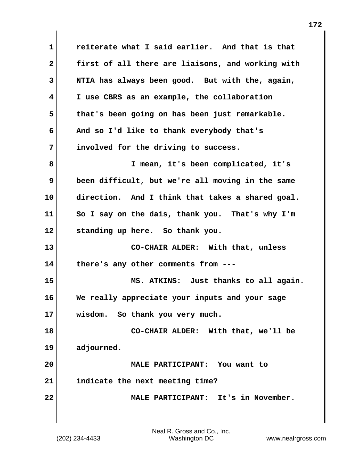**1 reiterate what I said earlier. And that is that 2 first of all there are liaisons, and working with 3 NTIA has always been good. But with the, again, 4 I use CBRS as an example, the collaboration 5 that's been going on has been just remarkable. 6 And so I'd like to thank everybody that's 7 involved for the driving to success. 8 I mean, it's been complicated, it's 9 been difficult, but we're all moving in the same 10 direction. And I think that takes a shared goal. 11 So I say on the dais, thank you. That's why I'm 12 standing up here. So thank you. 13 CO-CHAIR ALDER: With that, unless 14 there's any other comments from --- 15 MS. ATKINS: Just thanks to all again. 16 We really appreciate your inputs and your sage 17 wisdom. So thank you very much. 18 CO-CHAIR ALDER: With that, we'll be 19 adjourned. 20 MALE PARTICIPANT: You want to 21 indicate the next meeting time? 22 MALE PARTICIPANT: It's in November.**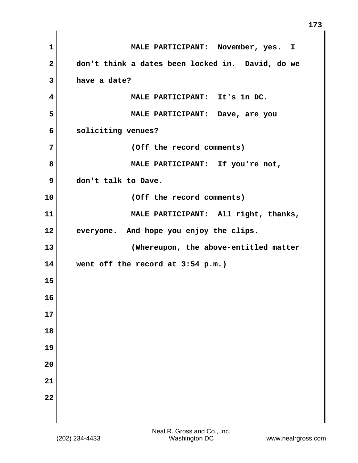| $\mathbf{1}$            | MALE PARTICIPANT: November, yes. I               |
|-------------------------|--------------------------------------------------|
| $\overline{\mathbf{2}}$ | don't think a dates been locked in. David, do we |
| 3                       | have a date?                                     |
| 4                       | MALE PARTICIPANT: It's in DC.                    |
| 5                       | MALE PARTICIPANT: Dave, are you                  |
| 6                       | soliciting venues?                               |
| 7                       | (Off the record comments)                        |
| 8                       | MALE PARTICIPANT: If you're not,                 |
| 9                       | don't talk to Dave.                              |
| 10                      | (Off the record comments)                        |
| 11                      | MALE PARTICIPANT: All right, thanks,             |
| 12                      | everyone. And hope you enjoy the clips.          |
| 13                      | (Whereupon, the above-entitled matter            |
| 14                      | went off the record at 3:54 p.m.)                |
| 15                      |                                                  |
| 16                      |                                                  |
| 17                      |                                                  |
| 18                      |                                                  |
| 19                      |                                                  |
| 20                      |                                                  |
| 21                      |                                                  |
| $\overline{22}$         |                                                  |
|                         |                                                  |

**173**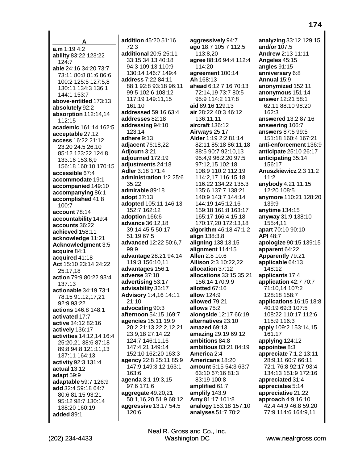**A a.m** 1:19 4:2 **ability** 83:22 123:22 124:7 **able** 24:16 34:20 73:7 73:11 80:8 81:6 86:6 100:2 125:5 127:5,8 130:11 134:3 136:1 144:1 153:7 **above-entitled** 173:13 **absolutely** 92:2 **absorption** 112:14,14 112:15 **academic** 161:14 162:5 **acceptable** 27:12 **access** 16:22 21:12 23:20 24:5 26:10 85:12 123:22 124:8 133:16 153:6,9 156:18 160:10 170:15 **accessible** 67:4 **accommodate** 19:1 **accompanied** 149:10 **accompanying** 86:1 **accomplished** 41:8 100:7 **account** 78:14 **accountability** 149:4 **accounts** 36:22 **achieved** 158:11 **acknowledge** 11:21 **Acknowledgment** 3:5 **acquire** 84:1 **acquired** 41:18 **Act** 15:10 23:14 24:22 25:17,18 **action** 79:9 80:22 93:4 137:13 **actionable** 34:19 73:1 78:15 91:12,17,21 92:9 93:22 **actions** 146:8 148:1 **activated** 17:7 **active** 34:12 82:16 **actively** 136:17 **activities** 14:12,14 16:4 25:20,21 38:6 87:18 89:8 94:8 121:11,13 137:11 164:13 **activity** 92:3 131:4 **actual** 13:12 **adapt** 59:9 **adaptable** 59:7 126:9 **add** 32:4 59:18 64:7 80:6 81:15 93:21 95:12 98:7 130:14 138:20 160:19 **added** 89:1

**addition** 45:20 51:16 72:3 **additional** 20:5 25:11 33:15 34:13 40:18 94:3 109:13 110:9 130:14 146:7 149:4 **address** 7:22 84:11 88:1 92:8 93:18 96:11 99:5 102:6 108:12 117:19 149:11,15 161:10 **addressed** 59:16 63:4 **addresses** 82:18 **addressing** 94:10 123:14 **adhere** 9:13 **adjacent** 76:18,22 **Adjourn** 3:21 **adjourned** 172:19 **adjustments** 24:18 **Adler** 3:18 171:4 **administration** 1:2 25:6 35:22 **admirable** 89:18 **adopt** 37:13 **adopted** 105:11 146:13 152:7 162:12 **adoption** 166:6 **advance** 36:12,18 39:14 45:5 50:17 51:19 67:5 **advanced** 12:22 50:6,7 99:9 **advantage** 28:21 94:14 119:3 156:10,11 **advantages** 156:1 **adverse** 37:18 **advertising** 53:17 **advisability** 36:17 **Advisory** 1:4,16 14:11 21:10 **advocating** 90:3 **afternoon** 54:15 169:7 **agencies** 15:11 19:9 20:2 21:13 22:2,12,21 23:9,18 27:14,22 124:7 146:11,16 147:4,21 149:14 152:10 162:20 163:3 **agency** 22:8 25:11 85:9 147:9 149:3,12 163:1 163:6 **agenda** 3:1 19:3,15 97:6 171:6 **aggregate** 49:20,21 50:1,16,20 51:9 68:12 **aggressive** 13:17 54:5 120:6

**aggressively** 94:7 **ago** 18:7 105:7 112:5 113:8,20 **agree** 88:16 94:4 112:4 114:20 **agreement** 100:14 **Ah** 168:13 **ahead** 6:12 7:16 70:13 72:14,19 73:7 80:5 95:9 114:2 117:8 **aid** 89:16 129:13 **air** 28:22 40:3 46:12 136:11,11 **aircraft** 136:12 **Airways** 25:17 **Alder** 1:19 2:2 81:14 82:11 85:18 86:11,18 88:5 90:7 92:10,13 95:4,9 96:2,20 97:5 97:12,15 102:18 108:9 110:2 112:19 114:2,17 116:15,18 116:22 134:22 135:3 135:6 137:7 138:21 140:9 143:7 144:14 144:19 145:12,16 159:18 161:8 163:17 165:17 166:4,15,18 170:17,20 172:13,18 **algorithm** 46:18 47:1,2 **align** 138:3,8 **aligning** 138:13,15 **alignment** 114:15 **Allen** 2:8 10:6 **Allison** 2:3 10:22,22 **allocation** 37:12 **allocations** 33:15 35:21 156:14 170:9,9 **allotted** 67:16 **allow** 124:9 **allowed** 79:21 **allows** 75:2 **alongside** 12:17 66:19 **alternatives** 23:10 **amazed** 69:13 **amazing** 29:19 69:12 **ambitions** 84:8 **ambitious** 83:21 84:19 **America** 2:4 **Americans** 18:20 **amount** 5:15 54:3 63:7 63:10 67:16 81:3 83:19 100:8 **amplified** 61:7 **amplify** 143:9 **Amy** 81:17 101:8 **analogy** 153:18 157:10 **analyses** 51:7 70:2

**analyzing** 33:12 129:15 **and/or** 107:5 **Andrew** 2:13 11:11 **Angeles** 45:15 **angles** 91:15 **anniversary** 6:8 **Annual** 15:9 **anonymized** 152:11 **anonymous** 151:14 **answer** 12:21 58:1 62:11 88:10 98:20 162:3 **answered** 13:2 87:16 **answering** 106:7 **answers** 87:5 99:5 151:18 160:4 167:21 **anti-enforcement** 136:9 **anticipate** 25:10 26:17 **anticipating** 35:14 156:17 **Anuszkiewicz** 2:3 11:2 11:2 **anybody** 4:21 11:15 12:20 108:5 **anymore** 110:21 128:20 139:9 **anytime** 134:15 **anyway** 31:9 138:10 155:4,11 **apart** 70:10 90:10 **API** 48:7 **apologize** 90:15 139:15 **apparent** 64:22 **Apparently** 79:21 **applicable** 64:13 148:12 **applicants** 17:4 **application** 42:7 70:7 71:10,14 107:2 128:18 158:7 **applications** 16:15 18:8 40:19 69:3 107:5 108:22 110:17 112:6 115:9 116:3 **apply** 109:2 153:14,15 161:17 **applying** 124:12 **appointee** 8:3 **appreciate** 7:1,2 13:11 28:9,11 60:7 66:11 72:1 76:8 92:17 93:4 134:13 151:9 172:16 **appreciated** 31:4 **appreciates** 5:14 **appreciative** 21:22 **approach** 4:9 16:10 42:4 44:9 46:8 59:20 77:9 114:6 164:9,11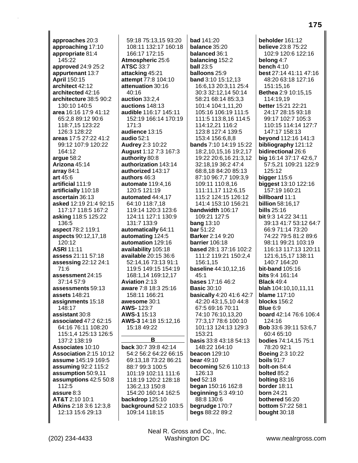**approaches** 20:3 **approaching** 17:10 **appropriate** 81:4 145:22 **approved** 24:9 25:2 **appurtenant** 13:7 **April** 150:15 **architect** 42:12 **architected** 42:16 **architecture** 38:5 90:2 130:10 140:5 **area** 16:16 17:9 41:12 65:2,8 89:12 90:6 118:7,15 123:22 126:3 128:22 **areas** 17:5 27:22 41:2 99:12 107:9 120:22 164:12 **argue** 58:2 **Arizona** 45:14 **array** 84:1 **art** 45:6 **artificial** 111:9 **artificially** 110:18 **ascertain** 36:13 **asked** 12:19 21:4 92:15 117:17 118:5 167:2 **asking** 118:5 125:22 136:5 **aspect** 78:2 119:1 **aspects** 90:12,17,18 120:12 **ASRI** 11:11 **assess** 21:11 57:18 **assessing** 22:12 24:1 71:6 **assessment** 24:15 37:14 57:9 **assessments** 59:13 **assets** 148:21 **assignments** 15:18 148:17 **assistant** 30:8 **associated** 47:2 62:15 64:16 76:11 108:20 115:1,4 125:13 126:5 137:2 138:19 **Associates** 10:10 **Association** 2:15 10:12 **assume** 145:19 169:5 **assuming** 92:2 115:2 **assumption** 50:9,11 **assumptions** 42:5 50:8 112:5 **assure** 8:3 **AT&T** 2:10 10:1 **Atkins** 2:18 3:6 12:3,8 12:13 15:6 29:13

59:18 75:13,15 93:20 108:11 132:17 160:18 166:17 172:15 **Atmospheric** 25:6 **ATSC** 33:7 **attacking** 45:21 **attempt** 77:8 104:10 **attenuation** 30:16 40:16 **auction** 33:2,4 **auctions** 148:13 **audible** 116:17 145:11 152:19 166:14 170:19  $171.3$ **audience** 13:15 **audio** 52:1 **Audrey** 2:3 10:22 **August** 1:12 7:3 167:3 **authority** 80:8 **authorization** 143:14 **authorized** 143:17 **authors** 46:3 **automate** 119:4,16 120:5 121:19 **automated** 44:4,17 64:10 118:7,18 119:14 120:3 123:6 124:11 127:1 130:9 131:7 133:9 **automatically** 64:11 **automating** 124:5 **automation** 129:16 **availability** 105:18 **available** 20:15 36:6 52:14,16 73:13 91:1 119:5 149:15 154:19 168:1,14 169:12,17 **Aviation** 2:13 **aware** 7:8 18:3 25:16 158:11 166:21 **awesome** 30:1 **AWS-** 123:7 **AWS-1** 15:13 **AWS-3** 14:18 15:12,16 15:18 49:22 **B back** 30:7 39:8 42:14 54:2 56:2 64:22 66:15 69:13,18 73:22 86:21 88:7 99:3 100:5 101:19 102:11 111:6 118:19 120:2 128:18 136:2,13 150:8

154:20 160:14 162:5 **backdrop** 125:10 **background** 52:2 103:5 109:14 118:15

**bad** 141:20 **balance** 35:20 **balanced** 36:1 **balancing** 152:2 **ball** 23:5 **balloons** 25:9 **band** 3:10 15:12,13 16:6,13 20:3,11 25:4 30:3 32:12,14 50:14 58:21 68:14 85:3,3 101:4 104:1,11,20 105:16 106:19 111:5 111:5 113:8,16 114:5 114:12,21 116:2 123:8 127:4 139:5 153:4 156:6,8,8 **bands** 7:10 14:19 15:22 18:2,10,15,16 19:2,17 19:22 20:6,16 21:3,12 32:18,19 36:2 47:4 68:8,18 84:20 85:13 87:10 96:7,7 109:3,9 109:11 110:8,16 111:11,17 112:6,15 115:2 124:15 126:12 141:4 153:10 156:21 **bandwidth** 106:17 109:21 127:5 **bang** 13:10 **bar** 51:22 **Barker** 2:14 9:20 **barrier** 106:18 **based** 28:1 37:16 102:2 111:2 119:21 150:2,4 156:1,15 **baseline** 44:10,12,16 45:1 **bases** 17:16 46:2 **Basic** 30:10 **basically** 4:20 41:6 42:7 42:20 43:1,5,10 44:8 67:5 69:16 70:11 74:10 76:10,13,20 77:3,17 78:6 100:10 101:13 124:13 129:3 153:21 **basis** 33:8 43:18 54:13 148:22 164:10 **beacon** 129:10 **bear** 49:10 **becoming** 52:6 110:13 126:13 **bed** 52:18 **began** 150:16 162:8 **beginning** 5:3 49:10 88:8 130:6 **begrudge** 170:7 **begs** 88:22 89:2

**beholder** 161:12 **believe** 23:8 75:22 102:9 120:6 122:16 **belong** 4:7 **bench** 4:10 **best** 27:14 41:11 47:16 48:20 63:18 127:16 151:15,16 **Bethea** 2:9 10:15,15 114:19,19 **better** 15:21 22:21 24:17 28:15 93:18 99:17 102:7 105:3 110:15 114:14 127:7 147:17 158:13 **beyond** 112:16 141:3 **bibliography** 121:12 **bidirectional** 26:6 **big** 16:14 37:17 42:6,7 57:5,21 109:21 122:9 125:12 **bigger** 115:6 **biggest** 13:10 122:16 157:19 160:21 **billboard** 11:1 **billion** 58:16,17 **bills** 25:16 **bit** 9:3 14:22 34:11 39:13 41:7 53:12 64:7 66:9 71:14 73:20 74:22 79:5 81:2 89:6 98:11 99:21 103:19 116:13 117:13 120:11 121:6,15,17 138:11 140:7 164:20 **bit-band** 105:16 **bits** 9:4 161:14 **Black** 49:4 **blah** 104:10,10,11,11 **blame** 117:10 **blocks** 156:2 **Blue** 6:9 **board** 42:14 76:6 106:4 124:16 **Bob** 33:6 39:11 53:6,7 60:4 65:10 **bodies** 74:14,15 75:1 78:20 92:1 **Boeing** 2:3 10:22 **boils** 91:7 **bolt-on** 84:4 **bolted** 85:2 **bolting** 83:16 **border** 18:11 **born** 24:21 **bothered** 56:20 **bottom** 57:22 58:1 **bought** 30:18

Neal R. Gross and Co., Inc.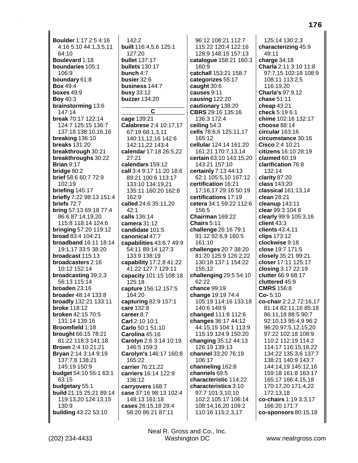**Boulder** 1:17 2:5 4:16 4:16 5:10 44:1,3,5,11 64:10 **Boulevard** 1:18 **boundaries** 105:1 106:9 **boundary** 61:8 **Box** 49:4 **boxes** 49:9 **Boy** 40:3 **brainstorming** 13:6 147:14 **break** 70:17 122:14 124:7 125:15 136:7 137:18 138:10,16,16 **breaking** 136:10 **breaks** 131:20 **breakthrough** 30:21 **breakthroughs** 30:22 **Brian** 9:17 **bridge** 80:2 **brief** 58:6 60:7 72:9 102:19 **briefing** 145:17 **briefly** 7:22 98:13 151:4 **briefs** 72:7 **bring** 57:13 69:18 77:4 86:6 87:14,19,20 115:8 118:14 124:6 **bringing** 57:20 119:12 **broad** 83:4 104:21 **broadband** 16:11 18:14 19:1,17 33:5 38:20 **broadcast** 115:13 **broadcasters** 2:16 10:12 152:14 **broadcasting** 39:2,3 56:13 115:14 **broaden** 23:16 **broader** 48:14 133:8 **broadly** 132:21 133:11 **broke** 118:12 **broken** 42:15 70:5 131:14 139:16 **Broomfield** 1:18 **brought** 66:15 78:21 81:22 118:3 141:18 **Brown** 2:4 10:21,21 **Bryan** 2:14 3:14 9:19 137:7,8 138:21 145:19 150:9 **budget** 54:10 55:1 63:1 63:15 **budgetary** 55:1 **build** 21:15 25:21 89:14 119:13,20 124:13,15 130:9 **building** 43:22 53:10

142:2 **built** 116:4,5,6 125:1 127:20 **bullet** 137:17 **bullets** 130:17 **bunch** 4:7 **busier** 32:6 **business** 144:7 **busy** 33:12 **buzzer** 134:20 **C cage** 139:21 **Calabrese** 2:4 10:17,17 67:19 68:1,3,11 140:11,12,16 142:6 142:11,22 143:4 **calendar** 17:18 26:5,22 27:21 **calendars** 159:12 **call** 3:4 9:17 11:20 18:6 89:21 100:6 113:17 133:10 134:19,21 135:11 160:20 162:8 162:9 **called** 24:6 35:11,20 42:1 **calls** 136:14 **camera** 31:12 **candidate** 101:5 **canonical** 47:7 **capabilities** 43:6,7 49:9 54:11 89:14 127:3 133:9 138:19 **capability** 17:2,8 41:22 41:22 127:7 129:11 **capacity** 101:15 108:18 125:18 **capture** 156:12 157:5 164:20 **capturing** 82:9 157:1 **care** 132:8 **career** 8:7 **Carl** 2:10 10:1

**Carlo** 50:1 51:10 **Carolina** 45:16

165:22 **carrier** 76:21,22 **carriers** 16:14 122:9

136:12 **carryovers** 168:7 **case** 37:16 98:13 102:4 148:13 161:18 **cases** 26:15,18 29:4 58:20 86:21 87:11

**Carolyn** 2:6 3:14 10:19 146:5 159:3 **Carolyn's** 146:17 160:8

96:12 108:21 112:7 115:22 120:4 122:16 128:9 148:15 157:13 **catalogue** 158:21 160:3 160:9 **catchall** 153:21 158:7 **categorizes** 55:17 **caught** 30:6 **causes** 9:11 **causing** 122:20 **cautionary** 138:20 **CBRS** 29:16 135:16 136:3 172:4 **ceiling** 54:3 **cells** 78:6,6 125:11,17 165:12 **cellular** 124:14 161:20 161:21 170:7,13,14 **certain** 63:10 143:15,20 143:21 157:10 **certainly** 7:13 44:13 62:1 105:5,10 167:12 **certification** 16:21 17:16,17 29:16 50:19 **certifications** 17:19 **cetera** 34:1 59:22 112:6 156:5 **Chairman** 169:22 **Chairs** 5:11 **challenge** 26:16 79:1 91:12 92:6,9 160:5 161:10 **challenges** 20:7 38:20 81:20 125:9 126:2,22 130:18 137:1 154:22 155:12 **challenging** 29:5 54:10 62:22 **chance** 99:19 **change** 19:19 74:4 105:19 114:16 133:18 140:6 149:9 **changed** 111:8 112:6 **changes** 36:17 44:12 44:15,15 104:1 113:9 115:19 124:9 150:20 **changing** 35:12 44:13 126:19 139:13 **channel** 33:20 76:19 106:17 **channeling** 162:8 **channels** 69:5 **characteristic** 114:22 **characteristics** 3:10 97:7 101:3,10,10 102:2 105:17 106:14 108:14,16,20 109:2 110:16 115:2,3,17

125:14 130:2,3 **characterizing** 45:9 49:11 **charge** 34:18 **Charla** 2:11 3:10 11:8 97:7,15 102:18 108:9 108:11 113:2,5 116:19,20 **Charla's** 97:9,12 **chase** 51:11 **cheap** 43:21 **check** 5:19 6:1 **chime** 102:16 132:17 **choose** 88:14 **circular** 163:16 **circumstance** 30:16 **Cisco** 2:4 10:21 **citizens** 16:10 28:19 **claimed** 60:19 **clarification** 76:8 132:14 **clarity** 87:20 **class** 143:20 **classical** 161:13,14 **clean** 28:21 **cleanup** 143:11 **clear** 99:3 104:8 **clearly** 99:9 105:3,16 **client** 43:3 **clients** 43:4,11 **clips** 173:12 **clockwise** 9:18 **close** 19:7 171:5 **closely** 35:21 99:21 **closer** 17:11 125:17 **closing** 3:17 22:19 **clutter** 66:9 68:17 **cluttered** 45:9 **CMRS** 156:8 **Co-** 5:10 **co-chair** 2:2,2 72:16,17 81:14 82:11,16 85:18 86:11,18 88:5 90:7 92:10,13 95:4,9 96:2 96:20 97:5,12,15,20 97:22 102:18 108:9 110:2 112:19 114:2 114:17 116:15,18,22 134:22 135:3,6 137:7 138:21 140:9 143:7 144:14,19 145:12,16 159:18 161:8 163:17 165:17 166:4,15,18 170:17,20 171:4,22 172:13,18 **co-chairs** 1:19 3:3,17 166:20 171:7 **co-sponsors** 80:15,18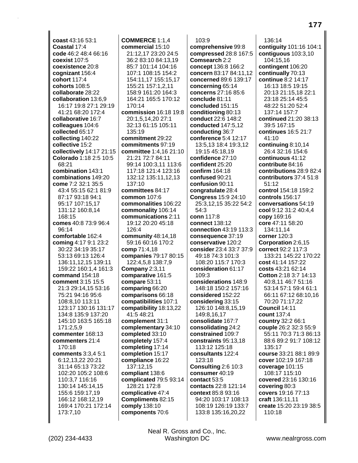**coast** 43:16 53:1 **Coastal** 17:4 **code** 46:2 48:4 66:16 **coexist** 107:5 **coexistence** 20:8 **cognizant** 156:4 **cohort** 117:4 **cohorts** 108:5 **collaborate** 28:22 **collaboration** 13:6,9 16:17 19:8 27:1 29:19 41:21 68:20 172:4 **collaborative** 16:7 **colleagues** 104:6 **collected** 65:17 **collecting** 140:22 **collective** 15:2 **collectively** 14:17 21:15 **Colorado** 1:18 2:5 10:5 68:21 **combination** 143:1 **combinations** 149:20 **come** 7:2 32:1 35:5 43:4 55:15 62:1 81:9 87:17 93:18 94:1 95:17 107:15,17 131:12 160:8,14 168:15 **comes** 40:8 73:9 96:4 96:14 **comfortable** 162:4 **coming** 4:17 9:1 23:2 30:22 34:19 35:17 53:13 69:13 126:4 136:11,12,15 139:11 159:22 160:1,4 161:3 **command** 154:18 **comment** 3:15 15:5 21:3 29:14,15 53:16 75:21 94:16 95:6 108:8,10 113:11 123:17 130:16 131:17 134:8 135:9 137:20 145:10 163:5 165:18 171:2,5,9 **commenter** 168:13 **commenters** 21:4 170:18 **comments** 3:3,4 5:1 6:12,13,22 20:21 31:14 65:13 73:22 102:20 105:2 108:6 110:3,7 116:16 130:14 145:14,15 155:6 159:17,19 166:12 168:12,19 169:4 170:21 172:14 173:7,10

**COMMERCE** 1:1,4 **commercial** 15:10 21:12,17 23:20 24:5 36:2 83:10 84:13,19 85:7 101:14 104:16 107:1 108:15 154:2 154:11,17 155:15,17 155:21 157:1,2,11 158:9 161:20 164:3 164:21 165:5 170:12 170:14 **commission** 16:18 19:8 20:1,5,14,20 27:1 32:13 61:15 105:11 135:19 **commitment** 29:22 **commitments** 97:19 **committee** 1:4,16 21:10 21:21 72:7 84:11 99:14 100:3,11 113:6 117:18 121:4 123:16 132:12 135:11,12,13 137:10 **committees** 84:17 **common** 107:6 **commonalities** 106:22 **commonality** 106:14 **communications** 2:11 19:12 20:20 45:18 126:4 **community** 48:14,18 59:16 60:16 170:2 **comp** 71:4,18 **companies** 79:17 80:15 122:4,5,8 138:7,9 **Company** 2:3,11 **comparative** 161:5 **compare** 53:11 **comparing** 66:20 **comparisons** 66:18 **compatibilities** 107:1 **compatibility** 18:13,22 41:5 48:21 **complement** 31:1 **complementary** 34:10 **completed** 33:10 **completely** 157:4 **completing** 17:14 **completion** 15:17 **compliance** 16:22 137:12,15 **compliant** 138:6 **complicated** 79:5 93:14 128:21 172:8 **complicative** 47:4 **Compliments** 82:15 **comply** 138:10 **components** 70:6

103:9 **comprehensive** 99:8 **compressed** 28:8 167:5 **Comsearch** 2:2 **concept** 136:8 166:2 **concern** 83:17 84:11,12 **concerned** 89:6 139:17 **concerning** 65:14 **concerns** 27:16 85:6 **conclude** 81:11 **concluded** 151:15 **conditioning** 80:13 **conduct** 22:6 148:2 **conducted** 147:5,12 **conducting** 36:7 **conference** 5:4 12:17 13:5,13 18:4 19:3,12 19:15 45:18,19 **confidence** 27:10 **confident** 25:20 **confirm** 164:18 **confused** 90:21 **confusion** 90:11 **congratulate** 28:4 **Congress** 15:9 24:10 25:3,12,15 35:22 54:2 54:3 **conn** 117:8 **connect** 138:12 **connection** 43:19 113:3 **consequence** 37:19 **conservative** 120:2 **consider** 23:4 33:7 37:9 49:18 74:3 101:3 108:20 115:7 170:3 **consideration** 61:17 109:3 **considerations** 148:9 148:18 150:2 157:16 **considered** 152:22 **considering** 33:15 126:10 148:8,15,19 149:8,16,17 **consolidate** 167:7 **consolidating** 24:2 **constrained** 109:7 **constraints** 95:13,18 113:12 125:18 **consultants** 122:4 123:18 **Consulting** 2:6 10:3 **consumer** 40:19 **contact** 53:5 **contacts** 22:8 121:14 **context** 85:8 93:16 94:20 103:17 108:13 108:19 126:19 133:7 133:8 135:16,20,22

136:14 **contiguity** 101:16 104:1 **contiguous** 103:3,10 104:15,16 **contingent** 106:20 **continually** 70:13 **continue** 8:2 14:17 16:13 18:5 19:15 20:13 21:15,18 22:1 23:18 25:14 45:5 48:22 51:20 52:4 137:14 157:7 **continued** 21:20 38:13 39:5 167:15 **continues** 16:5 21:7 41:10 **continuing** 8:10,14 26:4 32:16 154:6 **continuous** 41:12 **contribute** 84:16 **contributions** 28:9 82:4 **contributors** 37:4 51:8 51:12 **control** 154:18 159:2 **controls** 156:17 **conversations** 54:19 **cool** 9:12 31:2 40:4,4 **copy** 169:16 **core** 47:11 58:20 134:11,14 **corner** 120:3 **Corporation** 2:6,15 **correct** 92:2 117:3 133:21 145:22 170:22 **cost** 41:14 157:22 **costs** 43:21 62:14 **Cotton** 2:18 3:7 14:13 40:8,11 46:7 51:16 53:14 57:1 59:4 61:1 66:11 67:12 68:10,16 70:20 71:17,22 **Council** 14:11 **count** 137:4 **country** 32:2 66:1 **couple** 26:2 32:3 55:9 55:11 70:3 71:3 86:13 88:6 89:2 91:7 108:12 135:17 **course** 33:21 88:1 89:9 **cover** 102:19 167:18 **coverage** 101:15 108:17 115:10 **covered** 23:16 130:16 **covering** 80:3 **covers** 19:16 77:13 **craft** 136:11,11 **create** 15:20 23:19 38:5 110:18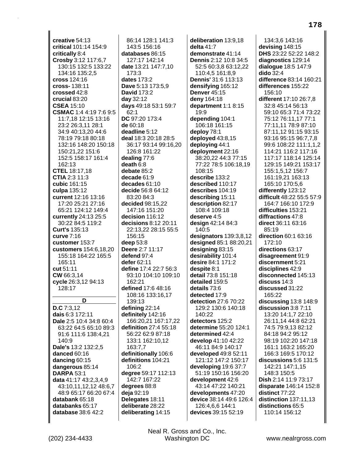**creative** 54:13 **critical** 101:14 154:9 **critically** 8:4 **Crosby** 3:12 117:6,7 130:15 132:5 133:22 134:16 135:2,5 **cross** 124:16 **cross-** 138:11 **crossed** 42:8 **crucial** 83:20 **CSEA** 15:10 **CSMAC** 1:4 4:19 7:6 9:5 11:7,18 12:15 13:16 23:2 26:3,11 28:1 34:9 40:13,20 44:6 78:19 79:18 80:18 132:16 148:20 150:18 150:21,22 151:6 152:5 158:17 161:4 162:13 **CTEL** 18:17,18 **CTIA** 2:3 11:3 **cubic** 161:15 **culpa** 135:12 **current** 12:16 13:16 17:20 25:21 27:16 65:21 124:12 149:4 **currently** 24:13 25:5 30:22 84:5 119:2 **Curt's** 135:13 **curve** 7:16 **customer** 153:7 **customers** 154:6,18,20 155:18 164:22 165:5 165:11 **cut** 51:11 **CW** 66:3,14 **cycle** 26:3,12 94:13 128:17 **D D.C** 7:3,12 **dais** 6:3 172:11 **Dale** 2:5 10:4 34:8 60:4 63:22 64:5 65:10 89:3 91:6 111:6 138:4,21 140:9 **Dale's** 13:2 132:2,5 **danced** 60:16 **dancing** 60:15 **dangerous** 85:14 **DARPA** 53:1 **data** 41:17 43:2,3,4,9 43:10,11,12,12 48:6,7 48:9 65:17 66:20 67:4 **databank** 65:18 **databanks** 65:17 **database** 38:6 42:2

86:14 128:1 141:3 143:5 156:16 **databases** 86:15 127:17 142:14 **date** 13:21 147:7,10  $173.3$ **dates** 173:2 **Dave** 5:13 173:5,9 **David** 173:2 **day** 32:12 **days** 49:18 53:1 59:7 62:1 **DC** 97:20 173:4 **de** 60:18 **deadline** 5:12 **deal** 18:3 20:18 28:5 36:17 93:14 99:16,20 126:8 161:22 **dealing** 77:6 **death** 6:8 **debate** 85:2 **decade** 61:9 **decades** 61:10 **decide** 56:8 64:12 83:20 84:3 **decided** 98:15,22 147:16 151:20 **decision** 116:12 **decisions** 8:12 20:11 22:13,22 28:15 55:5 156:15 **deep** 53:8 **Deere** 2:7 11:17 **defend** 97:4 **defer** 62:11 **define** 17:4 22:7 56:3 93:10 104:10 109:10 162:21 **defined** 17:6 48:16 108:16 133:16,17 139:13 **defining** 22:14 **definitely** 142:16 166:20,21 167:17,22 **definition** 27:4 55:18 56:22 62:9 87:18 133:1 162:10,12 163:7,7 **definitionally** 106:6 **definitions** 104:21 106:2 **degree** 59:17 112:13 142:7 167:22 **degrees** 88:8 **deja** 92:19 **Delegates** 18:11 **deliberate** 28:22 **deliberating** 14:15

**deliberation** 13:9,18 **delta** 41:7 **demonstrate** 41:14 **Dennis** 2:12 10:8 34:5 52:5 60:3,8 63:12,22 110:4,5 161:8,9 **Dennis'** 31:6 113:13 **densifying** 165:12 **Denver** 45:15 **deny** 164:18 **department** 1:1 8:15 19:9 **depending** 104:1 106:18 161:15 **deploy** 78:1 **deployed** 43:8,15 **deploying** 44:1 **deployment** 22:16 38:20,22 44:3 77:15 77:22 78:5 106:18,19 108:15 **describe** 133:2 **described** 110:17 **describes** 104:19 **describing** 15:11 **description** 82:17 108:4 109:18 **deserve** 4:5 **design** 42:14 84:3 140:5 **designators** 139:3,8,12 **designed** 85:1 88:20,21 **designing** 83:15 **desirability** 101:4 **desire** 84:1 171:2 **despite** 8:1 **detail** 73:8 151:18 **detailed** 159:5 **details** 73:6 **detected** 17:9 **detection** 27:6 70:22 129:2 130:6 140:18 140:22 **detectors** 125:2 **determine** 55:20 124:1 **determined** 42:4 **develop** 41:10 42:22 46:11 84:9 140:17 **developed** 49:8 52:11 121:12 147:2 150:17 **developing** 19:6 37:7 51:19 150:16 156:20 **development** 42:6 43:14 47:22 140:21 **developments** 47:20 **device** 38:14 49:6 126:4 126:4,6,6 144:1 **devices** 39:15 52:19

134:3,6 143:16 **devising** 148:15 **DHS** 23:22 52:22 148:2 **diagnostics** 129:14 **dialogue** 18:5 147:9 **dido** 32:4 **difference** 83:14 160:21 **differences** 155:22 156:10 **different** 17:10 26:7,8 32:8 45:14 56:13 59:10 65:3 71:4 73:22 75:12 76:11,17 77:1 77:11,11 78:9 87:10 87:11,12 91:15 93:15 93:16 95:15 96:7,7,8 99:6 108:22 111:1,1,2 114:21 116:2 117:16 117:17 118:14 125:14 129:15 149:21 153:17 155:1,5,12 156:7 161:19,21 163:13 165:10 170:5,6 **differently** 123:12 **difficult** 48:22 55:5 57:9 164:7 166:10 172:9 **difficulties** 153:21 **diffractions** 47:8 **direct** 36:11 63:16 85:19 **direction** 60:1 63:16 172:10 **directions** 63:17 **disagreement** 91:9 **discernment** 5:21 **disciplines** 42:9 **disconnected** 145:13 **discuss** 14:3 **discussed** 31:22 165:22 **discussing** 13:8 148:9 **discussion** 3:8 7:11 13:20 14:1,7 22:10 26:11,14 44:8 62:21 74:5 79:9,13 82:12 84:18 94:2 95:12 98:19 102:20 147:18 161:1 163:2 165:20 166:3 169:5 170:12 **discussions** 5:6 131:5 142:21 147:1,15 148:3 150:5 **Dish** 2:14 11:9 73:17 **disparate** 146:14 152:8 **distinct** 77:22 **distinction** 137:11,13 **distinctions** 65:5 110:14 156:12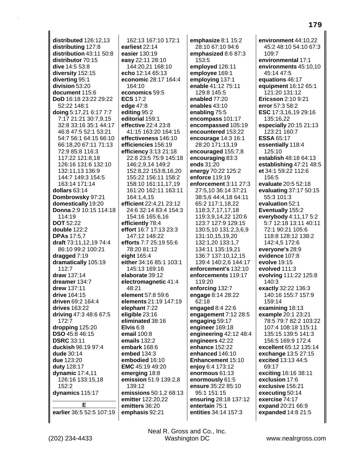**distributed** 126:12,13 **distributing** 127:8 **distribution** 43:11 50:8 **distributor** 70:15 **dive** 14:5 53:8 **diversity** 152:15 **diverting** 95:1 **division** 53:20 **document** 115:6 **DoD** 16:18 23:22 29:22 52:22 148:1 **doing** 5:17,21 6:17 7:7 7:17 21:21 30:7,9,15 32:8 33:16 35:1 44:17 46:8 47:5 52:1 53:21 54:7 56:1 64:15 66:10 66:18,20 67:11 71:13 72:9 85:8 116:3 117:22 121:8,18 126:16 131:6 132:10 132:11,13 136:9 144:7 149:3 154:5 163:14 171:14 **dollars** 63:14 **Dombrowsky** 97:21 **domestically** 19:20 **Donna** 2:9 10:15 114:18 114:19 **DOT** 52:22 **double** 122:2 **DPAs** 17:5,7 **draft** 73:11,12,19 74:4 86:10 99:2 100:21 **dragged** 7:19 **dramatically** 105:19 112:7 **draw** 137:14 **dreamer** 134:7 **drew** 137:11 **drive** 164:15 **driven** 69:2 164:4 **drives** 163:22 **driving** 47:3 48:6 67:5 172:7 **dropping** 125:20 **DSO** 45:8 46:15 **DSRC** 33:11 **duckish** 96:19 97:4 **dude** 30:14 **due** 123:20 **duty** 128:17 **dynamic** 17:4,11 126:16 133:15,18 152:2 **dynamics** 115:17 **E earlier** 36:5 52:5 107:19

162:13 167:10 172:1 **earliest** 22:14 **easier** 130:19 **easy** 22:11 28:10 144:20,21 168:10 **echo** 12:14 65:13 **economic** 28:17 164:4 164:10 **economics** 59:5 **ECS** 17:2 **edge** 47:8 **editing** 95:2 **editorial** 159:1 **effective** 22:4 23:8 41:15 163:20 164:15 **effectiveness** 146:10 **efficiencies** 156:19 **efficiency** 3:13 21:18 22:8 23:5 75:9 145:18 146:2,9,14 149:2 152:8,22 153:8,16,20 155:22 156:11 158:2 158:10 161:11,17,19 161:20 162:11 163:11 164:1,4,15 **efficient** 22:4,21 23:12 24:6 32:14 83:4 154:3 154:16 165:6,16 **efficiently** 78:4 **effort** 16:7 17:13 23:3 147:12 148:22 **efforts** 7:7 25:19 55:6 78:20 81:12 **eight** 165:4 **either** 34:16 85:1 103:1 145:13 169:16 **elaborate** 39:12 **electromagnetic** 41:4 48:21 **element** 57:8 59:6 **elements** 21:19 147:19 **elephant** 7:22 **eligible** 23:16 **eliminated** 38:16 **Elvis** 6:8 **email** 100:8 **emails** 132:2 **embark** 168:6 **embed** 134:3 **embodied** 16:10 **EMC** 45:19 49:20 **emerging** 18:8 **emission** 51:9 139:2,8 139:12 **emissions** 50:1,2 68:13 **emitter** 122:20,22 **emitters** 36:20 **emphasis** 92:21

**emphasize** 8:1 15:2 28:10 67:10 94:6 **emphasized** 8:6 87:3 153:5 **employed** 126:11 **employee** 169:1 **employing** 137:1 **enable** 41:12 75:11 129:8 145:5 **enabled** 77:20 **enables** 43:10 **enabling** 75:5 **encompass** 101:17 **encompassed** 105:19 **encountered** 153:22 **encourage** 14:3 16:1 28:20 171:13,19 **encouraged** 155:7,8 **encouraging** 83:3 **ends** 31:20 **energy** 70:22 125:2 **enforce** 119:19 **enforcement** 3:11 27:3 27:5,10 36:14 37:21 38:5,6 44:4,18 64:11 65:2 117:1,18,22 118:3,7,17,17,18 119:3,9,14,22 120:6 123:7 127:9 129:15 130:5,10 131:2,3,6,9 131:10,15,19,20 132:1,20 133:1,7 134:11 135:19,21 136:7 137:10,12,15 139:4 140:2,6 144:17 **enforcement's** 132:10 **enforcements** 119:17 119:20 **enforcing** 132:7 **engage** 8:14 28:22 62:18 **engaged** 8:4 22:6 **engagement** 7:12 28:5 **engaging** 59:17 **engineer** 169:18 **engineering** 42:12 48:4 **engineers** 42:22 **enhance** 152:22 **enhanced** 146:10 **Enhancement** 15:10 **enjoy** 6:4 173:12 **enormous** 61:13 **enormously** 61:5 **ensure** 35:22 85:10 95:1 151:15 **ensuring** 28:18 137:12 **entertain** 75:1 **entities** 34:14 157:3

**environment** 44:10,22 45:2 48:10 54:10 67:3 109:7 **environmental** 17:1 **environments** 45:10,10 45:14 47:5 **equations** 46:17 **equipment** 16:12 65:1 121:20 131:12 **Ericsson** 2:10 9:21 **error** 57:3 58:2 **ESC** 17:3,16,19 29:16 135:16,22 **especially** 20:15 21:13 123:21 160:7 **ESSA** 65:17 **essentially** 118:4 125:10 **establish** 48:18 64:13 **establishing** 47:21 48:5 **et** 34:1 59:22 112:6 156:5 **evaluate** 20:5 52:18 **evaluating** 37:17 50:15 55:3 101:3 **evaluation** 52:1 **Eventually** 155:2 **everybody** 4:11,17 5:2 5:7 12:18 13:11 40:11 72:1 90:21 105:6 118:8 128:12 138:2 142:4,5 172:6 **everyone's** 28:9 **evidence** 107:8 **evolve** 19:15 **evolved** 111:3 **evolving** 111:22 125:8 140:3 **exactly** 32:22 136:3 140:16 155:7 157:9 159:14 **examining** 18:13 **example** 20:1 23:21 78:5 79:7 82:2 103:22 107:4 108:18 115:11 135:15 139:5 141:3 156:5 169:9 172:4 **excellent** 65:12 135:14 **exchange** 13:5 27:15 **excited** 13:13 44:5 69:17 **exciting** 16:16 38:11 **exclusion** 17:6 **exclusive** 156:21 **executing** 50:14 **exercise** 74:17 **expand** 20:21 66:9 **expanded** 14:8 21:5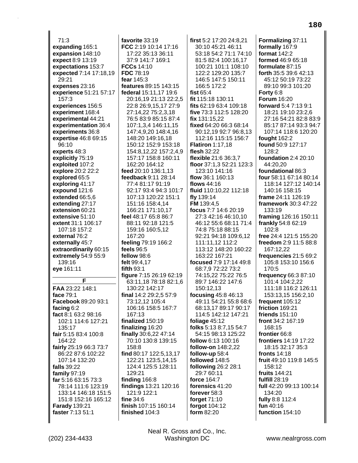71:3 **expanding** 165:1 **expansion** 148:10 **expect** 8:9 13:19 **expectations** 153:7 **expected** 7:14 17:18,19 29:21 **expenses** 23:16 **experience** 51:21 57:17 157:3 **experiences** 156:5 **experiment** 168:4 **experimental** 44:21 **experimentation** 36:4 **experiments** 36:8 **expertise** 46:8 69:15 96:10 **experts** 48:3 **explicitly** 75:19 **exploited** 107:2 **explore** 20:2 22:2 **explored** 65:5 **exploring** 41:17 **expound** 121:6 **extended** 66:5,6 **extending** 27:17 **extension** 60:21 **extensive** 51:10 **extent** 31:1 106:17 107:18 157:2 **external** 76:2 **externally** 45:7 **extraordinarily** 60:15 **extremely** 54:9 55:9 139:16 **eye** 161:11 **F FAA** 23:22 148:1 **face** 79:1 **Facebook** 89:20 93:1 **facing** 6:2 **fact** 8:1 63:2 98:16 102:1 114:6 127:21 135:17 **fair** 5:15 83:4 100:8 164:22 **fairly** 25:19 66:3 73:7 86:22 87:6 102:22 107:14 132:20 **falls** 39:22 **family** 97:19 **far** 5:16 63:15 73:3 78:14 111:6 123:19 133:14 146:18 151:5

**favorite** 33:19 **FCC** 2:19 10:14 17:16 17:22 35:13 36:11 37:9 141:7 169:1 **FCCs** 14:10 **FDC** 78:19 **fear** 145:3 **features** 89:15 143:15 **federal** 15:11,17 19:6 20:16,19 21:13 22:2,5 22:8 26:9,15,17 27:9 27:14,22 75:2,3,18 76:5 83:9 85:15 87:4 107:1,3,4 146:11,15 147:4,9,20 148:4,16 148:20 149:16,18 150:12 152:9 153:18 154:8,12,22 157:2,4,9 157:17 158:8 160:11 162:20 164:12 **feed** 20:10 136:1,13 **feedback** 9:11 28:14 77:4 81:17 91:19 92:17 93:4 94:3 101:7 107:13 120:22 151:1 151:16 158:4,14 166:21 171:10,17 **feel** 48:17 65:8 86:7 88:11 92:18 121:5 159:16 160:5,12 167:20 **feeling** 79:19 166:2 **feels** 96:5 **fellow** 98:6 **felt** 99:4,17 **fifth** 93:1 **figure** 7:15 26:19 62:19 63:11,18 78:18 82:1,6 130:22 142:17 **final** 14:2 29:2,5 57:9 73:12,12 105:4 106:16 158:5 167:7 167:13 **finalized** 150:19 **finalizing** 16:20 **finally** 30:6,22 47:14 70:10 130:8 139:15 158:8 **find** 80:17 122:5,13,17 122:21 123:5,14,15 124:4 125:5 128:11 129:21 **finding** 166:8 **findings** 13:21 120:16 121:9 122:1 **fine** 34:6 **finish** 107:15 160:14 **finished** 104:3

**first** 5:2 17:20 24:8,21 30:10 45:21 46:11 53:18 54:2 71:1 74:10 81:5 82:4 100:16,17 100:21 101:1 108:10 122:2 129:20 135:7 146:5 147:5 150:11 166:5 172:2 **fist** 65:4 **fit** 115:18 130:11 **fits** 62:19 63:4 109:18 **five** 73:3 112:5 128:20 **fix** 131:15,22 **fixed** 64:20 66:3 68:14 90:12,19 92:7 96:8,13 112:16 115:15 156:7 **Flatiron** 1:17,18 **flesh** 32:22 **flexible** 21:6 36:3,7 **floor** 37:1,3 52:21 123:3 123:10 141:16 **flow** 36:1 160:13 **flows** 44:16 **fluid** 110:10,22 112:18 **fly** 139:14 **FM** 139:4,5 **focus** 7:7 14:6 20:19 27:3 42:16 46:10,10 46:12 55:6 68:11 71:4 74:8 75:18 88:15 92:21 94:18 109:6,12 111:11,12 112:2 113:12 148:20 160:22 163:22 167:21 **focused** 7:9 17:14 49:8 68:7,9 72:22 73:2 74:15,22 75:22 76:5 89:7 146:22 147:6 150:12,13 **focusing** 45:8 46:13 49:11 54:21 55:8 68:6 68:13,17 89:17 90:17 114:5 142:12 147:21 **foliage** 45:12 **folks** 5:13 8:7,15 54:7 54:15 98:13 125:22 **follow** 6:13 100:16 **follow-on** 148:2,22 **follow-up** 58:4 **followed** 148:5 **following** 26:2 28:1 29:7 60:11 **force** 164:7 **forensics** 41:20 **forever** 58:3 **forget** 71:10 **forgot** 104:12 **form** 82:20

**Formalizing** 37:11 **formally** 167:9 **format** 142:2 **formed** 46:9 65:18 **formulate** 87:15 **forth** 35:5 39:6 42:13 45:12 50:19 73:22 89:10 99:3 101:20 **Forty** 6:8 **Forum** 16:20 **forward** 5:4 7:13 9:1 18:21 19:10 23:2,6 27:16 54:21 82:8 83:9 85:17 87:14 93:3 94:7 107:14 118:6 120:20 **fought** 162:2 **found** 50:9 127:17 128:2 **foundation** 2:4 20:10 44:20,20 **foundational** 86:3 **four** 58:11 67:14 80:14 118:14 127:12 140:14 140:16 158:15 **frame** 24:11 126:19 **framework** 30:3 47:22 133:19 **framing** 126:16 150:11 **frankly** 54:8 62:19 102:8 **free** 24:4 121:5 155:20 **freedom** 2:9 11:5 88:8 167:12,22 **frequencies** 21:5 69:2 105:8 153:10 156:6 170:5 **frequency** 66:3 87:10 101:4 104:2,22 111:18 116:2 126:11 153:13,15 156:2,10 **frequent** 105:12 **friction** 169:21 **friends** 151:10 **front** 34:2 167:19 168:15 **frontier** 66:8 **frontiers** 14:19 17:22 18:15 32:17 35:3 **fronts** 14:18 **fruit** 49:10 119:8 145:5 158:12 **fruits** 144:21 **fulfill** 28:19 **full** 42:20 99:13 100:14 134:20 **fully** 8:8 112:4 **fun** 40:16 **function** 154:10

**Farady** 139:21 **faster** 7:13 51:1

151:8 152:16 165:12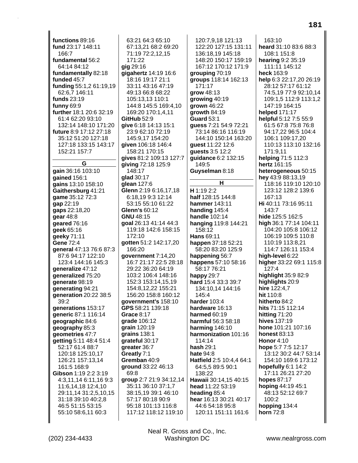**functions** 89:16 **fund** 23:17 148:11 166:7 **fundamental** 56:2 64:14 84:12 **fundamentally** 82:18 **funded** 45:7 **funding** 55:1,2 61:19,19 62:6,7 146:11 **funds** 23:19 **funny** 69:9 **further** 18:1 20:6 32:19 61:4 62:20 93:10 132:14 148:10 171:20 **future** 8:9 17:12 27:18 35:12 51:20 127:18 127:18 133:15 143:17 152:21 157:7 **G gain** 36:16 103:10 **gained** 156:1 **gains** 13:10 158:10 **Gaithersburg** 41:21 **game** 35:12 72:3 **gap** 22:19 **gaps** 22:18,20 **gear** 48:8 **geared** 76:16 **geek** 65:16 **geeky** 71:11 **Gene** 72:4 **general** 47:13 76:6 87:3 87:6 94:17 122:10 123:4 144:16 145:3 **generalize** 47:12 **generalized** 75:20 **generate** 98:19 **generating** 94:21 **generation** 20:22 38:5  $39.2$ **generations** 153:17 **generic** 87:1 116:14 **geographic** 84:6 **geography** 85:3 **geometries** 47:7 **getting** 5:11 48:4 51:4 52:17 61:4 88:7 120:18 125:10,17 126:21 157:13,14 161:5 168:9 **Gibson** 1:19 2:2 3:19 4:3,11,14 6:11,16 9:3 11:6,14,18 12:4,10 29:11,14 31:2,5,10,15 31:18 39:10 40:2,8 46:5 51:15 53:15 55:10 58:6,11 60:3

63:21 64:3 65:10 67:13,21 68:2 69:20 71:19 72:2,12,15 171:22 **gig** 29:16 **gigahertz** 14:19 16:6 18:16 19:17 21:1 33:11 43:16 47:19 49:13 66:8 68:22 105:13,13 110:1 144:8 145:5 169:4,10 169:20 170:1,4,11 **GitHub** 52:9 **give** 6:18 14:13 15:1 23:9 62:10 72:19 145:9,17 154:20 **given** 106:18 146:4 158:21 170:15 **gives** 81:2 109:13 127:7 **giving** 72:18 125:9 148:17 **glad** 30:17 **glean** 127:6 **Glenn** 2:19 6:16,17,18 6:18,19 9:3 12:14 53:15 55:10 61:22 **Glenn's** 60:12 **GNU** 48:15 **goal** 26:13 41:14 44:3 119:18 142:6 158:15 172:10 **gotten** 51:2 142:17,20 166:20 **government** 7:14,20 16:7 21:17 22:5 28:18 29:22 36:20 64:19 103:2 106:4 148:16 152:3 153:14,15,19 154:8,12,22 155:21 156:20 158:8 160:12 **government's** 158:10 **GPS** 58:21 139:18 **Grace** 8:17 **grade** 106:12 **grain** 120:19 **grains** 138:1 **grateful** 30:17 **greater** 36:7 **Greatly** 7:1 **Gremban** 40:9 **ground** 33:22 46:13 69:8 **group** 2:7 21:9 34:12,14 35:11 36:10 37:1,7 38:15,19 39:1 46:10 57:17 80:18 90:9 95:18 101:13 116:8 117:12 118:12 119:10

120:7,9,18 121:13 122:20 127:15 131:11 136:18,19 145:18 148:20 150:17 159:19 167:12 170:12 171:9 **grouping** 70:19 **groups** 118:14 162:13 171:17 **grow** 48:13 **growing** 40:19 **grown** 46:22 **growth** 84:19 **Guard** 53:1 **guess** 7:21 54:9 72:21 73:14 86:16 116:19 144:10 150:14 163:20 **guest** 11:22 12:6 **guests** 3:5 12:2 **guidance** 6:2 132:15 149:5 **Guyselman** 8:18 **H H** 1:19 2:2 **half** 128:15 144:8 **hammer** 143:11 **handing** 145:4 **handle** 102:14 **hanging** 119:8 144:21 158:12 **Hans** 69:11 **happen** 37:18 52:21 58:20 83:20 125:9 **happening** 56:7 **happens** 57:10 58:16 58:17 76:21 **happy** 29:7 **hard** 15:4 33:3 39:7 134:10,14 144:16 145:4 **harder** 103:4 **hardware** 16:13 **harmed** 60:19 **harmful** 56:3 58:18 **harming** 146:10 **harmonization** 101:16 114:14 **hash** 29:1 **hate** 94:8 **Hatfield** 2:5 10:4,4 64:1 64:5,5 89:5 90:1 138:22 **Hawaii** 30:14,15 40:15 **head** 11:22 53:19 **heading** 85:4 **hear** 16:13 30:21 40:17 44:6 54:18 95:8 120:11 151:11 161:6

163:10 **heard** 31:10 83:6 88:3 108:1 151:8 **hearing** 9:2 35:19 111:11 145:12 **heck** 163:9 **help** 6:3 22:17,20 26:19 28:12 57:17 61:12 74:5,19 77:9 92:10,14 109:1,5 112:9 113:1,2 147:19 164:15 **helped** 171:17 **helpful** 5:12 7:5 55:9 61:5 67:8 75:8 76:8 94:17,22 96:5 104:4 106:1 109:17,20 110:13 113:10 132:16 171:9,11 **helping** 71:5 112:3 **hertz** 161:15 **heterogeneous** 50:15 **hey** 43:9 88:13,19 118:16 119:10 120:10 123:12 128:2 139:6 167:13 **Hi** 40:11 73:16 95:11 143:7 **hide** 125:5 162:5 **high** 36:1 77:14 104:11 104:20 105:8 106:12 106:19 109:5 110:8 110:19 113:8,21 114:7 126:11 153:4 **high-level** 6:22 **higher** 33:22 69:1 115:8 127:4 **highlight** 35:9 82:9 **highlights** 20:9 **hire** 122:4,7 **hit** 110:8 **hitherto** 84:2 **hits** 71:15 112:14 **hitting** 71:20 **hives** 137:19 **hone** 101:21 107:16 **honest** 83:13 **Honor** 4:10 **hope** 5:7 7:5 12:17 13:12 30:2 44:7 53:14 154:10 169:6 173:12 **hopefully** 6:1 14:2 17:11 26:21 27:20 **hopes** 87:17 **hoping** 44:19 45:1 48:13 52:12 69:7 100:2 **hopping** 134:4 **horn** 72:8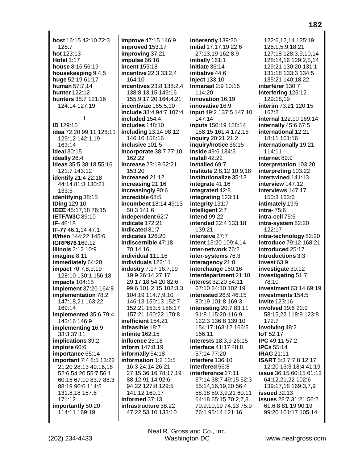**host** 16:15 42:10 72:3 128:7 **hot** 123:13 **Hotel** 1:17 **house** 8:16 56:19 **housekeeping** 9:4,5 **huge** 52:19 61:17 **human** 57:7,14 **hunter** 122:12 **hunters** 38:7 121:16 124:14 127:19 **I ID** 129:10 **idea** 72:20 99:11 128:11 129:12 142:1,19 163:14 **ideal** 30:15 **ideally** 26:4 **ideas** 35:5 38:18 55:16 121:7 143:12 **identify** 21:4 22:18 44:14 81:3 130:21 133:5 **identifying** 38:15 **IDing** 129:10 **IEEE** 45:17,18 76:15 **IETF/W3C** 89:10 **IF-** 46:18 **IF-77** 46:1,14 47:1 **if/then** 144:22 145:6 **IGRP676** 169:12 **Illinois** 2:12 10:9 **imagine** 8:11 **immediately** 64:20 **impact** 70:7,8,9,19 128:10 130:1 156:18 **impacts** 104:15 **implement** 37:20 164:8 **implementation** 78:2 147:18,21 163:22 169:14 **implemented** 35:6 79:4 143:16 146:9 **implementing** 16:9 33:3 37:11 **implications** 39:2 **implore** 60:6 **importance** 65:14 **important** 7:4 8:5 13:22 21:20 28:13 49:16,18 52:6 54:20 55:7 56:1 60:15 67:10 83:7 88:3 88:19 90:6 114:5 131:8,18 157:6 171:12 **importantly** 50:20 114:11 169:19

**improve** 47:15 146:9 **improved** 153:17 **improving** 37:21 **impulse** 66:16 **incent** 155:18 **incentive** 22:3 33:2,4 164:10 **incentives** 23:8 138:2,4 138:8,13,15 149:16 155:9,17,20 164:4,21 **incentivize** 165:5,10 **include** 38:4 94:7 107:4 **included** 154:4 **includes** 148:10 **including** 13:14 98:12 146:10 158:16 **inclusive** 101:5 **incorporate** 38:7 77:10 162:22 **increase** 23:19 52:21 153:20 **increased** 21:12 **increasing** 21:16 **increasingly** 90:6 **incredible** 68:5 **incumbent** 18:14 49:13 50:3 141:6 **independent** 62:7 **indicate** 172:21 **indicated** 81:7 **indicates** 126:20 **indiscernible** 47:18 70:14,16 **individual** 111:16 **individuals** 122:11 **industry** 7:17 16:7,19 19:9 26:14 27:17 29:17,18 54:20 82:6 99:6 101:2,15 102:3,3 104:19 114:7,9,10 146:13 150:13 152:7 152:21 153:5 156:17 157:21 160:22 170:8 **inefficient** 154:21 **infeasible** 18:7 **infinite** 162:15 **influence** 25:18 **inform** 147:8,19 **informally** 54:18 **information** 1:2 13:5 16:3 24:14 26:21 27:15 36:16 78:17,19 88:12 91:14 92:6 94:22 127:8 129:5 141:12 160:17 **informed** 37:13 **infrastructure** 38:22 47:22 53:10 133:10

**inherently** 139:20 **initial** 17:17,19 22:6 27:13,19 162:8,9 **initially** 161:1 **initiate** 36:14 **initiative** 44:6 **inject** 133:10 **Inmarsat** 2:9 10:16 114:20 **Innovation** 16:19 **innovative** 16:9 **input** 49:2 137:5 147:10 147:14 **inputs** 150:19 158:14 158:15 161:4 172:16 **inquiry** 20:21 21:2 **inquiry/notice** 36:15 **inside** 49:6 134:5 **install** 42:22 **installed** 69:7 **Institute** 2:8,12 10:9,18 **institutionalize** 35:13 **integrate** 41:16 **integrated** 42:8 **integrating** 123:11 **integrity** 131:7 **Intelligent** 2:7 **intend** 99:22 **intended** 22:4 133:18 139:21 **intensive** 27:7 **intent** 15:20 109:4,14 **inter-network** 76:2 **inter-systems** 76:3 **interagency** 21:8 **interchange** 160:16 **Interdepartment** 21:10 **interest** 32:20 54:11 67:10 84:10 102:19 **interested** 26:9 46:15 80:19 101:8 169:3 **interesting** 20:7 83:11 91:8 115:20 116:9 122:3 136:8 139:10 154:17 163:12 166:5 166:11 **interests** 18:3,9 26:15 **interface** 41:17 48:8 57:14 77:20 **interfere** 136:10 **interfered** 56:8 **interference** 27:11 37:14 38:7 49:15 52:3 55:14,16,19,20 56:4 58:18 59:3,9,21 60:11 64:18 65:15 70:2,7,8 70:9,10,19 74:13 75:9 76:1 95:14 121:16

122:6,12,14 125:19 126:1,5,9,18,21 127:18 128:3,9,10,14 128:14,16 129:2,5,14 129:21 130:20 131:1 131:18 133:3 134:5 135:21 140:18,22 **interferer** 130:7 **interfering** 125:12 129:18,19 **interim** 73:21 120:15 167:2 **internal** 122:10 169:14 **internally** 45:6 67:5 **international** 12:21 18:11 101:16 **internationally** 19:21 114:11 **internet** 89:9 **interpretation** 103:20 **interpreting** 103:22 **intertwined** 141:13 **interview** 147:12 **interviews** 147:17 150:3 163:6 **intimately** 19:5 **intra-** 75:6 **intra-cell** 75:6 **intra-system** 82:20 122:17 **intra-technology** 82:20 **introduce** 79:12 168:21 **introduced** 25:17 **Introductions** 3:3 **invest** 63:9 **investigate** 30:12 **investigating** 51:7 78:10 **investment** 63:14 69:19 **investments** 154:5 **invite** 123:16 **involved** 19:6 22:9 58:15,22 118:9 123:8 172:7 **involving** 48:2 **IoT** 52:17 **IPC** 49:11 57:2 **IPCs** 55:14 **IRAC** 21:11 **ISART** 5:3 7:7,8 12:17 12:20 13:3 18:4 41:19 **issue** 36:15 60:15 61:13 64:12,21,22 102:6 139:17,18 169:3,7,9 **issued** 32:13 **issues** 28:7 31:21 56:2 61:6,8 81:19 90:19 99:20 101:17 105:14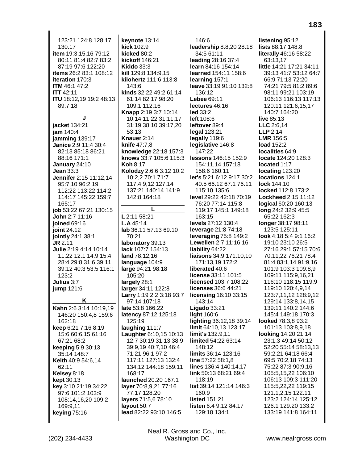123:21 124:8 128:17 130:17 item 19:3,15,16 79:12 80:11 81:4 82:7 83:2 87:19 97:6 122:20 items 26:2 83:1 108:12 iteration 170:3 **ITM** 46:1 47:2 **ITT 42:11** ITU 18:12,19 19:2 48:13 89:7,18 jacket 134:21 jam 140:4 jamming 139:17 Janice 2:9 11:4 30:4 82:13 85:18 86:21 88:16 171:1 January 24:10 Jean  $33:3$ Jennifer 2:15 11:12.14 95:7,10 96:2,19 112:22 113:22 114:2 114:17 145:22 159:7 165:17 job 53:22 67:21 130:15 John 2:7 11:16 ioined  $69:16$ ioint 24:12 jointly 24:1 38:1  $JR$  2:11 Julie 2:19 4:14 10:14 11:22 12:1 14:9 15:4 28:4 29:8 31:6 39:11 39:12 40:3 53:5 116:1 123:2 Julius 3:7 jump 121:6 K Kahn 2:6 3:14 10:19,19 146:20 150:4,8 159:6 162:18 keep 6:21 7:16 8:19 15:6 60:6,15 61:16 67:21 68:2 keeping 5:9 30:13 35:14 148:7 **Keith** 40:9 54:6,14 62:11 Kelsey 8:18 **kept** 30:13 key 3:10 21:19 34:22 97:6 101:2 103:9 108:14.16.20 109:2 169:9.11 keying 75:16

keynote 13:14 kick 102:9 kicked 80:2 kickoff 146:21 **Kiddo 33:3** kill 129:8 134:9.15 kilohertz 111:6 113:8 143:6 kinds 32:22 49:2 61:14 61:14 82:17 98:20 109:1 112:16 Knapp 2:19 3:7 10:14 10:14 11:22 31:11,17 31:19 38:10 39:17,20  $53:13$ Knauer 2:14 knife 47:7,8 knowledge 22:18 157:3 knows 33:7 105:6 115:3 **Koh 8:17** Kolodzy 2:6,6 3:12 10:2 10:2,2 70:1 71:7 117:4,9,12 127:14 137:21 140:14 141:9 142:8 164:18 L 2:11 58:21 **L.A** 45:14 lab 36:11 57:13 69:10 70:21 laboratory 39:13 lack 107:7 154:13 land 78:12,16 language 104:9 large 94:21 98:18 105:20 largely 28:1 larger 34:11 122:8 Larry 1:19 2:2 3:18 93:7 97:14 107:18 late 53:8 166:22 latency 87:12 125:18 125:19 laughing 111:7 **Laughter 6:10,15 10:13** 12:7 30:19 31:13 38:9 39:9.19 40:7.10 46:4 71:21 96:1 97:2 117:11 127:13 132:4 134:12 144:18 159:11 168:17 launched 20:20 167:1 layer 70:8,9,21 77:16 77:17 128:20 layers 71:5,6 78:10 layout 50:7 lead 82:22 93:10 146:5

 $146:6$ leadership 8:8,20 28:18 34:5 61:11 leading 28:16 37:4 learn 84:16 154:14 learned 154:11 158:6 learning 157:1 leave 33:19 91:10 132:8 136:12 Lebee 69:11 lectures 46:16  $led 33:2$ left 108:6 leftover 89:4 legal 123:21 legally 119:6 legislative 146:8 147:22 lessons 146:15 152:9 154:11,14 157:18 158:6 160:11 let's 5:21 6:12 9:17 30:2 40:5 66:12 67:1 76:11 115:10 135:6 level 29:22 42:18 70:19 76:20 77:14 115:8 119:17 145:1 149:18 163:15 **levels** 27:12 130:4 leverage 21:8 74:18 leveraging  $75:8$  149:2 Lewellen 2:7 11:16,16 **liability 64:22 liaisons** 34:9 171:10,10 171:13.19 172:2 liberated 40:6 license 33:11 101:5 licensed 103:7 108:22 licenses 36:6 44:21 licensing 16:10 33:15 143:14 Ligado  $33:21$ light 160:6 lighting 36:12,18 39:14 limit 64:10,13 123:17 limit's 132:9,11 limited 54:22 63:14 148:12 limits 36:14 123:16 line 57:22 58:1,8 lines 136:4 140:14,17 link 50:13 68:21 69:4 118:19 list 39:14 121:14 146:3 160:9 listed 151:21 listen 6:4 9:12 84:17 129:18 134:1

listening 95:12 lists 88:17 148:8 literally 46:16 58:22 63:13,17 little 14:21 17:21 34:11 39:13 41:7 53:12 64:7 66:9 71:13 72:20 74:21 79:5 81:2 89:6 98:11 99:21 103:19 106:13 116:13 117:13 120:11 121:6,15,17 140:7 164:20 live 85:13  $LLC$  2:6.14  $LLP$  2:14 LMR 156:5 load 152:2 localities 64:9 locate 124:20 128:3 located 1:17 locating 123:20 locations 124:1 lock 144:10 locked 112:8 173:2 Lockheed 2:15 11:12 **logical 60:20 160:13** long 24:2 32:9 45:5 65:22 162:3 **longer** 38:17 98:11 123:5 125:11 look 4:18 5:4 9:1 16:2 19:10 23:10 26:5 27:16 29:1 57:15 70:6 70:11.22 76:21 78:4 81:4 83:1,14 91:9,16 101:9 103:3 109:8.9 109:11 115:9,16,21 116:10 118:15 119:9 119:10 120:4.9.14 123:7,11,12 128:9,12 129:14 133:8,14,15 139:11 140:2 144:6 145:4 149:18 170:3 looked 78:3.8 93:2 101:13 103:8,9,18 **looking** 14:20 21:14 23:1,3 49:14 50:12 52:20 55:14 58:13.13 59:2.21 64:18 66:4 69:5 70:2,18 74:13 75:22 87:3 90:9,16 105:5,15,22 106:10 106:13 109:3 111:20 115:5,22,22 119:15 121:1,2,15 122:11 123:2 124:14 125:12 126:1 129:20 133:2 133:19 141:8 164:11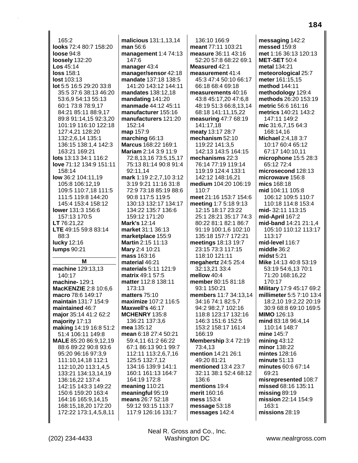$165:2$ looks 72:4 80:7 158:20 **loose** 94:8 loosely 132:20  $\textsf{Los }45:14$  $loss 158.1$  $lost 103:13$ lot 5:5 16:5 29:20 33:8 35:5 37:6 38:13 46:20 53:6,9 54:13 55:13 60:1 73:8 78:9,17 84:21 85:11 88:9,17 89:8 91:14,15 92:3,20 101:19 116:10 122:18 127:4,21 128:20 132:2,6,14 135:1 136:15 138:1,4 142:3 163:21 169:21 lots 13:13 34:1 116:2 love 71:12 134:9 151:11 158:14 low 36:2 104:11.19 105:8 106:12,19 109:5 110:7,18 111:5 111:5 119:8 144:20 145:4 153:4 158:12 lower 131:3 156:6 157:13 170:5 LT 76:21,22 LTE 49:15 59:8 83:14 88:3 lucky 12:16 **lumps 90:21** M machine 129:13,13 140:17 machine-129:1 **MacKENZIE 2:8 10:6.6** macro 78:6 149:17 maintain 131:7 154:9 maintained 46:7 major 35:14 41:2 62:2 majority 17:13 making 14:19 16:8 51:2 51:4 106:11 149:8 MALE 85:20 86:9,12,19 88:6 89:22 90:8 93:6 95:20 96:16 97:3,9 111:10,14,18 112:1 112:10,20 113:1,4,5 133:21 134:13,14,19 136:16,22 137:4 142:15 143:3 149:22 150:6 159:20 163:4 164:16 165:9,14,15 168:15,18,20 172:20 172:22 173:1,4,5,8,11

malicious 131:1,13,14 man 56:6 management 1:4 74:13 147:6 manager 43:4 manager/sensor 42:18 mandate 137:18 138:5 141:20 143:12 144:11 mandates 138:12.18 mandating 141:20 manmade 44:12 45:11 manufacturer 155:16 manufacturers 121:20 152:14 map 157:9 marching 66:13 Marcus 168:22 169:1 Mariam 2:14 3:9 11:9 72:8,13,16 73:5,15,17 75:13 81:14 90:8 91:4 92:11.14 mark 1:19 2:2,7,10 3:12 3:19 9:21 11:16 31:8 72:9 73:18 85:19 88:6 90:8 117:5 119:5 130:13 132:17 134:17 134:22 135:7 136:6 159:12 171:20 **Mark's 12:14** market 31:1 36:13 marketplace 155:9 Martin 2:15 11:13 Mary 2:4 10:21 **mass** 163:16 material 46:21 materials 5:11 121:9 matrix 49:1 57:5 matter 112:8 138:11 173:13 matters 75:10 maximize 107:2 116:5 Maxwell's 46:17 **MCHENRY 135:8** 136:21 137:3.6 mea 135:12 mean 6:18 27:4 50:21 59:4,11 61:2 66:22 67:1 86:13 90:1 99:7 112:11 113:2,6,7,16 125:5 132:7,12 134:16 139:9 141:1 160:1 161:13 164:7 164:19 172:8 meaning 110:21 meaningful 95:19 means 26:7 52:18 59:12 93:15 113:7 117:9 126:16 131:7

136:10 166:9 meant 77:11 103:21 measure 36:11 43:16 52:20 57:8 68:22 69:1 Measured 42:1 measurement 41:4 45:3 47:4 50:10 66:17 66:18 68:4 69:18 measurements 40:16 43:8 45:17,20 47:6,8 48:19 51:3 66:8,13,14 68:18 141:11,15,22 measuring 47:7 68:19 141:17.18 meaty 13:17 28:7 mechanism 52:10 119:22 141:3,5 142:13 143:5 164:15 mechanisms 22:3 76:14 77:19 119:14 119:19 124:4 133:1 142:12 148:16,21 medium 104:20 106:19  $110.7$ meet 21:16 153:7 154:6 meeting 1:7 5:18 9:13 12:15 18:17 23:22 25:1 28:21 35:17 74:3 80:22 81:1 82:1 86:7 91:19 100:1.6 102:10 135:18 157:7 172:21 meetings 18:13 19:7 23:15 73:3 117:15 118:10 121:11 megahertz 24:5 25:4 32:13,21 33:4 mellow 40:4 member 80:15 81:18 93:1 150:21 members 11:7 34:13.14 34:16 74:1 82:5,7 94:2 98:2,7 102:16 118:8 123:17 132:16 146:3 151:6 152:5 153:2 158:17 161:4 166:19 Membership 3:4 72:19 73:4,13 mention 14:21 26:1 49:20 81:21 mentioned 13:4 23:7 32:11 38:1 52:4 68:12 136:6 mentions 19:4 merit 160:16 mess 153:4 message 53:18 messages 142:4

messaging 142:2 messed 159:8 met 1:16 36:13 120:13 **MET-SET 50:4** metal 134:21 meteorological 25:7 meter 161:15,15 method 144:11 methodology 129:4 methods 26:20 153:19 metric 56:6 161:16 metrics 140:21 143:2 147:11 149:2 mic 31:6,7,15 64:3 168:14.16 Michael 2:4,18 3:7 10:17 60:4 65:12 67:17 140:10,11 microphone 15:5 28:3 65:12 72:4 microsecond 128:13 microwave 156:8 mics 168:18 mid 104:11 105:8 106:12 109:5 110:7 110:18 114:8 153:4 mid-32:11 113:15 mid-April  $167:2$ mid-band 14:21 21:1.4 105:10 110:12 113:17  $113.17$ mid-level 116:7 middle 36:2 midst  $5:21$ Mike 14:13 40:8 53:19 53:19 54:6,13 70:1 71:20 168:16,22 170:17 Military 17:9 45:17 69:2 millimeter 5:5 7:10 13:4 18:2,10 19:2,22 20:19 30:9 68:8 69:10 169:5 **MIMO 126:13** mind 83:18 96:4,14 110:14 148:7 mine 145:7  $mining$  43:12 minor 138:22 mintes 128:16 minute 51:13 minutes 60:6 67:14 69:21 misrepresented 108:7 missed 68:16 135:11 missing 89:19 mission 22:14 154:9 163:1 missions 28:19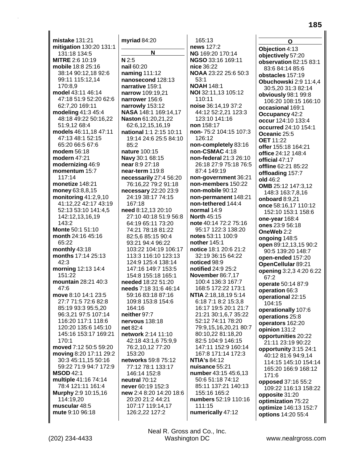mistake  $131:21$ mitigation 130:20 131:1 131:18 134:5 **MITRE 2:6 10:19** mobile 18:8 25:16 38:14 90:12,18 92:6 99:11 115:12,14 170:8.9 model 43:11 46:14 47:18 51:9 52:20 62:6 62:7,20 169:11 modeling 41:3 45:4 48:18 49:22 50:16,22 51:9.12 68:4 models 46:11,18 47:11 47:13 48:1 52:15 65:20 66:5 67:6 modem 56:18 modern 47:21 modernizing 46:9 momentum 15:7 117:14 monetize 148:21 money 63:8,8,15 monitoring  $41:2,9,10$ 41:12,22 42:17 43:19 52:13 53:10 141:4,5 142:12,13,16,19 143:2 Monte 50:1 51:10 month 24:16 45:16  $65:22$ monthly 43:18 months 17:14 25:13  $42:3$ morning 12:13 14:4 151:22 mountain 28:21 40:3  $47:6$ move 8:10 14:1 23:5 27:7 71:5 72:6 82:8 85:19 93:3 95:5,20 96:3,21 97:5 107:14 116:20 117:1 118:6 120:20 135:6 145:10 145:16 153:17 169:21 170:1 moved 7:12 50:5 59:20 moving 8:20 17:11 29:2 30:3 45:11,15 50:16 59:22 71:9 94:7 172:9 **MSOD 42:1** multiple 41:16 74:14 78:4 121:11 161:4 Murphy 2:9 10:15,16 114:19,20 muscular 48:5 mute 9:10 96:18

myriad 84:20 N  $N$  2:5 nail 60:20 naming 111:12 nanosecond 128:13 narrative 159:1 narrow 109:19.21 narrower 156:6 narrowly 153:12 NASA 148:1 169:14,17 Naston 61:20,21,22 62:6,12,15,16,19 national 1:1 2:15 10:11 19:14 24:6 25:5 84:10  $85:2$ nature 100:15 Navy 30:1 68:15 near 8:9 27:18 near-term 119:8 necessarily 27:4 56:20 76:16,22 79:2 91:18 necessary 22:20 23:9 24:19 38:17 74:15 167:18 need 8:12.13 20:10 27:10 40:18 51:9 56:8 64:19 65:11 73:20 74:21 78:18 81:22 82:5.6 85:15 90:4 93:21 94:4 96:22 103:22 104:19 106:17 113:3 116:10 123:13 124:9 125:4 138:14 147:16 149:7 153:5 154:8 155:18 165:1 needed 18:22 51:20 needs 7:18 31:6 46:14 59:16 83:18 87:16 109:8 153:8 154:6 164:16 neither 97:7 nervous 138:18 net  $82.4$ network 2:14 11:10 42:18 43:1,6 75:9,9 76:2,10,12 77:20  $153.20$ networks 59:8 75:12 77:12 78:1 133:17 146:14 152:8 neutral 70:12 never 60:19 152:3 new 2:4 8:20 14:20 18:6 20:20 21:2 44:21 107:17 119:14,17 126:2,22 127:2

 $165:13$ news 127:2 NG 169:20 170:14 NGSO 33:16 169:11 nice 36:22 NOAA 23:22 25:6 50:3  $53:1$ **NOAH 148:1** NOI 32:11,13 105:12  $110.11$ noise 36:14,19 37:2 44:12 52:2,21 123:3 123:10 141:16 non 158:17 non-75:2 104:15 107:3 126:12 non-completely 83:16 non-CSMAC 4:18 non-federal 21:3 26:10 26:18 27:9 75:18 76:5 87:4 149:19 non-government 36:21 non-members 150:22 non-mobile 90:12 non-permanent 148:21 non-tethered 144:4 normal 14:9 **North 45:15** note 40:14 72:2 75:16 95:17 122:3 138:20 notes 53:11 100:9 nother 145:1 notice 18:1 20:6 21:2 32:19 36:15 64:22 noticed 98:9 notified 24:9 25:2 **November 86:7,17** 100:4 136:3 167:7 168:5 172:22 173:1 NTIA 2:18,18,19 5:14 6:18 7:1 8:2 15:3,8 16:17 19:5 20:1 21:7 21:21 30:1,6,7 35:22 52:12 74:11 78:20 79:9,15,16,20,21 80:7 80:10,22 81:18,20 82:5 104:9 146:15 147:11 152:9 160:14 167:8 171:14 172:3 **NTIA's 84:12** nuisance 55:21 number 43:15 45:6,13 50:6 51:18 74:12 85:11 137:21 140:13 155:16 165:2 numbers 52:19 110:16 111:15 numerically 47:12

 $\mathbf{o}$ Objection 4:13 objectively 57:20 observation 82:15 83:1 83:6 84:14 85:6 obstacles 157:19 Obuchowski 2:9 11:4.4 30:5,20 31:3 82:14 obviously 98:1 99:8 106:20 108:15 166:10 occasional 169:1 **Occupancy 42:2** occur 124:10 133:4 occurred 24:10 154:1 Oceanic 25:5 **OET 11:22** offer 155:18 164:21 office 24:12 148:4 official 47:17 offline 62:21 85:22 offloading 157:7 old 46:2 OMB 25:12 147:3,12 148:3 163:7,8,16 onboard 8:9,21 once 58:16,17 110:12 152:10 153:1 158:6 one-year 168:4 ones 23:9 56:18 OneWeb 2:2 ongoing 148:5 open 89:12,13,15 90:2 90:5 139:20 148:7 open-ended 157:20 **OpenCellular 89:21** opening 3:2,3 4:20 6:22 67:2 operate 50:14 87:9 operation 66:3 operational 22:15 104:15 operationally 107:6 operations 25:8 operators 162:20 opinion 131:2 opportunities 20:22 21:11 23:19 90:22 opportunity 3:15 24:1 40:12 81:6 94:9,14 114:15 145:10 154:14 165:20 166:9 168:12 171:6 opposed 37:16 55:2 109:22 116:13 158:22 opposite 31:20 optimization 75:22 optimize 146:13 152:7 options 14:20 55:4

Neal R. Gross and Co., Inc. Washington DC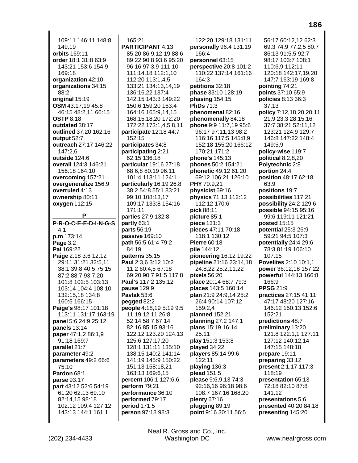109:11 146:11 148:8 149:19 **orbits** 169:11 **order** 18:1 31:8 63:9 143:21 153:6 154:9 169:18 **organization** 42:10 **organizations** 34:15 88:2 **original** 15:19 **OSM** 43:17,19 45:8 46:15 48:2,11 66:15 **OSTP** 8:18 **outdated** 38:17 **outlined** 37:20 162:16 **output** 52:7 **outreach** 27:17 146:22 147:2,6 **outside** 124:6 **overall** 124:3 146:21 156:18 164:10 **overcoming** 157:21 **overgeneralize** 156:9 **overruled** 4:13 **ownership** 80:11 **oxygen** 112:15 **P P-R-O-C-E-E-D-I-N-G-S** 4:1 **p.m** 173:14 **Page** 3:2 **Pai** 169:22 **Paige** 2:18 3:6 12:12 29:11 31:21 32:5,11 38:1 39:8 40:5 75:15 87:2 88:7 93:7,20 101:8 102:5 103:13 103:14 104:4 108:10 132:15,18 134:8 160:5 166:15 **Paige's** 98:17 101:18 113:11 131:17 163:19 **panel** 5:6 24:9 25:12 **panels** 13:14 **paper** 47:1,2 86:1,9 91:18 169:7 **parallel** 21:7 **parameter** 49:2 **parameters** 49:2 66:6 75:10 **Pardon** 68:1 **parse** 93:17 **part** 43:12 52:6 54:19 61:20 62:13 69:10 82:14,15 98:18 102:12 109:4 127:12 143:13 144:1 161:1

165:21 **PARTICIPANT** 4:13 85:20 86:9,12,19 88:6 89:22 90:8 93:6 95:20 96:16 97:3,9 111:10 111:14,18 112:1,10 112:20 113:1,4,5 133:21 134:13,14,19 136:16,22 137:4 142:15 143:3 149:22 150:6 159:20 163:4 164:16 165:9,14,15 168:15,18,20 172:20 172:22 173:1,4,5,8,11 **participate** 12:18 44:7 152:15 **participates** 34:8 **participating** 2:21 62:15 136:18 **particular** 19:16 27:18 68:6,8 80:19 96:11 101:4 113:11 124:1 **particularly** 16:19 26:8 38:2 54:8 55:1 83:21 99:10 108:13,17 109:17 133:8 154:16 171:11 **parties** 27:9 132:8 **partly** 63:1 **parts** 56:19 **passive** 169:10 **path** 56:5 61:4 79:2 84:19 **patterns** 35:15 **Paul** 2:3,6 3:12 10:2 11:2 60:4,5 67:18 69:20 90:7 91:5 117:8 **Paul's** 117:2 135:12 **pause** 129:9 **Pavlak** 53:6 **pegged** 82:2 **people** 4:18,19 5:19 9:5 11:19 12:11 26:8 52:14 58:7 67:14 82:16 85:15 93:16 122:12 123:20 124:13 125:6 127:17,20 128:1 131:11 135:10 138:15 140:2 141:14 141:19 145:9 150:22 151:13 158:18,21 163:13 169:6,15 **percent** 106:1 127:6,6 **perform** 79:21 **performance** 36:10 **performed** 79:17 **period** 171:5 **person** 97:18 98:3

122:20 129:18 131:11 **personally** 96:4 131:19 166:4 **personnel** 63:15 **perspective** 20:8 101:2 110:22 137:14 161:16 164:3 **petitions** 32:18 **phase** 33:10 128:19 **phasing** 154:15 **PhDs** 71:3 **phenomenal** 82:16 **phenomenally** 84:18 **phone** 9:9 11:7,19 95:6 96:17 97:11,13 98:2 116:16 117:5 145:8,9 152:18 155:20 166:12 170:21 171:2 **phone's** 145:13 **phones** 50:2 154:21 **phonetic** 49:12 61:20 69:12 106:21 126:10 **PHY** 70:9,21 **physicist** 69:16 **physics** 71:13 112:12 112:12 170:6 **pick** 88:11 **picture** 85:1 **piece** 131:3 **pieces** 47:11 70:18 118:1 130:12 **Pierre** 60:18 **pile** 144:12 **pioneering** 16:12 19:22 **pipeline** 21:16 23:14,18 24:8,22 25:2,11,22 **pixels** 56:20 **place** 20:14 68:7 79:3 **places** 143:5 160:14 **plan** 21:9 24:9,14 25:2 26:4 90:14 107:12 159:2,4 **planned** 152:21 **planning** 27:2 147:1 **plans** 15:19 16:14 25:11 **play** 151:3 153:8 **played** 34:22 **players** 85:14 99:6 122:11 **playing** 136:3 **plead** 151:5 **please** 9:6,9,13 74:3 92:16,16 96:18 98:6 108:7 167:16 168:20 **plenty** 67:16 **plugging** 89:19 **point** 9:16 30:11 56:5

56:17 60:12,12 62:3 69:3 74:9 77:2,5 80:7 86:13 91:5,5 92:7 98:17 103:7 108:1 110:6,9 112:11 120:18 142:17,19,20 147:7 163:19 169:8 **pointing** 74:21 **points** 37:10 65:9 **policies** 8:13 36:3 37:13 **policy** 7:12,18,20 20:11 21:9 23:3 28:15,16 37:7 38:21 52:11,12 123:21 124:9 129:7 146:8 147:22 148:4 149:5,9 **policy-wise** 119:7 **political** 8:2,8,20 **Polytechnic** 2:8 **portion** 24:4 **position** 48:17 62:18 63:9 **positions** 19:7 **possibilities** 117:21 **possibility** 24:2 129:6 **possible** 94:15 95:16 99:6 119:11 121:21 **posted** 15:15 **potential** 25:3 26:9 59:21 94:5 107:3 **potentially** 24:4 29:6 78:3 81:19 106:10 107:15 **Povelites** 2:10 10:1,1 **power** 36:12,18 157:22 **powerful** 144:13 166:8 166:9 **PPSG** 21:9 **practices** 27:15 41:11 47:17 48:20 127:16 146:12 150:13 152:6 152:21 **predictions** 48:7 **preliminary** 13:20 121:8 122:1,1 127:11 127:12 140:12,14 147:15 148:18 **prepare** 19:11 **preparing** 33:12 **present** 2:1,17 117:3 118:19 **presentation** 65:13 72:18 82:10 87:8  $141:12$ **presentations** 5:6 **presented** 40:20 84:18 **presenting** 145:20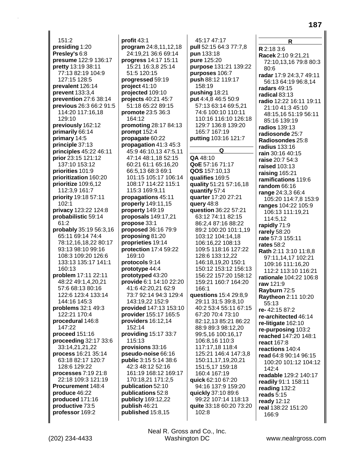151:2 **presiding** 1:20 **Presley's** 6:8 **presume** 122:9 136:17 **pretty** 13:19 38:11 77:13 82:19 104:9 127:15 128:5 **prevalent** 126:14 **prevent** 133:3,4 **prevention** 27:6 38:14 **previous** 26:3 66:2 91:5 114:20 117:16,18 129:10 **previously** 162:12 **primarily** 66:14 **primary** 14:5 **principle** 37:13 **principles** 45:22 46:11 **prior** 23:15 121:12 137:10 153:12 **priorities** 101:9 **prioritization** 160:20 **prioritize** 109:6,12 112:3,9 161:7 **priority** 19:18 57:11 102:1 **privacy** 123:22 124:8 **probabilistic** 59:14 61:2 **probably** 35:19 56:3,16 65:11 69:14 74:4 78:12,16,18,22 80:17 93:13 98:10 99:16 108:3 109:20 126:6 133:13 135:17 141:1 160:13 **problem** 17:11 22:11 48:22 49:1,4,20,21 57:6 68:13 80:16 122:6 123:4 133:14 144:16 145:3 **problems** 32:1 49:3 122:21 170:4 **procedural** 146:8 147:22 **proceed** 151:16 **proceeding** 32:17 33:6 33:14,21,21,22 **process** 16:21 35:14 63:18 82:17 120:7 128:6 129:22 **processes** 7:19 21:8 22:18 109:3 121:19 **Procurement** 148:4 **produce** 46:22 **produced** 171:16 **productive** 73:5 **professor** 169:2

**profit** 43:1 **program** 24:8,11,12,18 24:19,21 36:6 69:14 **progress** 14:17 15:11 15:21 16:3,8 25:14 51:5 120:15 **progressed** 59:19 **project** 41:10 **projected** 109:10 **projects** 40:21 45:7 51:18 65:22 89:15 **promote** 23:5 36:3 164:12 **promoting** 28:17 84:13 **prompt** 152:4 **propagate** 60:22 **propagation** 41:3 45:3 45:9 46:10,13 47:5,11 47:14 48:1,18 52:15 60:21 61:1 65:16,20 66:5,13 68:3 69:1 101:15 105:17 106:14 108:17 114:22 115:1 115:3 169:9,11 **propagations** 45:11 **properly** 149:11,15 **property** 149:19 **proposals** 149:17,21 **propose** 33:1 **proposed** 36:16 79:9 **proposing** 81:20 **proprieties** 19:14 **protection** 17:4 59:22 169:10 **protocols** 9:14 **prototype** 44:4 **prototyped** 43:20 **provide** 6:1 14:10 22:20 41:6 42:20,21 62:9 73:7 92:14 94:3 129:4 143:19,22 152:9 **provided** 147:13 153:10 **provider** 155:17 165:5 **providers** 16:12,14 152:14 **providing** 15:17 33:7 115:13 **provisions** 33:16 **pseudo-noise** 66:16 **public** 3:15 5:14 38:6 42:3 48:12 52:16 161:19 168:12 169:17 170:18,21 171:2,5 **publication** 52:10 **publications** 52:8 **publicly** 169:12,22 **publish** 46:21 **published** 15:8,15

45:17 47:17 **pull** 52:15 64:3 77:7,8 **pun** 133:18 **pure** 125:20 **purpose** 131:21 139:22 **purposes** 106:7 **push** 88:12 119:17 158:19 **pushing** 18:21 **put** 4:4,8 46:5 50:9 57:13 63:14 69:5,21 74:6 100:10 110:11 110:16 116:10 126:18 129:7 136:8 139:20 165:7 167:19 **putting** 103:16 121:7 **Q QA** 48:10 **QoE** 57:16 71:17 **QOS** 157:10,13 **qualifies** 169:5 **quality** 51:21 57:16,18 **quantify** 57:4 **quarter** 17:20 27:21 **query** 48:8 **question** 36:22 57:21 63:12 74:11 82:15 86:2,4 87:16 88:22 89:2 100:20 101:1,19 103:12 104:14,18 106:16,22 108:13 109:5 118:16 127:22 128:6 133:12,22 146:18,19,20 150:1 150:12 153:12 156:13 156:22 157:20 158:12 159:21 160:7 164:20 166:1 **questions** 15:4 29:8,9 29:11 31:5 39:8,10 40:2 53:4 55:11 67:15 67:20 70:4 73:10 82:12,13 85:21 86:22 88:9 89:3 98:12,20 99:5,16 100:16,17 106:8,16 110:3 117:17,18 118:4 125:21 146:4 147:3,8 150:11,17,19,20,21 151:5,17 159:18 160:4 167:19 **quick** 62:10 67:20 94:16 137:9 159:20 **quickly** 37:10 89:6 99:22 107:14 118:13 **quite** 33:18 60:20 73:20 102:8

**R R** 2:18 3:6 **Racek** 2:10 9:21,21 72:10,13,16 79:8 80:3 80:6 **radar** 17:9 24:3,7 49:11 56:13 64:19 96:8,14 **radars** 49:15 **radical** 83:13 **radio** 12:22 16:11 19:11 21:10 41:3 45:10 48:15,16 51:19 56:11 85:16 139:19 **radios** 139:13 **radiosonde** 25:7 **Radiosondes** 25:8 **radius** 133:16 **rain** 30:16 40:15 **raise** 20:7 54:3 **raised** 103:13 **raising** 165:21 **ramifications** 119:6 **random** 66:16 **range** 24:3,3 66:4 105:20 114:7,8 153:9 **ranges** 104:22 105:9 106:13 111:19,21 114:5,12 **rapidly** 71:9 **rarely** 58:20 **rate** 57:3 155:11 **rates** 58:2 **Rath** 2:11 3:10 11:8,8 97:11,14,17 102:21 109:16 111:16,20 112:2 113:10 116:21 **rationale** 104:22 106:8 **raw** 121:9 **Rayburn** 72:5 **Raytheon** 2:11 10:20 55:13 **re-** 42:15 87:2 **re-architected** 46:14 **re-litigate** 162:10 **re-purposing** 103:2 **reached** 147:20 148:1 **react** 167:8 **reactions** 140:4 **read** 64:8 90:14 96:15 100:20 101:12 104:12  $142.4$ **readable** 129:2 140:17 **readily** 91:1 158:11 **reading** 132:2 **reads** 5:15 **ready** 12:12 **real** 138:22 151:20 166:9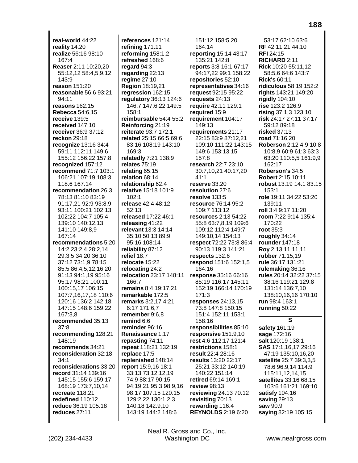**real-world** 44:22 **reality** 14:20 **realize** 56:16 98:10 167:4 **Reaser** 2:11 10:20,20 55:12,12 58:4,5,9,12 143:9 **reason** 151:20 **reasonable** 56:6 93:21 94:11 **reasons** 162:15 **Rebecca** 54:6,15 **receive** 139:5 **received** 147:10 **receiver** 36:9 37:12 **reckon** 29:18 **recognize** 13:16 34:4 59:11 112:11 149:6 155:12 156:22 157:8 **recognized** 157:12 **recommend** 71:7 103:1 106:21 107:19 108:3 118:6 167:14 **recommendation** 26:3 78:13 81:10 83:19 91:17,21 92:9 93:8,9 93:11 100:21 102:13 102:22 104:7 105:4 139:10 140:12,13 141:10 149:8,9 167:14 **recommendations** 5:20 14:2 23:2,4 28:2,14 29:3,5 34:20 36:10 37:12 73:1,9 78:15 85:5 86:4,5,12,16,20 91:13 94:1,19 95:16 95:17 98:21 100:11 100:15,17 106:15 107:7,16,17,18 110:6 120:16 136:2 142:18 147:15 148:6 159:22 167:3,8 **recommended** 35:13 37:8 **recommending** 128:21 148:19 **recommends** 34:21 **reconsideration** 32:18 34:1 **reconsiderations** 33:20 **record** 31:14 139:16 145:15 155:6 159:17 168:19 173:7,10,14 **recreate** 118:21 **redefined** 110:12 **reduce** 36:19 105:18 **reduces** 27:11

**references** 121:14 **refining** 171:11 **reforming** 158:1,2 **refreshed** 168:6 **regard** 94:3 **regarding** 22:13 **regime** 27:10 **Region** 18:19,21 **regression** 162:15 **regulatory** 36:13 124:6 146:7 147:6,22 149:5 158:1 **reimbursable** 54:4 55:2 **Reinforcing** 21:19 **reiterate** 93:7 172:1 **related** 25:15 66:5 69:6 83:16 108:19 143:10 169:3 **relatedly** 7:21 138:9 **relates** 75:19 **relating** 65:15 **relation** 68:14 **relationship** 62:4 **relative** 15:18 101:9 102:1 **release** 42:4 48:12 52:13 **released** 17:22 46:1 **releasing** 41:22 **relevant** 13:3 14:14 35:10 50:13 89:9 95:16 108:14 **reliability** 87:12 **relief** 18:7 **relocate** 15:22 **relocating** 24:2 **relocation** 23:17 148:11 166:7 **remains** 8:4 19:17,21 **remarkable** 172:5 **remarks** 3:2,17 4:21 6:17 171:6,7 **remember** 9:6,8 **remind** 6:6 **reminder** 96:16 **Renaissance** 1:17 **repasting** 74:11 **repeat** 118:21 132:19 **replace** 17:5 **replenished** 148:14 **report** 15:9,16 18:1 33:13 73:12,12,19 74:9 88:17 90:15 94:19,21 95:3 98:9,16 98:17 107:15 120:15 129:2,22 130:1,2,3 140:18 142:9,10 143:19 144:2 148:6

151:12 158:5,20 164:14 **reporting** 15:14 43:17 135:21 142:8 **reports** 3:8 16:1 67:17 94:17,22 99:1 158:22 **repositories** 52:10 **representatives** 34:16 **request** 92:15 95:22 **requests** 24:13 **require** 42:11 129:1 **required** 15:9 **requirement** 104:17 149:13 **requirements** 21:17 22:15 83:9 87:12,21 109:10 111:22 143:15 149:6 153:13,15 157:8 **research** 22:7 23:10 30:7,10,21 40:17,20 41:1 **reserve** 33:20 **resolution** 27:6 **resolve** 133:5 **resource** 76:14 95:2 109:7 113:12 **resources** 2:13 54:22 55:8 63:7,8,19 109:6 109:12 112:4 149:7 149:10,14 154:13 **respect** 72:22 73:8 86:4 90:13 119:3 141:21 **respects** 132:6 **respond** 151:6 152:1,5 164:16 **response** 35:16 66:16 85:19 116:17 145:11 152:19 166:14 170:19 171:3 **responses** 24:13,15 73:8 147:8 150:15 151:4 152:11 153:1 158:16 **responsibilities** 85:10 **responsive** 151:9,10 **rest** 4:6 112:17 121:4 **restrictions** 158:1 **result** 22:4 28:16 **results** 13:20 22:17 25:21 33:12 140:19 140:22 151:14 **retired** 69:14 169:1 **review** 98:13 **reviewing** 24:13 70:12 **revisiting** 70:13 **rewarding** 116:4 **REYNOLDS** 2:19 6:20

53:17 62:10 63:6 **RF** 42:11,21 44:10 **RFI** 24:15 **RICHARD** 2:11 **Rick** 10:20 55:11,12 58:5,6 64:6 143:7 **Rick's** 60:11 **ridiculous** 58:19 152:2 **rights** 143:21 149:20 **rigidly** 104:10 **rise** 123:2 126:9 **rising** 37:1,3 123:10 **risk** 24:17 27:11 37:17 59:12 89:18 **risked** 37:13 **road** 71:16,20 **Roberson** 2:12 4:9 10:8 10:8,9 60:9 61:3 63:3 63:20 110:5,5 161:9,9 162:17 **Roberson's** 34:5 **Robert** 2:15 10:11 **robust** 13:19 14:1 83:15 153:1 **role** 19:11 34:22 53:20 139:11 **roll** 3:4 9:17 11:20 **room** 7:22 9:14 135:4 170:22 **root** 35:3 **roughly** 34:14 **rounder** 147:18 **Roy** 2:13 11:11,11 **rubber** 71:15,19 **rule** 36:17 131:21 **rulemaking** 36:16 **rules** 20:14 32:22 37:15 38:16 119:21 129:8 131:14 136:7,10 138:10,16,16 170:10 **run** 98:4 163:1 **running** 50:22 **S**

**safety** 161:19 **sage** 172:16 **salt** 120:19 138:1 **SAS** 17:1,16,17 29:16 47:19 135:10,16,20 **satellite** 25:7 39:3,3,5 78:6 96:9,14 114:9 115:11,12,14,15 **satellites** 33:16 68:15 103:6 161:21 169:10 **satisfy** 104:16 **saving** 29:13 **saw** 90:9 **saying** 82:19 105:15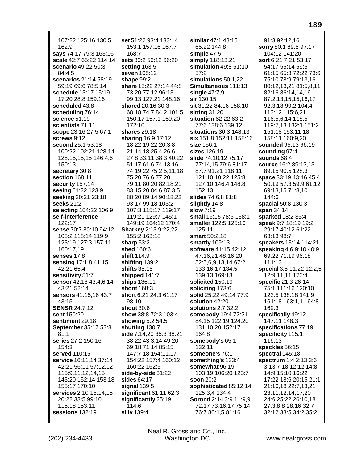107:22 125:16 130:5 162:9 **says** 74:17 79:3 163:16 **scale** 42:7 65:22 114:14 **scenario** 49:22 50:3 84:4,5 **scenarios** 21:14 58:19 59:19 69:6 78:5,14 **schedule** 13:17 15:19 17:20 28:8 159:16 **scheduled** 43:8 **scheduling** 76:14 **science** 51:19 **scientists** 71:11 **scope** 23:16 27:5 67:1 **screws** 9:12 **second** 25:1 53:18 100:22 102:21 128:14 128:15,15,15 146:4,6 150:13 **secretary** 30:8 **section** 168:11 **security** 157:14 **seeing** 61:22 123:9 **seeking** 20:21 23:18 **seeks** 21:2 **selecting** 104:22 106:9 **self-interference** 122:17 **sense** 70:7 80:10 94:12 108:2 118:14 119:9 123:19 127:3 157:11 160:17,19 **senses** 17:8 **sensing** 17:1,8 41:15 42:21 65:4 **sensitivity** 51:7 **sensor** 42:18 43:4,6,14 43:21 52:14 **sensors** 41:15,16 43:7 43:15 **SENSR** 24:7,12 **sent** 150:20 **sentiment** 29:18 **September** 35:17 53:8 81:1 **series** 27:2 150:16 154:3 **served** 110:15 **service** 16:11,14 37:14 42:21 56:11 57:12,12 115:9,11,12,14,15 143:20 152:14 153:18 155:17 170:10 **services** 2:10 18:14,15 20:22 33:5 99:10 115:18 153:11 **sessions** 132:19

**set** 51:22 93:4 133:14 153:1 157:16 167:7 168:7 **sets** 30:2 56:12 66:20 **setting** 163:5 **seven** 105:12 **shape** 99:2 **share** 15:22 27:14 44:8 73:20 77:12 96:13 99:13 127:21 148:16 **shared** 20:16 30:3 68:18 74:7 84:2 101:5 150:17 157:1 169:20 172:10 **shares** 29:18 **sharing** 16:9 17:12 18:22 19:22 20:3,8 21:14,18 25:4 26:6 27:8 33:11 38:3 40:22 51:17 61:6 74:13,16 74:19,22 75:2,5,11,18 75:20 76:6 77:20 79:11 80:20 82:18,21 83:15,20 84:6 87:3,5 88:20 89:14 90:18,22 93:17 99:18 103:2 107:3 115:17 119:17 119:21 129:7 145:1 149:19 164:12 170:4 **Sharkey** 2:13 9:22,22 155:2 163:18 **sharp** 53:2 **shed** 160:6 **shift** 114:9 **shifting** 139:2 **shifts** 35:15 **shipped** 141:7 **ships** 136:11 **shoot** 168:3 **short** 6:21 24:3 61:17 98:10 **shout** 30:6 **show** 38:8 72:3 103:4 **showing** 5:2 54:5 **shutting** 130:7 **side** 7:14,20 35:3 38:21 38:22 43:3,14 49:20 69:18 71:14 85:15 147:7,18 154:11,17 154:22 157:4 160:12 160:22 162:5 **side-by-side** 31:22 **sides** 64:17 **signal** 139:5 **significant** 61:11 62:3 **significantly** 25:19 114:6 **silly** 139:4

**similar** 47:1 48:15 65:22 144:8 **simple** 47:5 **simply** 118:13,21 **simulation** 49:8 51:10 57:2 **simulations** 50:1,22 **Simultaneous** 111:13 **single** 47:7,9 **sir** 130:15 **sit** 31:22 84:16 158:10 **sitting** 31:20 **situation** 62:22 63:2 77:6 138:6 139:12 **situations** 30:3 148:13 **six** 151:8 152:11 158:16 **size** 156:1 **sizes** 126:19 **slide** 74:10,12 75:17 77:14,15 79:6 81:17 87:7 91:21 118:11 121:10,10,22 125:8 127:10 146:4 148:8 152:13 **slides** 74:6,8 81:8 **slightly** 14:8 **slow** 7:19 **small** 16:15 78:5 138:1 **smaller** 122:5 125:10 125:11 **smart** 50:2,18 **smartly** 109:13 **software** 41:15 42:12 47:16,21 48:16,20 52:5,6,9,13,14 67:2 133:16,17 134:5 139:13 169:13 **solicited** 150:19 **soliciting** 173:6 **solid** 25:22 49:14 77:9 **solution** 42:20 **solutions** 2:7 32:2 **somebody** 19:4 72:21 84:15 122:19 124:20 131:10,20 152:17 164:8 **somebody's** 65:1 132:11 **someone's** 76:1 **something's** 133:4 **somewhat** 96:19 103:19 106:20 123:7 **soon** 20:2 **sophisticated** 85:12,14 125:3,4 134:4 **Sorond** 2:14 3:9 11:9,9 72:17 73:16,17 75:14 76:7 80:1,5 81:16

91:3 92:12,16 **sorry** 80:1 89:5 97:17 104:12 141:20 **sort** 6:21 7:21 53:17 54:17 55:14 59:5 61:15 65:3 72:22 73:6 75:10 78:9 79:13,16 80:12,13,21 81:5,8,11 82:16 86:14,14,16 87:2,13,15,15,16,17 92:3,18 99:2 104:4 113:12 115:6,21 116:5,6,14 118:5 119:7,13 132:1 151:2 151:18 153:11,18 158:11 160:9,20 **sounded** 95:13 96:19 **sounding** 97:4 **sounds** 68:4 **source** 16:2 89:12,13 89:15 90:5 128:3 **space** 33:19 43:16 45:4 50:19 57:3 59:9 61:12 69:13,15 71:8,10 144:6 **spacial** 50:8 130:3 **span** 34:14 **sparked** 18:2 35:4 **speak** 9:7 18:19 19:2 29:17 40:12 61:22 63:13 98:7 **speakers** 13:14 114:21 **speaking** 4:6 9:10 40:9 69:22 71:19 96:18 111:13 **special** 3:5 11:22 12:2,5 12:9,11,11 170:4 **specific** 21:3 26:14 75:1 111:16 120:10 123:5 138:18 141:9 161:18 163:1,1 164:8 169:3 **specifically** 49:12 147:11 148:3 **specifications** 77:19 **specificity** 115:1 116:13 **speckles** 56:15 **spectral** 145:18 **spectrum** 1:4 2:13 3:6 3:13 7:18 12:12 14:8 14:9 15:10 16:22 17:22 18:6 20:15 21:1 21:16,18 22:7,13,21 23:11,12,14,17,20 24:6 25:22 26:10,18 27:3,8,8 28:16 32:7 32:12 33:5 34:2 35:2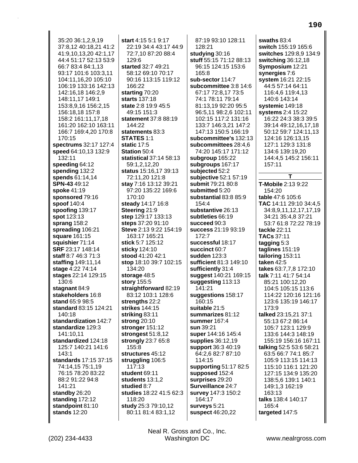35:20 36:1,2,9,19 37:8,12 40:18,21 41:2 41:9,10,13,20 42:1,17 44:4 51:17 52:13 53:9 66:7 83:4 84:1,13 93:17 101:6 103:3,11 104:11,16,20 105:10 106:19 133:16 142:13 142:16,18 146:2,9 148:11,17 149:1 153:8,9,16 156:2,15 156:18,18 157:8 158:2 161:11,17,18 161:20 162:10 163:11 166:7 169:4,20 170:8 170:15 **spectrums** 32:17 127:4 **speed** 64:10,13 132:9 132:11 **speeding** 64:12 **spending** 132:2 **spends** 61:14,14 **SPN-43** 49:12 **spoke** 41:19 **sponsored** 79:16 **spoof** 140:4 **spoofing** 139:17 **spot** 123:13 **sprang** 158:2 **spreading** 106:21 **square** 161:15 **squishier** 71:14 **SRF** 23:17 148:14 **staff** 8:7 46:3 71:3 **staffing** 149:11,14 **stage** 4:22 74:14 **stages** 22:14 129:15 130:6 **stagnant** 84:9 **stakeholders** 16:8 **stand** 65:9 98:5 **standard** 83:15 124:21 140:18 **standardization** 142:7 **standardize** 129:3 141:10,11 **standardized** 124:18 125:7 140:21 141:6 143:1 **standards** 17:15 37:15 74:14,15 75:1,19 76:15 78:20 83:22 88:2 91:22 94:8 141:21 **standby** 26:20 **standing** 172:12 **standpoint** 81:10 **stands** 12:20

**start** 4:15 5:1 9:17 22:19 34:4 43:17 44:9 72:7,10 87:20 88:4 129:6 **started** 32:7 49:21 58:12 69:10 70:17 90:16 113:15 119:12 166:22 **starting** 70:20 **starts** 137:18 **state** 2:8 19:9 45:5 49:15 151:3 **statement** 37:8 88:19 144:22 **statements** 83:3 **STATES** 1:1 **static** 17:5 **Station** 50:4 **statistical** 37:14 58:13 59:1,2,12,20 **status** 15:16,17 39:13 72:11,20 121:8 **stay** 7:16 13:12 39:21 97:20 135:22 169:6 170:10 **steady** 14:17 16:8 **Steering** 21:9 **step** 129:17 133:13 **steps** 37:20 91:10 **Steve** 2:13 9:22 154:19 163:17 165:21 **stick** 5:7 125:12 **sticky** 124:10 **stood** 41:20 42:1 **stop** 18:10 39:7 102:15 134:20 **storage** 48:5 **story** 155:5 **straightforward** 82:19 83:12 103:1 128:6 **strengths** 22:2 **strikes** 144:15 **striking** 83:11 **strong** 20:10 **stronger** 151:12 **strongest** 51:8,12 **strongly** 23:7 65:8 155:8 **structures** 45:12 **struggling** 106:5 117:13 **student** 69:11 **students** 13:1,2 **studied** 8:7 **studies** 18:22 41:5 62:3 118:20 **study** 25:3 79:10,12 80:11 81:4 83:1,12

87:19 93:10 128:11 128:21 **studying** 30:16 **stuff** 55:15 71:12 88:13 96:15 124:15 153:6  $165.8$ **sub-sector** 114:7 **subcommittee** 3:8 14:6 67:17 72:8,17 73:5 74:1 78:11 79:14 81:13,19 92:20 95:5 96:5,11 98:2,6 102:11 102:15 117:2 131:16 133:7 146:3,21 147:2 147:13 150:5 166:19 **subcommittee's** 132:13 **subcommittees** 28:4,6 74:20 145:17 171:12 **subgroup** 165:22 **subgroups** 167:17 **subjected** 52:2 **subjective** 52:1 57:19 **submit** 79:21 80:8 **submitted** 5:20 **substantial** 83:8 85:9 154:4 **substantive** 26:13 **subtleties** 66:19 **succeed** 90:3 **success** 21:19 93:19  $172.7$ **successful** 18:17 **succinct** 60:7 **sudden** 123:3 **sufficient** 81:3 149:10 **sufficiently** 31:4 **suggest** 140:21 169:15 **suggesting** 113:13 141:21 **suggestions** 158:17 160:15 **suitable** 21:5 **summarizes** 81:12 **summer** 167:4 **sun** 39:21 **super** 144:16 145:4 **supplies** 36:12,19 **support** 36:3 40:19 64:2,6 82:7 87:10 114:15 **supporting** 51:17 82:5 **supposed** 152:4 **surprises** 29:20 **Surveillance** 24:7 **survey** 147:3 150:2 164:17 **surveys** 5:21 **suspect** 46:20,22

**swaths** 83:4 **switch** 155:19 165:6 **switches** 129:8,9 134:9 **switching** 36:12,18 **Symposium** 12:21 **synergies** 7:6 **system** 16:21 22:15 44:5 57:14 64:11 116:4,6 119:4,13 140:6 143:14 **systemic** 149:18 **systems** 2:4 15:22 16:22 24:3 38:3 39:5 39:14 49:12,16,17,18 50:12 59:7 124:11,13 124:16 126:13,15 127:1 129:3 131:8 134:6 139:19,20 144:4,5 145:2 156:11 157:11 **T T-Mobile** 2:13 9:22 154:20 **table** 47:6 105:6 **TAC** 14:11 29:10 34:4,5 34:8,9,11,12,17,17,19 34:21 35:4,8 37:21 53:7 61:8 72:22 78:19 **tackle** 22:11 **TACs** 37:11 **tagging** 5:3 **taglines** 151:19 **tailoring** 153:11 **taken** 42:5 **takes** 63:7,7,8 172:10 **talk** 7:11 41:7 54:14 85:21 100:12,20 104:5 105:15 113:6 114:22 120:16 121:16 123:6 135:19 146:17 173:9 **talked** 23:15,21 37:1 55:13 67:2 86:14 105:7 123:1 129:9 133:6 144:3 148:19 155:19 156:16 167:11 **talking** 52:5 53:6 58:21 63:5 66:7 74:1 85:7 105:9 113:15 114:13 115:10 116:1 121:20 127:15 134:9 135:20 138:5,6 139:1 140:1 149:1,3 162:19 163:13 **talks** 138:4 140:17 165:4 **targeted** 147:5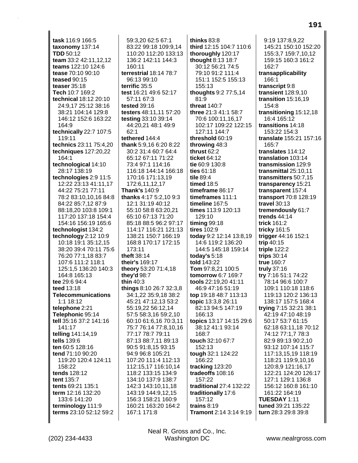task 116:9 166:5 taxonomy 137:14 **TDD 50:12** team 33:2 42:11,12,12 teams 122:10 124:6 tease 70:10 90:10 teased 90:15 teaser  $35:18$ Tech 10:7 169:2 technical 18:12 20:10 24:9,17 25:12 38:16 38:21 104:14 129:8 146:12 152:6 163:22 164:9 technically 22:7 107:5 119:11 technics 23:11 75:4,20 techniques 127:20,22 164:1 technological 14:10 28:17 138:19 technologies 2:9 11:5 12:22 23:13 41:11,17 44:22 75:21 77:11 78:2 83:10,10,16 84:8 84:22 85:7.12 87:9 88:18.20 103:8 109:1 117:20 137:18 154:4 154:16 156:19 165:6 technologist 134:2 technology  $2:12$  10:9 10:18 19:1 35:12,15 38:20 39:4 70:11 75:6 76:20 77:1,18 83:7 107:6 111:2 118:1 125:1,5 136:20 140:3 164:8 165:13 tee 29:6 94:4 teed 13:18 **Telecommunications**  $1:1$  18:12 telephone 2:21 Telephonic 95:14 tell 35:16 37:2 141:16 141:17 telling 141:14,19 tells 139:6 ten 60:5 128:16 tend 71:10 90:20 119:20 120:4 124:11 158:22 tends 128:12 tent 135:7 tents 69:21 135:1 term 12:16 132:20 133:6 141:20 terminology 111:9 terms 23:10 52:12 59:2

59:3.20 62:5 67:1 83:22 99:18 109:9,14 110:20 112:20 133:13 136:2 142:11 144:3 160:11 terrestrial 18:14 78:7 96:13 99:10 terrific 35:5 test 16:21 49:6 52:17 57:11 67:3 tested 39:16 testers 48:11,11 57:20 testing 33:10 39:14 44:20,21 48:1 49:9  $62.1$ tethered 144:4 thank 5:9,16 6:20 8:22 30:2 31:4 60:7 64:4 65:12 67:11 71:22 73:4 97:1 114:16 116:18 144:14 166:18 170:16 171:13,19 172:6,11,12,17 Thank's 140:9 thanks 4:17 5:2.10 9:3 12:1 31:19 40:12 55:10 58:8 63:20.21 65:10 67:13 71:20 85:18 88:5 96:2 97:17 114:17 116:21 121:13 138:21 150:7 166:19 168:8 170:17 172:15  $173:11$ theft 38:14 their's 169:17 theory 53:20 71:4,18 they'd 98:7 thin  $40:3$ things 8:10 26:7 32:3,8 34:1.22 35:9.18 38:2 45:21 47:12,13 53:2 55:19,22 56:12,14 57:5 58:3,16 59:2,10 60:10 61:6,16 70:3,11 75:7 76:14 77:8,10,16 77:17 78:7 79:11 87:13 88:7,11 89:13 90:5 91:8,15 93:15 94:9 96:8 105:21 107:20 111:4 112:13 112:15,17 116:10,14 118:2 133:15 134:9 134:10 137:9 138:7 142:3 143:10,11,18 143:19 144:9,12,15 156:3 158:21 160:9 160:21 163:20 164:2 167:1 171:8

thinks  $83:8$ third 12:15 104:7 110:6 thoroughly 120:17 thought 8:13 18:7 30:12 56:21 74:5 79:10 91:2 111:4 151:1 152:5 155:13 155:13 thoughts 9:2 77:5,14  $81:9$ threat 140:7 three 21:3 41:1 58:7 70:6 100:11.16.17 102:17 109:22 122:15 127:11 144:7 threshold 60:19 throwing 48:3 thrust  $62:2$ ticket 64:12 tie 60:9 130:8 ties  $61:18$ tile 89:4 timed 18:5 timeframe 86:17 timeframes 111:1 timeline 167:5 times 113:9 120:13 129:10 timing  $99:18$ tires 102:9 today 9:2 12:14 13:8,19 14:6 119:2 136:20 144:5 145:18 159:14 today's  $5:18$ told 143:22 Tom 97:8,21 100:5 tomorrow 6:7 169:7 tools 22:19,20 41:11 46:9 47:16 51:19 top 19:18 48:7 113:13 topic 13:3,8 26:11 82:13 94:5 147:19 166:13 topics 13:17 14:15 29:6 38:12 41:1 93:14 168:7 touch 32:10 67:7 152:13 tough 32:1 124:22 166:22 tracking 123:20 tradeoffs 108:16 157:22 traditional 27:4 132:22 traditionally 17:6 157:12 trains  $8:19$ Tramont 2:14 3:14 9:19

9:19 137:8,9,22 145:21 150:10 152:20 155:3,7 159:7,10,12 159:15 160:3 161:2 162:7 transapplicability 166:1 transcript 9:8 transient 128:9,10 transition 15:16,19 154:8 transitioning 15:12,18 16:4 165:12 transitions 14:18 153:22 154:3 translate 155:21 157:16 165:7 translates 114:12 translation 103:14 transmission 129:9 transmittal 25:10,11 transmitters 50:7,15 transparency 15:21 transparent 157:4 **transport** 70:8 128:19 travel  $30:13$ tremendously 61:7 trends  $44:14$ trick 161:2 tricky 161:5 trigger 44:16 152:1 trip 40:15 triple 122:2 trips  $30:14$ true 160:7 truly 37:16 try 7:16 51:1 74:22 78:14 96:6 100:7 109:1 110:18 118:6 119:13 120:2 136:13 138:17 157:5 168:4 trying 7:15 32:21 38:1 42:19 47:10 48:19 50:17 53:7 61:15 62:18 63:11,18 70:12 74:12 77:1,7 78:3 82:9 89:13 90:2,10 93:12 107:14 115:7 117:13,15,19 118:19 118:21 119:9,10,16 120:8,9 121:16,17 122:21 124:20 126:17 127:1 129:1 136:8 156:12 160:8 161:10 161:22 164:19 TUESDAY 1:11 tuned 39:21 135:22 turn 28:3 29:8 39:8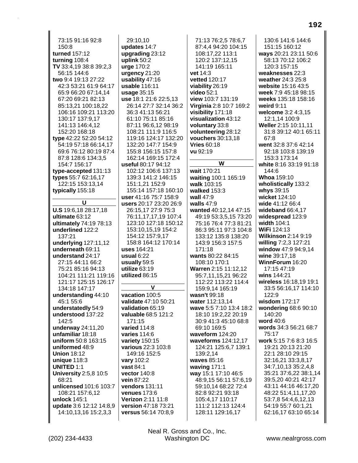73:15 91:16 92:8 150:8 turned 157:12 turning 108:4 TV 33:4,19 38:8 39:2,3 56:15 144:6 two 9:4 19:13 27:22 42:3 53:21 61:9 64:17 65:9 66:20 67:14.14 67:20 69:21 82:13 85:13,21 100:18,22 106:16 109:21 113:20 130:17 137:9,17 141:13 146:4,12 152:20 168:18 type 42:22 52:20 54:12 54:19 57:18 66:14,17 69:6 76:12 80:19 87:4 87:8 128:6 134:3,5 154:7 156:17 type-accepted 131:13 types 55:7 62:16,17 122:15 153:13.14 typically 155:18 U U.S 19:6.18 28:17.18 ultimate 63:12 ultimately 74:19 78:13 underlined 122:2 137:21 underlying 127:11,12 underneath 69:11 understand 24:17 27:15 44:11 66:2 75:21 85:16 94:13 104:21 111:21 119:16 121:17 125:15 126:17 134:18 147:17 understanding 44:10 45:1 55:6 understatedly 54:9 understood 137:22 142:5 underway 24:11,20 unfamiliar 18:18 uniform 50:8 163:15 uniformed 48:9 **Union 18:12** unique 118:3 **UNITED 1:1 University 2:5,8 10:5** 68:21 unlicensed 101:6 103:7 108:21 157:6,12 unlock 145:1 update 3:6 12:12 14:8.9 14:10,13,16 15:2,3,3

29:10.10 updates 14:7 upgrading 23:12 uplink  $50:2$ urge 170:2 urgency 21:20 usability 47:16 usable 116:11  $usaae35:15$ use 18:1 21:6 22:5,13 26:14 27:7 32:14 36:2 36:3 41:13 56:21 61:10 75:11 85:16 87:11 96:6.12 98:19 108:21 111:9 116:5 119:16 124:17 132:20 132:20 147:7 154:9 155:8 156:15 157:8 162:14 169:15 172:4 useful 80:17 94:12 102:12 106:6 137:13 139:3 141:2 146:15 151:1,21 152:9 155:14 157:18 160:10 user 41:16 75:7 158:9 users 20:17 23:20 26:9 26:15,17 27:9 75:3 76:11,17,17,19 107:4 123:10 127:18 150:12 153:10,15,19 154:2 154:12 157:9.17 158 8 164 12 170 14 uses 164:21 usual  $6:22$ usually 59:5 utilize  $63:19$ utilized 86:15 V vacation 100:5 validate 47:10 50:21 validation 65:19 valuable 68:5 121:2 171:15 varied 114:8 varies 114:6 variety 150:15 various 22:3 103:8 149:16 152:5 vary 102:2 vast 84:1 vector 140:8 vein 87:22 vendors 131:11

venues 173:6

**Verizon 2:11 11:8** 

version 47:18 73:21

versus 56:14 70:8,9

71:13 76:2,5 78:6,7 87:4,4 94:20 104:15 108:17,22 113:1 120:2 137:12,15 141:19 165:11 vet  $14.3$ vetted 120:17 viability 26:19 video 52:1 view 103:7 131:19 Virginia 2:8 10:7 169:2 visibility 171:18 visualization 43:12 voluntary 33:8 volunteering 28:12 vouchers 30:13,18 **Vries 60:18** vu 92:19 W wait 170:21 waiting 100:1 165:19 walk 103:15 walked 153:3 wall  $47:9$ walls  $47:9$ wanted 40:12.14 47:15 49:19 53:3,5,15 73:20 75:16 76:4 77:3 81:21 86:3 95:11 97:3 104:8 133:12 135:8 138:20 143:9 156:3 157:5  $171.18$ wants 80:22 84:15 108:10 170:1 Warren 2:15 11:12.12 95:7,11,15,21 96:22 112:22 113:22 114:4 159:9,14 165:19 wasn't 99:18 water 112:13,14 wave 5:5 7:10 13:4 18:2 18:10 19:2,22 20:19 30:9 41:3 45:10 68:8 69:10 169:5 waveform 124:20 waveforms 124:12,17 124:21 125:6,7 139:1 139:2,14 waves 85:16 waving 171:1 way 15:1 17:10 46:5 48:9,15 56:11 57:6,19 59:10,14 68:22 72:4 82:8 92:21 93:18 105:4,17 110:17 111:2 112:13 124:4 128:11 129:16,17

130:6 141:6 144:6 151:15 160:12 ways 20:21 23:11 50:6 58:13 70:12 106:2 120:3 157:15 weaknesses 22:3 weather 24:3 25:8 website 15:16 43:5 week 7:9 45:18 98:15 weeks 135:18 158:16 weird  $9:11$ welcome 3:2 4:3,15 12:1.14 100:9 Weller 2:15 10:11.11 31:8 39:12 40:1 65:11 67:8 went 32:8 37:6 42:14 92:18 103:8 139:19 153:3 173:14 white 8:16 33:19 91:18 144:6 **Whoa 159:10** wholistically 133:2 whys 39:15 wicket 124:10 wide 41:12 66:4 wideband 66:4.17 widespread 123:9 width 104:1 WiFi 124:13 **Wilkinson 2:14 9:19** willing 7:2,3 127:21 window 47:9 94:9,14 wine 39:17.18 WinnForum 16:20 17:15 47:19 wins 144:21 wireless 16:18,19 19:1 33:5 56:16,17 114:10  $122.9$ wisdom 172:17 wondering 68:6 90:10 140:20 word 40:6 words 34:3 56:21 68:7 75:17 work 5:15 7:6 8:3 16:5 19:21 20:13 21:20 22:1 28:10 29:15 32:16,21 33:3,8,17 34:7,10,13 35:2,4,8 35:21 37:6,22 38:1,14 39:5.20 40:21 42:17 43:11 44:16 46:17,20 48:22 51:4,11,17,20 53:7.8 54:4.6.12.13 54:19 55:7 60:1,21 62:16,17 63:10 65:14

Neal R. Gross and Co., Inc. **Washington DC**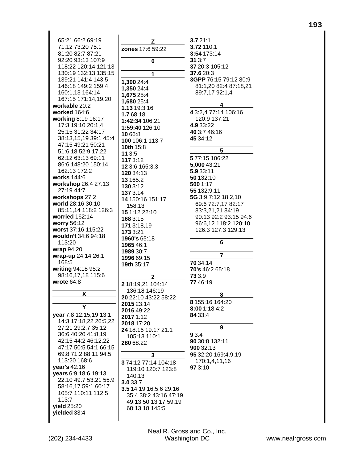| 65:21 66:2 69:19       | Z.                     | 3.721:1               |
|------------------------|------------------------|-----------------------|
| 71:12 73:20 75:1       |                        | 3.72 110:1            |
| 81:20 82:7 87:21       | zones 17:6 59:22       | 3:54 173:14           |
| 92:20 93:13 107:9      |                        | 313:7                 |
| 118:22 120:14 121:13   | 0                      | 37 20:3 105:12        |
| 130:19 132:13 135:15   |                        | 37.6 20:3             |
| 139:21 141:4 143:5     |                        | 3GPP 76:15 79:12 80:9 |
|                        | 1,300 24:4             |                       |
| 146:18 149:2 159:4     | 1,350 24:4             | 81:1,20 82:4 87:18,21 |
| 160:1,13 164:14        | 1,675 25:4             | 89:7,17 92:1,4        |
| 167:15 171:14,19,20    | 1,680 25:4             |                       |
| workable 20:2          | 1.13 19:3,16           | 4                     |
| worked 164:6           | 1.768:18               | 4 3:2,4 77:14 106:16  |
| working 8:19 16:17     | 1:42:34 106:21         | 120:9 137:21          |
| 17:3 19:10 20:1,4      | 1:59:40 126:10         | 4.9 33:22             |
| 25:15 31:22 34:17      | 10 66:8                | 40 3:7 46:16          |
| 38:13,15,19 39:1 45:4  | 100 106:1 113:7        | 45 34:12              |
| 47:15 49:21 50:21      | 10th 15:8              |                       |
| 51:6,18 52:9,17,22     | 11 3:5                 | 5                     |
| 62:12 63:13 69:11      | 1173:12                | 577:15 106:22         |
| 86:6 148:20 150:14     | 12 3:6 165:3,3         | 5,000 43:21           |
| 162:13 172:2           |                        | 5.9 33:11             |
| works 144:6            | 120 34:13<br>13 165:2  | 50 132:10             |
| workshop 26:4 27:13    |                        | 500 1:17              |
| 27:19 44:7             | 130 3:12               | 55 132:9,11           |
| workshops 27:2         | 137 3:14               | 5G 3:9 7:12 18:2,10   |
| world 28:16 30:10      | 14 150:16 151:17       | 69:6 72:7,17 82:17    |
| 85:11,14 118:2 126:3   | 158:13                 | 83:3,21,21 84:19      |
| worried 162:14         | 15 1:12 22:10          | 90:13 92:2 93:15 94:6 |
| worry 56:12            | 168 3:15               |                       |
|                        | 171 3:18,19            | 96:6,12 118:2 120:10  |
| worst 37:16 115:22     | 173 3:21               | 126:3 127:3 129:13    |
| wouldn't 34:6 94:18    | <b>1960's 65:18</b>    |                       |
| 113:20                 | 1965 46:1              | 6                     |
| wrap 94:20             | 1989 30:7              |                       |
| wrap-up 24:14 26:1     | 1996 69:15             | $\overline{7}$        |
| 168:5                  | 19th 35:17             | 70 34:14              |
| writing 94:18 95:2     |                        | 70's 46:2 65:18       |
| 98:16,17,18 115:6      | $\mathbf{2}$           | 73 3:9                |
| wrote $64:8$           | 2 18:19,21 104:14      | 7746:19               |
|                        |                        |                       |
|                        |                        |                       |
| X.                     | 136:18 146:19          | 8                     |
|                        | 20 22:10 43:22 58:22   |                       |
| Y                      | 2015 23:14             | 8 155:16 164:20       |
|                        | 2016 49:22             | 8:00 1:18 4:2         |
| year 7:8 12:15,19 13:1 | 2017 1:12              | 84 33:4               |
| 14:3 17:18,22 26:5,22  | 2018 17:20             |                       |
| 27:21 29:2,7 35:12     | 24 18:16 19:17 21:1    | 9                     |
| 36:6 40:20 41:8,19     | 105:13 110:1           | 93:4                  |
| 42:15 44:2 46:12,22    | 280 68:22              | 90 30:8 132:11        |
| 47:17 50:5 54:1 66:15  |                        | 900 32:13             |
| 69:8 71:2 88:11 94:5   | 3                      | 95 32:20 169:4,9,19   |
| 113:20 168:6           | 374:12 77:14 104:18    | 170:1,4,11,16         |
| year's 42:16           | 119:10 120:7 123:8     | 97 3:10               |
| vears 6:9 18:6 19:13   | 140:13                 |                       |
| 22:10 49:7 53:21 55:9  | 3.033:7                |                       |
| 58:16,17 59:1 60:17    | 3.5 14:19 16:5,6 29:16 |                       |
| 105:7 110:11 112:5     | 35:4 38:2 43:16 47:19  |                       |
| 113:7                  | 49:13 50:13,17 59:19   |                       |
| yield 25:20            | 68:13,18 145:5         |                       |
| yielded 33:4           |                        |                       |